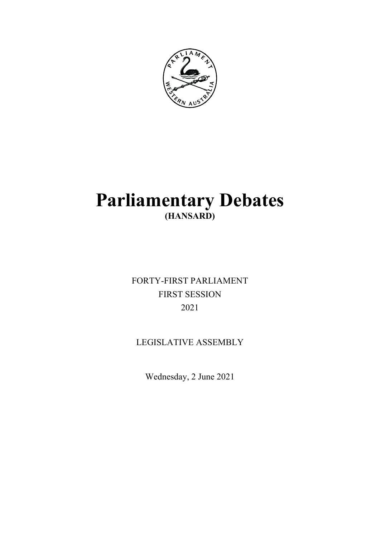

# **Parliamentary Debates (HANSARD)**

FORTY-FIRST PARLIAMENT FIRST SESSION 2021

LEGISLATIVE ASSEMBLY

Wednesday, 2 June 2021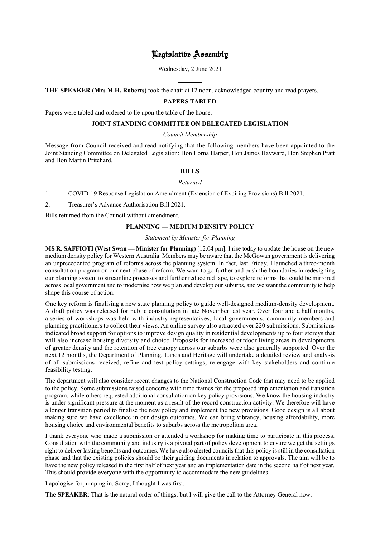# Legislative Assembly

Wednesday, 2 June 2021

**THE SPEAKER (Mrs M.H. Roberts)** took the chair at 12 noon, acknowledged country and read prayers.

l

# **PAPERS TABLED**

Papers were tabled and ordered to lie upon the table of the house.

## **JOINT STANDING COMMITTEE ON DELEGATED LEGISLATION**

#### *Council Membership*

Message from Council received and read notifying that the following members have been appointed to the Joint Standing Committee on Delegated Legislation: Hon Lorna Harper, Hon James Hayward, Hon Stephen Pratt and Hon Martin Pritchard.

## **BILLS**

#### *Returned*

- 1. COVID-19 Response Legislation Amendment (Extension of Expiring Provisions) Bill 2021.
- 2. Treasurer's Advance Authorisation Bill 2021.

Bills returned from the Council without amendment.

# **PLANNING — MEDIUM DENSITY POLICY**

*Statement by Minister for Planning*

**MS R. SAFFIOTI (West Swan — Minister for Planning)** [12.04 pm]: I rise today to update the house on the new medium density policy for Western Australia. Members may be aware that the McGowan government is delivering an unprecedented program of reforms across the planning system. In fact, last Friday, I launched a three-month consultation program on our next phase of reform. We want to go further and push the boundaries in redesigning our planning system to streamline processes and further reduce red tape, to explore reforms that could be mirrored across local government and to modernise how we plan and develop our suburbs, and we want the community to help shape this course of action.

One key reform is finalising a new state planning policy to guide well-designed medium-density development. A draft policy was released for public consultation in late November last year. Over four and a half months, a series of workshops was held with industry representatives, local governments, community members and planning practitioners to collect their views. An online survey also attracted over 220 submissions. Submissions indicated broad support for options to improve design quality in residential developments up to four storeys that will also increase housing diversity and choice. Proposals for increased outdoor living areas in developments of greater density and the retention of tree canopy across our suburbs were also generally supported. Over the next 12 months, the Department of Planning, Lands and Heritage will undertake a detailed review and analysis of all submissions received, refine and test policy settings, re-engage with key stakeholders and continue feasibility testing.

The department will also consider recent changes to the National Construction Code that may need to be applied to the policy. Some submissions raised concerns with time frames for the proposed implementation and transition program, while others requested additional consultation on key policy provisions. We know the housing industry is under significant pressure at the moment as a result of the record construction activity. We therefore will have a longer transition period to finalise the new policy and implement the new provisions. Good design is all about making sure we have excellence in our design outcomes. We can bring vibrancy, housing affordability, more housing choice and environmental benefits to suburbs across the metropolitan area.

I thank everyone who made a submission or attended a workshop for making time to participate in this process. Consultation with the community and industry is a pivotal part of policy development to ensure we get the settings right to deliver lasting benefits and outcomes. We have also alerted councils that this policy is still in the consultation phase and that the existing policies should be their guiding documents in relation to approvals. The aim will be to have the new policy released in the first half of next year and an implementation date in the second half of next year. This should provide everyone with the opportunity to accommodate the new guidelines.

I apologise for jumping in. Sorry; I thought I was first.

**The SPEAKER**: That is the natural order of things, but I will give the call to the Attorney General now.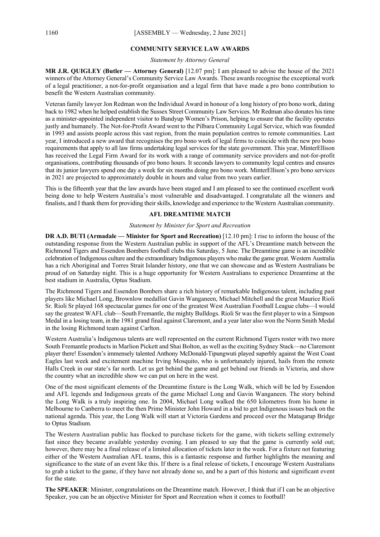#### **COMMUNITY SERVICE LAW AWARDS**

*Statement by Attorney General*

**MR J.R. QUIGLEY (Butler — Attorney General)** [12.07 pm]: I am pleased to advise the house of the 2021 winners of the Attorney General's Community Service Law Awards. These awards recognise the exceptional work of a legal practitioner, a not-for-profit organisation and a legal firm that have made a pro bono contribution to benefit the Western Australian community.

Veteran family lawyer Jon Redman won the Individual Award in honour of a long history of pro bono work, dating back to 1982 when he helped establish the Sussex Street Community Law Services. Mr Redman also donates his time as a minister-appointed independent visitor to Bandyup Women's Prison, helping to ensure that the facility operates justly and humanely. The Not-for-Profit Award went to the Pilbara Community Legal Service, which was founded in 1993 and assists people across this vast region, from the main population centres to remote communities. Last year, I introduced a new award that recognises the pro bono work of legal firms to coincide with the new pro bono requirements that apply to all law firms undertaking legal services for the state government. This year, MinterEllison has received the Legal Firm Award for its work with a range of community service providers and not-for-profit organisations, contributing thousands of pro bono hours. It seconds lawyers to community legal centres and ensures that its junior lawyers spend one day a week for six months doing pro bono work. MinterEllison's pro bono services in 2021 are projected to approximately double in hours and value from two years earlier.

This is the fifteenth year that the law awards have been staged and I am pleased to see the continued excellent work being done to help Western Australia's most vulnerable and disadvantaged. I congratulate all the winners and finalists, and I thank them for providing their skills, knowledge and experience to the Western Australian community.

# **AFL DREAMTIME MATCH**

#### *Statement by Minister for Sport and Recreation*

**DR A.D. BUTI (Armadale — Minister for Sport and Recreation)** [12.10 pm]: I rise to inform the house of the outstanding response from the Western Australian public in support of the AFL's Dreamtime match between the Richmond Tigers and Essendon Bombers football clubs this Saturday, 5 June. The Dreamtime game is an incredible celebration of Indigenous culture and the extraordinary Indigenous players who make the game great. Western Australia has a rich Aboriginal and Torres Strait Islander history, one that we can showcase and as Western Australians be proud of on Saturday night. This is a huge opportunity for Western Australians to experience Dreamtime at the best stadium in Australia, Optus Stadium.

The Richmond Tigers and Essendon Bombers share a rich history of remarkable Indigenous talent, including past players like Michael Long, Brownlow medallist Gavin Wanganeen, Michael Mitchell and the great Maurice Rioli Sr. Rioli Sr played 168 spectacular games for one of the greatest West Australian Football League clubs—I would say the greatest WAFL club—South Fremantle, the mighty Bulldogs. Rioli Sr was the first player to win a Simpson Medal in a losing team, in the 1981 grand final against Claremont, and a year later also won the Norm Smith Medal in the losing Richmond team against Carlton.

Western Australia's Indigenous talents are well represented on the current Richmond Tigers roster with two more South Fremantle products in Marlion Pickett and Shai Bolton, as well as the exciting Sydney Stack—no Claremont player there! Essendon's immensely talented Anthony McDonald-Tipungwuti played superbly against the West Coast Eagles last week and excitement machine Irving Mosquito, who is unfortunately injured, hails from the remote Halls Creek in our state's far north. Let us get behind the game and get behind our friends in Victoria, and show the country what an incredible show we can put on here in the west.

One of the most significant elements of the Dreamtime fixture is the Long Walk, which will be led by Essendon and AFL legends and Indigenous greats of the game Michael Long and Gavin Wanganeen. The story behind the Long Walk is a truly inspiring one. In 2004, Michael Long walked the 650 kilometres from his home in Melbourne to Canberra to meet the then Prime Minister John Howard in a bid to get Indigenous issues back on the national agenda. This year, the Long Walk will start at Victoria Gardens and proceed over the Matagarup Bridge to Optus Stadium.

The Western Australian public has flocked to purchase tickets for the game, with tickets selling extremely fast since they became available yesterday evening. I am pleased to say that the game is currently sold out; however, there may be a final release of a limited allocation of tickets later in the week. For a fixture not featuring either of the Western Australian AFL teams, this is a fantastic response and further highlights the meaning and significance to the state of an event like this. If there is a final release of tickets, I encourage Western Australians to grab a ticket to the game, if they have not already done so, and be a part of this historic and significant event for the state.

**The SPEAKER**: Minister, congratulations on the Dreamtime match. However, I think that if I can be an objective Speaker, you can be an objective Minister for Sport and Recreation when it comes to football!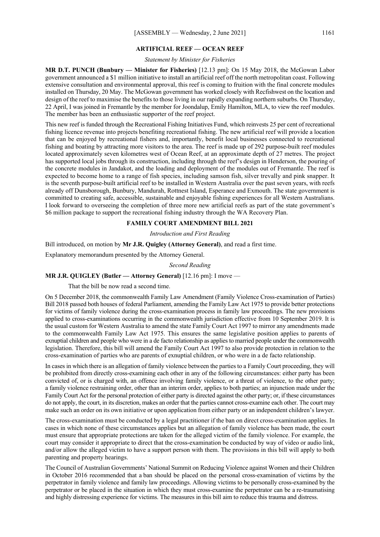#### **ARTIFICIAL REEF — OCEAN REEF**

#### *Statement by Minister for Fisheries*

**MR D.T. PUNCH (Bunbury — Minister for Fisheries)** [12.13 pm]: On 15 May 2018, the McGowan Labor government announced a \$1 million initiative to install an artificial reef off the north metropolitan coast. Following extensive consultation and environmental approval, this reef is coming to fruition with the final concrete modules installed on Thursday, 20 May. The McGowan government has worked closely with Recfishwest on the location and design of the reef to maximise the benefits to those living in our rapidly expanding northern suburbs. On Thursday, 22 April, I was joined in Fremantle by the member for Joondalup, Emily Hamilton, MLA, to view the reef modules. The member has been an enthusiastic supporter of the reef project.

This new reef is funded through the Recreational Fishing Initiatives Fund, which reinvests 25 per cent of recreational fishing licence revenue into projects benefiting recreational fishing. The new artificial reef will provide a location that can be enjoyed by recreational fishers and, importantly, benefit local businesses connected to recreational fishing and boating by attracting more visitors to the area. The reef is made up of 292 purpose-built reef modules located approximately seven kilometres west of Ocean Reef, at an approximate depth of 27 metres. The project has supported local jobs through its construction, including through the reef's design in Henderson, the pouring of the concrete modules in Jandakot, and the loading and deployment of the modules out of Fremantle. The reef is expected to become home to a range of fish species, including samson fish, silver trevally and pink snapper. It is the seventh purpose-built artificial reef to be installed in Western Australia over the past seven years, with reefs already off Dunsborough, Bunbury, Mandurah, Rottnest Island, Esperance and Exmouth. The state government is committed to creating safe, accessible, sustainable and enjoyable fishing experiences for all Western Australians. I look forward to overseeing the completion of three more new artificial reefs as part of the state government's \$6 million package to support the recreational fishing industry through the WA Recovery Plan.

#### **FAMILY COURT AMENDMENT BILL 2021**

#### *Introduction and First Reading*

Bill introduced, on motion by **Mr J.R. Quigley (Attorney General)**, and read a first time.

Explanatory memorandum presented by the Attorney General.

#### *Second Reading*

# **MR J.R. QUIGLEY (Butler — Attorney General)** [12.16 pm]: I move —

That the bill be now read a second time.

On 5 December 2018, the commonwealth Family Law Amendment (Family Violence Cross-examination of Parties) Bill 2018 passed both houses of federal Parliament, amending the Family Law Act 1975 to provide better protections for victims of family violence during the cross-examination process in family law proceedings. The new provisions applied to cross-examinations occurring in the commonwealth jurisdiction effective from 10 September 2019. It is the usual custom for Western Australia to amend the state Family Court Act 1997 to mirror any amendments made to the commonwealth Family Law Act 1975. This ensures the same legislative position applies to parents of exnuptial children and people who were in a de facto relationship as applies to married people under the commonwealth legislation. Therefore, this bill will amend the Family Court Act 1997 to also provide protection in relation to the cross-examination of parties who are parents of exnuptial children, or who were in a de facto relationship.

In cases in which there is an allegation of family violence between the parties to a Family Court proceeding, they will be prohibited from directly cross-examining each other in any of the following circumstances: either party has been convicted of, or is charged with, an offence involving family violence, or a threat of violence, to the other party; a family violence restraining order, other than an interim order, applies to both parties; an injunction made under the Family Court Act for the personal protection of either party is directed against the other party; or, if these circumstances do not apply, the court, in its discretion, makes an order that the parties cannot cross-examine each other. The court may make such an order on its own initiative or upon application from either party or an independent children's lawyer.

The cross-examination must be conducted by a legal practitioner if the ban on direct cross-examination applies. In cases in which none of these circumstances applies but an allegation of family violence has been made, the court must ensure that appropriate protections are taken for the alleged victim of the family violence. For example, the court may consider it appropriate to direct that the cross-examination be conducted by way of video or audio link, and/or allow the alleged victim to have a support person with them. The provisions in this bill will apply to both parenting and property hearings.

The Council of Australian Governments' National Summit on Reducing Violence against Women and their Children in October 2016 recommended that a ban should be placed on the personal cross-examination of victims by the perpetrator in family violence and family law proceedings. Allowing victims to be personally cross-examined by the perpetrator or be placed in the situation in which they must cross-examine the perpetrator can be a re-traumatising and highly distressing experience for victims. The measures in this bill aim to reduce this trauma and distress.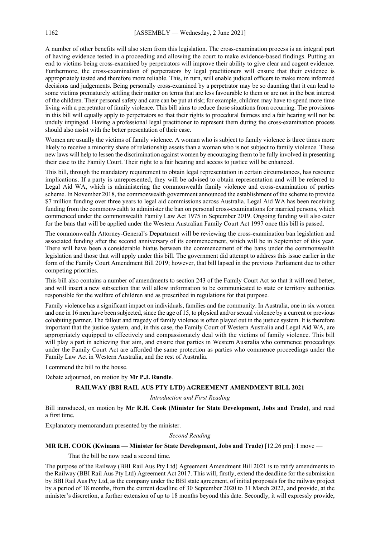A number of other benefits will also stem from this legislation. The cross-examination process is an integral part of having evidence tested in a proceeding and allowing the court to make evidence-based findings. Putting an end to victims being cross-examined by perpetrators will improve their ability to give clear and cogent evidence. Furthermore, the cross-examination of perpetrators by legal practitioners will ensure that their evidence is appropriately tested and therefore more reliable. This, in turn, will enable judicial officers to make more informed decisions and judgements. Being personally cross-examined by a perpetrator may be so daunting that it can lead to some victims prematurely settling their matter on terms that are less favourable to them or are not in the best interest of the children. Their personal safety and care can be put at risk; for example, children may have to spend more time living with a perpetrator of family violence. This bill aims to reduce those situations from occurring. The provisions in this bill will equally apply to perpetrators so that their rights to procedural fairness and a fair hearing will not be unduly impinged. Having a professional legal practitioner to represent them during the cross-examination process should also assist with the better presentation of their case.

Women are usually the victims of family violence. A woman who is subject to family violence is three times more likely to receive a minority share of relationship assets than a woman who is not subject to family violence. These new laws will help to lessen the discrimination against women by encouraging them to be fully involved in presenting their case to the Family Court. Their right to a fair hearing and access to justice will be enhanced.

This bill, through the mandatory requirement to obtain legal representation in certain circumstances, has resource implications. If a party is unrepresented, they will be advised to obtain representation and will be referred to Legal Aid WA, which is administering the commonwealth family violence and cross-examination of parties scheme. In November 2018, the commonwealth government announced the establishment of the scheme to provide \$7 million funding over three years to legal aid commissions across Australia. Legal Aid WA has been receiving funding from the commonwealth to administer the ban on personal cross-examinations for married persons, which commenced under the commonwealth Family Law Act 1975 in September 2019. Ongoing funding will also cater for the bans that will be applied under the Western Australian Family Court Act 1997 once this bill is passed.

The commonwealth Attorney-General's Department will be reviewing the cross-examination ban legislation and associated funding after the second anniversary of its commencement, which will be in September of this year. There will have been a considerable hiatus between the commencement of the bans under the commonwealth legislation and those that will apply under this bill. The government did attempt to address this issue earlier in the form of the Family Court Amendment Bill 2019; however, that bill lapsed in the previous Parliament due to other competing priorities.

This bill also contains a number of amendments to section 243 of the Family Court Act so that it will read better, and will insert a new subsection that will allow information to be communicated to state or territory authorities responsible for the welfare of children and as prescribed in regulations for that purpose.

Family violence has a significant impact on individuals, families and the community. In Australia, one in six women and one in 16 men have been subjected, since the age of 15, to physical and/or sexual violence by a current or previous cohabiting partner. The fallout and tragedy of family violence is often played out in the justice system. It is therefore important that the justice system, and, in this case, the Family Court of Western Australia and Legal Aid WA, are appropriately equipped to effectively and compassionately deal with the victims of family violence. This bill will play a part in achieving that aim, and ensure that parties in Western Australia who commence proceedings under the Family Court Act are afforded the same protection as parties who commence proceedings under the Family Law Act in Western Australia, and the rest of Australia.

I commend the bill to the house.

Debate adjourned, on motion by **Mr P.J. Rundle**.

## **RAILWAY (BBI RAIL AUS PTY LTD) AGREEMENT AMENDMENT BILL 2021**

#### *Introduction and First Reading*

Bill introduced, on motion by **Mr R.H. Cook (Minister for State Development, Jobs and Trade)**, and read a first time.

Explanatory memorandum presented by the minister.

*Second Reading*

## **MR R.H. COOK (Kwinana — Minister for State Development, Jobs and Trade)** [12.26 pm]: I move —

That the bill be now read a second time.

The purpose of the Railway (BBI Rail Aus Pty Ltd) Agreement Amendment Bill 2021 is to ratify amendments to the Railway (BBI Rail Aus Pty Ltd) Agreement Act 2017. This will, firstly, extend the deadline for the submission by BBI Rail Aus Pty Ltd, as the company under the BBI state agreement, of initial proposals for the railway project by a period of 18 months, from the current deadline of 30 September 2020 to 31 March 2022, and provide, at the minister's discretion, a further extension of up to 18 months beyond this date. Secondly, it will expressly provide,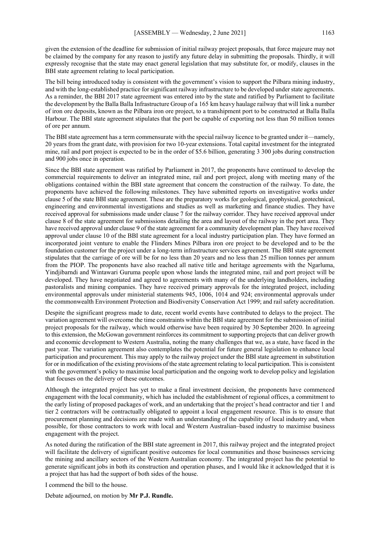given the extension of the deadline for submission of initial railway project proposals, that force majeure may not be claimed by the company for any reason to justify any future delay in submitting the proposals. Thirdly, it will expressly recognise that the state may enact general legislation that may substitute for, or modify, clauses in the BBI state agreement relating to local participation.

The bill being introduced today is consistent with the government's vision to support the Pilbara mining industry, and with the long-established practice for significant railway infrastructure to be developed under state agreements. As a reminder, the BBI 2017 state agreement was entered into by the state and ratified by Parliament to facilitate the development by the Balla Balla Infrastructure Group of a 165 km heavy haulage railway that will link a number of iron ore deposits, known as the Pilbara iron ore project, to a transhipment port to be constructed at Balla Balla Harbour. The BBI state agreement stipulates that the port be capable of exporting not less than 50 million tonnes of ore per annum.

The BBI state agreement has a term commensurate with the special railway licence to be granted under it—namely, 20 years from the grant date, with provision for two 10-year extensions. Total capital investment for the integrated mine, rail and port project is expected to be in the order of \$5.6 billion, generating 3 300 jobs during construction and 900 jobs once in operation.

Since the BBI state agreement was ratified by Parliament in 2017, the proponents have continued to develop the commercial requirements to deliver an integrated mine, rail and port project, along with meeting many of the obligations contained within the BBI state agreement that concern the construction of the railway. To date, the proponents have achieved the following milestones. They have submitted reports on investigative works under clause 5 of the state BBI state agreement. These are the preparatory works for geological, geophysical, geotechnical, engineering and environmental investigations and studies as well as marketing and finance studies. They have received approval for submissions made under clause 7 for the railway corridor. They have received approval under clause 8 of the state agreement for submissions detailing the area and layout of the railway in the port area. They have received approval under clause 9 of the state agreement for a community development plan. They have received approval under clause 10 of the BBI state agreement for a local industry participation plan. They have formed an incorporated joint venture to enable the Flinders Mines Pilbara iron ore project to be developed and to be the foundation customer for the project under a long-term infrastructure services agreement. The BBI state agreement stipulates that the carriage of ore will be for no less than 20 years and no less than 25 million tonnes per annum from the PIOP. The proponents have also reached all native title and heritage agreements with the Ngarluma, Yindjibarndi and Wintawari Guruma people upon whose lands the integrated mine, rail and port project will be developed. They have negotiated and agreed to agreements with many of the underlying landholders, including pastoralists and mining companies. They have received primary approvals for the integrated project, including environmental approvals under ministerial statements 945, 1006, 1014 and 924; environmental approvals under the commonwealth Environment Protection and Biodiversity Conservation Act 1999; and rail safety accreditation.

Despite the significant progress made to date, recent world events have contributed to delays to the project. The variation agreement will overcome the time constraints within the BBI state agreement for the submission of initial project proposals for the railway, which would otherwise have been required by 30 September 2020. In agreeing to this extension, the McGowan government reinforces its commitment to supporting projects that can deliver growth and economic development to Western Australia, noting the many challenges that we, as a state, have faced in the past year. The variation agreement also contemplates the potential for future general legislation to enhance local participation and procurement. This may apply to the railway project under the BBI state agreement in substitution for or in modification of the existing provisions of the state agreement relating to local participation. This is consistent with the government's policy to maximise local participation and the ongoing work to develop policy and legislation that focuses on the delivery of these outcomes.

Although the integrated project has yet to make a final investment decision, the proponents have commenced engagement with the local community, which has included the establishment of regional offices, a commitment to the early listing of proposed packages of work, and an undertaking that the project's head contractor and tier 1 and tier 2 contractors will be contractually obligated to appoint a local engagement resource. This is to ensure that procurement planning and decisions are made with an understanding of the capability of local industry and, when possible, for those contractors to work with local and Western Australian–based industry to maximise business engagement with the project.

As noted during the ratification of the BBI state agreement in 2017, this railway project and the integrated project will facilitate the delivery of significant positive outcomes for local communities and those businesses servicing the mining and ancillary sectors of the Western Australian economy. The integrated project has the potential to generate significant jobs in both its construction and operation phases, and I would like it acknowledged that it is a project that has had the support of both sides of the house.

I commend the bill to the house.

Debate adjourned, on motion by **Mr P.J. Rundle.**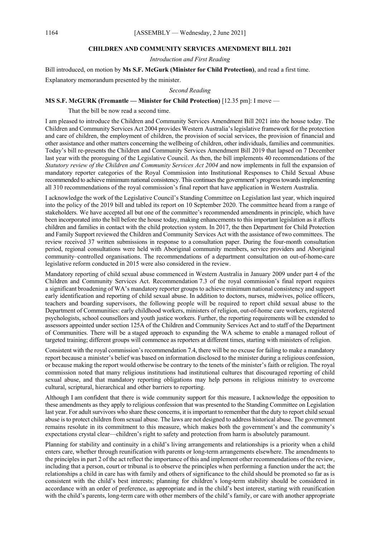# **CHILDREN AND COMMUNITY SERVICES AMENDMENT BILL 2021**

*Introduction and First Reading*

Bill introduced, on motion by **Ms S.F. McGurk (Minister for Child Protection)**, and read a first time.

Explanatory memorandum presented by the minister.

*Second Reading*

# **MS S.F. McGURK (Fremantle — Minister for Child Protection)** [12.35 pm]: I move —

That the bill be now read a second time.

I am pleased to introduce the Children and Community Services Amendment Bill 2021 into the house today. The Children and Community Services Act 2004 provides Western Australia's legislative framework for the protection and care of children, the employment of children, the provision of social services, the provision of financial and other assistance and other matters concerning the wellbeing of children, other individuals, families and communities. Today's bill re-presents the Children and Community Services Amendment Bill 2019 that lapsed on 7 December last year with the proroguing of the Legislative Council. As then, the bill implements 40 recommendations of the *Statutory review of the Children and Community Services Act 2004* and now implements in full the expansion of mandatory reporter categories of the Royal Commission into Institutional Responses to Child Sexual Abuse recommended to achieve minimum national consistency. This continues the government's progress towards implementing all 310 recommendations of the royal commission's final report that have application in Western Australia.

I acknowledge the work of the Legislative Council's Standing Committee on Legislation last year, which inquired into the policy of the 2019 bill and tabled its report on 10 September 2020. The committee heard from a range of stakeholders. We have accepted all but one of the committee's recommended amendments in principle, which have been incorporated into the bill before the house today, making enhancements to this important legislation as it affects children and families in contact with the child protection system. In 2017, the then Department for Child Protection and Family Support reviewed the Children and Community Services Act with the assistance of two committees. The review received 37 written submissions in response to a consultation paper. During the four-month consultation period, regional consultations were held with Aboriginal community members, service providers and Aboriginal community–controlled organisations. The recommendations of a department consultation on out-of-home-care legislative reform conducted in 2015 were also considered in the review.

Mandatory reporting of child sexual abuse commenced in Western Australia in January 2009 under part 4 of the Children and Community Services Act. Recommendation 7.3 of the royal commission's final report requires a significant broadening of WA's mandatory reporter groups to achieve minimum national consistency and support early identification and reporting of child sexual abuse. In addition to doctors, nurses, midwives, police officers, teachers and boarding supervisors, the following people will be required to report child sexual abuse to the Department of Communities: early childhood workers, ministers of religion, out-of-home care workers, registered psychologists, school counsellors and youth justice workers. Further, the reporting requirements will be extended to assessors appointed under section 125A of the Children and Community Services Act and to staff of the Department of Communities. There will be a staged approach to expanding the WA scheme to enable a managed rollout of targeted training; different groups will commence as reporters at different times, starting with ministers of religion.

Consistent with the royal commission's recommendation 7.4, there will be no excuse for failing to make a mandatory report because a minister's belief was based on information disclosed to the minister during a religious confession, or because making the report would otherwise be contrary to the tenets of the minister's faith or religion. The royal commission noted that many religious institutions had institutional cultures that discouraged reporting of child sexual abuse, and that mandatory reporting obligations may help persons in religious ministry to overcome cultural, scriptural, hierarchical and other barriers to reporting.

Although I am confident that there is wide community support for this measure, I acknowledge the opposition to these amendments as they apply to religious confession that was presented to the Standing Committee on Legislation last year. For adult survivors who share these concerns, it is important to remember that the duty to report child sexual abuse is to protect children from sexual abuse. The laws are not designed to address historical abuse. The government remains resolute in its commitment to this measure, which makes both the government's and the community's expectations crystal clear—children's right to safety and protection from harm is absolutely paramount.

Planning for stability and continuity in a child's living arrangements and relationships is a priority when a child enters care, whether through reunification with parents or long-term arrangements elsewhere. The amendments to the principles in part 2 of the act reflect the importance of this and implement other recommendations of the review, including that a person, court or tribunal is to observe the principles when performing a function under the act; the relationships a child in care has with family and others of significance to the child should be promoted so far as is consistent with the child's best interests; planning for children's long-term stability should be considered in accordance with an order of preference, as appropriate and in the child's best interest, starting with reunification with the child's parents, long-term care with other members of the child's family, or care with another appropriate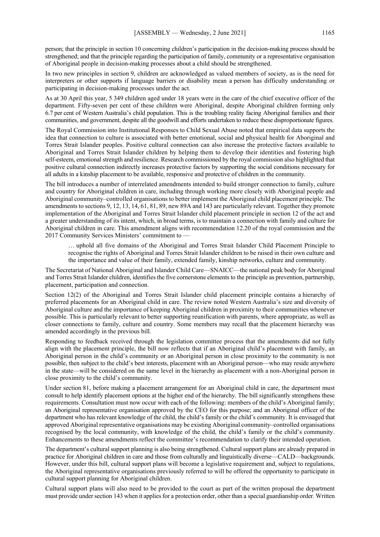person; that the principle in section 10 concerning children's participation in the decision-making process should be strengthened; and that the principle regarding the participation of family, community or a representative organisation of Aboriginal people in decision-making processes about a child should be strengthened.

In two new principles in section 9, children are acknowledged as valued members of society, as is the need for interpreters or other supports if language barriers or disability mean a person has difficulty understanding or participating in decision-making processes under the act.

As at 30 April this year, 5 349 children aged under 18 years were in the care of the chief executive officer of the department. Fifty-seven per cent of these children were Aboriginal, despite Aboriginal children forming only 6.7 per cent of Western Australia's child population. This is the troubling reality facing Aboriginal families and their communities, and government, despite all the goodwill and efforts undertaken to reduce these disproportionate figures.

The Royal Commission into Institutional Responses to Child Sexual Abuse noted that empirical data supports the idea that connection to culture is associated with better emotional, social and physical health for Aboriginal and Torres Strait Islander peoples. Positive cultural connection can also increase the protective factors available to Aboriginal and Torres Strait Islander children by helping them to develop their identities and fostering high self-esteem, emotional strength and resilience. Research commissioned by the royal commission also highlighted that positive cultural connection indirectly increases protective factors by supporting the social conditions necessary for all adults in a kinship placement to be available, responsive and protective of children in the community.

The bill introduces a number of interrelated amendments intended to build stronger connection to family, culture and country for Aboriginal children in care, including through working more closely with Aboriginal people and Aboriginal community–controlled organisations to better implement the Aboriginal child placement principle. The amendments to sections 9, 12, 13, 14, 61, 81, 89, new 89A and 143 are particularly relevant. Together they promote implementation of the Aboriginal and Torres Strait Islander child placement principle in section 12 of the act and a greater understanding of its intent, which, in broad terms, is to maintain a connection with family and culture for Aboriginal children in care. This amendment aligns with recommendation 12.20 of the royal commission and the 2017 Community Services Ministers' commitment to -

… uphold all five domains of the Aboriginal and Torres Strait Islander Child Placement Principle to recognise the rights of Aboriginal and Torres Strait Islander children to be raised in their own culture and the importance and value of their family, extended family, kinship networks, culture and community.

The Secretariat of National Aboriginal and Islander Child Care—SNAICC—the national peak body for Aboriginal and Torres Strait Islander children, identifies the five cornerstone elements to the principle as prevention, partnership, placement, participation and connection.

Section 12(2) of the Aboriginal and Torres Strait Islander child placement principle contains a hierarchy of preferred placements for an Aboriginal child in care. The review noted Western Australia's size and diversity of Aboriginal culture and the importance of keeping Aboriginal children in proximity to their communities whenever possible. This is particularly relevant to better supporting reunification with parents, where appropriate, as well as closer connections to family, culture and country. Some members may recall that the placement hierarchy was amended accordingly in the previous bill.

Responding to feedback received through the legislation committee process that the amendments did not fully align with the placement principle, the bill now reflects that if an Aboriginal child's placement with family, an Aboriginal person in the child's community or an Aboriginal person in close proximity to the community is not possible, then subject to the child's best interests, placement with an Aboriginal person—who may reside anywhere in the state—will be considered on the same level in the hierarchy as placement with a non-Aboriginal person in close proximity to the child's community.

Under section 81, before making a placement arrangement for an Aboriginal child in care, the department must consult to help identify placement options at the higher end of the hierarchy. The bill significantly strengthens these requirements. Consultation must now occur with each of the following: members of the child's Aboriginal family; an Aboriginal representative organisation approved by the CEO for this purpose; and an Aboriginal officer of the department who has relevant knowledge of the child, the child's family or the child's community. It is envisaged that approved Aboriginal representative organisations may be existing Aboriginal community–controlled organisations recognised by the local community, with knowledge of the child, the child's family or the child's community. Enhancements to these amendments reflect the committee's recommendation to clarify their intended operation.

The department's cultural support planning is also being strengthened. Cultural support plans are already prepared in practice for Aboriginal children in care and those from culturally and linguistically diverse—CALD—backgrounds. However, under this bill, cultural support plans will become a legislative requirement and, subject to regulations, the Aboriginal representative organisations previously referred to will be offered the opportunity to participate in cultural support planning for Aboriginal children.

Cultural support plans will also need to be provided to the court as part of the written proposal the department must provide under section 143 when it applies for a protection order, other than a special guardianship order. Written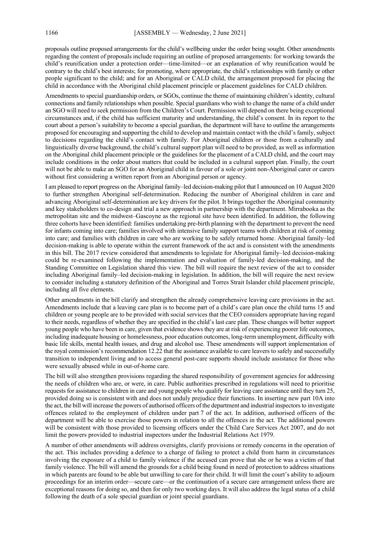proposals outline proposed arrangements for the child's wellbeing under the order being sought. Other amendments regarding the content of proposals include requiring an outline of proposed arrangements: for working towards the child's reunification under a protection order—time-limited—or an explanation of why reunification would be contrary to the child's best interests; for promoting, where appropriate, the child's relationships with family or other people significant to the child; and for an Aboriginal or CALD child, the arrangement proposed for placing the child in accordance with the Aboriginal child placement principle or placement guidelines for CALD children.

Amendments to special guardianship orders, or SGOs, continue the theme of maintaining children's identity, cultural connections and family relationships when possible. Special guardians who wish to change the name of a child under an SGO will need to seek permission from the Children's Court. Permission will depend on there being exceptional circumstances and, if the child has sufficient maturity and understanding, the child's consent. In its report to the court about a person's suitability to become a special guardian, the department will have to outline the arrangements proposed for encouraging and supporting the child to develop and maintain contact with the child's family, subject to decisions regarding the child's contact with family. For Aboriginal children or those from a culturally and linguistically diverse background, the child's cultural support plan will need to be provided, as well as information on the Aboriginal child placement principle or the guidelines for the placement of a CALD child, and the court may include conditions in the order about matters that could be included in a cultural support plan. Finally, the court will not be able to make an SGO for an Aboriginal child in favour of a sole or joint non-Aboriginal carer or carers without first considering a written report from an Aboriginal person or agency.

I am pleased to report progress on the Aboriginal family–led decision-making pilot that I announced on 10 August 2020 to further strengthen Aboriginal self-determination. Reducing the number of Aboriginal children in care and advancing Aboriginal self-determination are key drivers for the pilot. It brings together the Aboriginal community and key stakeholders to co-design and trial a new approach in partnership with the department. Mirrabooka as the metropolitan site and the midwest–Gascoyne as the regional site have been identified. In addition, the following three cohorts have been identified: families undertaking pre-birth planning with the department to prevent the need for infants coming into care; families involved with intensive family support teams with children at risk of coming into care; and families with children in care who are working to be safely returned home. Aboriginal family–led decision-making is able to operate within the current framework of the act and is consistent with the amendments in this bill. The 2017 review considered that amendments to legislate for Aboriginal family–led decision-making could be re-examined following the implementation and evaluation of family-led decision-making, and the Standing Committee on Legislation shared this view. The bill will require the next review of the act to consider including Aboriginal family–led decision-making in legislation. In addition, the bill will require the next review to consider including a statutory definition of the Aboriginal and Torres Strait Islander child placement principle, including all five elements.

Other amendments in the bill clarify and strengthen the already comprehensive leaving care provisions in the act. Amendments include that a leaving care plan is to become part of a child's care plan once the child turns 15 and children or young people are to be provided with social services that the CEO considers appropriate having regard to their needs, regardless of whether they are specified in the child's last care plan. These changes will better support young people who have been in care, given that evidence shows they are at risk of experiencing poorer life outcomes, including inadequate housing or homelessness, poor education outcomes, long-term unemployment, difficulty with basic life skills, mental health issues, and drug and alcohol use. These amendments will support implementation of the royal commission's recommendation 12.22 that the assistance available to care leavers to safely and successfully transition to independent living and to access general post-care supports should include assistance for those who were sexually abused while in out-of-home care.

The bill will also strengthen provisions regarding the shared responsibility of government agencies for addressing the needs of children who are, or were, in care. Public authorities prescribed in regulations will need to prioritise requests for assistance to children in care and young people who qualify for leaving care assistance until they turn 25, provided doing so is consistent with and does not unduly prejudice their functions. In inserting new part 10A into the act, the bill will increase the powers of authorised officers of the department and industrial inspectors to investigate offences related to the employment of children under part 7 of the act. In addition, authorised officers of the department will be able to exercise those powers in relation to all the offences in the act. The additional powers will be consistent with those provided to licensing officers under the Child Care Services Act 2007, and do not limit the powers provided to industrial inspectors under the Industrial Relations Act 1979.

A number of other amendments will address oversights, clarify provisions or remedy concerns in the operation of the act. This includes providing a defence to a charge of failing to protect a child from harm in circumstances involving the exposure of a child to family violence if the accused can prove that she or he was a victim of that family violence. The bill will amend the grounds for a child being found in need of protection to address situations in which parents are found to be able but unwilling to care for their child. It will limit the court's ability to adjourn proceedings for an interim order—secure care—or the continuation of a secure care arrangement unless there are exceptional reasons for doing so, and then for only two working days. It will also address the legal status of a child following the death of a sole special guardian or joint special guardians.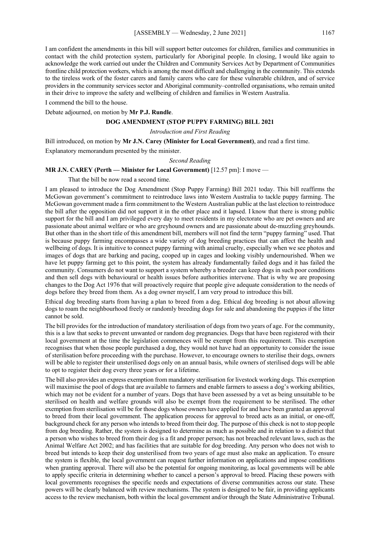I am confident the amendments in this bill will support better outcomes for children, families and communities in contact with the child protection system, particularly for Aboriginal people. In closing, I would like again to acknowledge the work carried out under the Children and Community Services Act by Department of Communities frontline child protection workers, which is among the most difficult and challenging in the community. This extends to the tireless work of the foster carers and family carers who care for these vulnerable children, and of service providers in the community services sector and Aboriginal community–controlled organisations, who remain united in their drive to improve the safety and wellbeing of children and families in Western Australia.

I commend the bill to the house.

Debate adjourned, on motion by **Mr P.J. Rundle**.

#### **DOG AMENDMENT (STOP PUPPY FARMING) BILL 2021**

#### *Introduction and First Reading*

Bill introduced, on motion by **Mr J.N. Carey (Minister for Local Government)**, and read a first time. Explanatory memorandum presented by the minister.

#### *Second Reading*

#### **MR J.N. CAREY (Perth — Minister for Local Government)** [12.57 pm]: I move —

That the bill be now read a second time.

I am pleased to introduce the Dog Amendment (Stop Puppy Farming) Bill 2021 today. This bill reaffirms the McGowan government's commitment to reintroduce laws into Western Australia to tackle puppy farming. The McGowan government made a firm commitment to the Western Australian public at the last election to reintroduce the bill after the opposition did not support it in the other place and it lapsed. I know that there is strong public support for the bill and I am privileged every day to meet residents in my electorate who are pet owners and are passionate about animal welfare or who are greyhound owners and are passionate about de-muzzling greyhounds. But other than in the short title of this amendment bill, members will not find the term "puppy farming" used. That is because puppy farming encompasses a wide variety of dog breeding practices that can affect the health and wellbeing of dogs. It is intuitive to connect puppy farming with animal cruelty, especially when we see photos and images of dogs that are barking and pacing, cooped up in cages and looking visibly undernourished. When we have let puppy farming get to this point, the system has already fundamentally failed dogs and it has failed the community. Consumers do not want to support a system whereby a breeder can keep dogs in such poor conditions and then sell dogs with behavioural or health issues before authorities intervene. That is why we are proposing changes to the Dog Act 1976 that will proactively require that people give adequate consideration to the needs of dogs before they breed from them. As a dog owner myself, I am very proud to introduce this bill.

Ethical dog breeding starts from having a plan to breed from a dog. Ethical dog breeding is not about allowing dogs to roam the neighbourhood freely or randomly breeding dogs for sale and abandoning the puppies if the litter cannot be sold.

The bill provides for the introduction of mandatory sterilisation of dogs from two years of age. For the community, this is a law that seeks to prevent unwanted or random dog pregnancies. Dogs that have been registered with their local government at the time the legislation commences will be exempt from this requirement. This exemption recognises that when those people purchased a dog, they would not have had an opportunity to consider the issue of sterilisation before proceeding with the purchase. However, to encourage owners to sterilise their dogs, owners will be able to register their unsterilised dogs only on an annual basis, while owners of sterilised dogs will be able to opt to register their dog every three years or for a lifetime.

The bill also provides an express exemption from mandatory sterilisation for livestock working dogs. This exemption will maximise the pool of dogs that are available to farmers and enable farmers to assess a dog's working abilities, which may not be evident for a number of years. Dogs that have been assessed by a vet as being unsuitable to be sterilised on health and welfare grounds will also be exempt from the requirement to be sterilised. The other exemption from sterilisation will be for those dogs whose owners have applied for and have been granted an approval to breed from their local government. The application process for approval to breed acts as an initial, or one-off, background check for any person who intends to breed from their dog. The purpose of this check is not to stop people from dog breeding. Rather, the system is designed to determine as much as possible and in relation to a district that a person who wishes to breed from their dog is a fit and proper person; has not breached relevant laws, such as the Animal Welfare Act 2002; and has facilities that are suitable for dog breeding. Any person who does not wish to breed but intends to keep their dog unsterilised from two years of age must also make an application. To ensure the system is flexible, the local government can request further information on applications and impose conditions when granting approval. There will also be the potential for ongoing monitoring, as local governments will be able to apply specific criteria in determining whether to cancel a person's approval to breed. Placing these powers with local governments recognises the specific needs and expectations of diverse communities across our state. These powers will be clearly balanced with review mechanisms. The system is designed to be fair, in providing applicants access to the review mechanism, both within the local government and/or through the State Administrative Tribunal.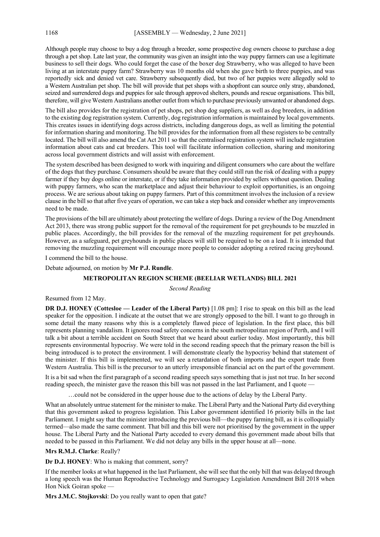Although people may choose to buy a dog through a breeder, some prospective dog owners choose to purchase a dog through a pet shop. Late last year, the community was given an insight into the way puppy farmers can use a legitimate business to sell their dogs. Who could forget the case of the boxer dog Strawberry, who was alleged to have been living at an interstate puppy farm? Strawberry was 10 months old when she gave birth to three puppies, and was reportedly sick and denied vet care. Strawberry subsequently died, but two of her puppies were allegedly sold to a Western Australian pet shop. The bill will provide that pet shops with a shopfront can source only stray, abandoned, seized and surrendered dogs and puppies for sale through approved shelters, pounds and rescue organisations. This bill, therefore, will give Western Australians another outlet from which to purchase previously unwanted or abandoned dogs.

The bill also provides for the registration of pet shops, pet shop dog suppliers, as well as dog breeders, in addition to the existing dog registration system. Currently, dog registration information is maintained by local governments. This creates issues in identifying dogs across districts, including dangerous dogs, as well as limiting the potential for information sharing and monitoring. The bill provides for the information from all these registers to be centrally located. The bill will also amend the Cat Act 2011 so that the centralised registration system will include registration information about cats and cat breeders. This tool will facilitate information collection, sharing and monitoring across local government districts and will assist with enforcement.

The system described has been designed to work with inquiring and diligent consumers who care about the welfare of the dogs that they purchase. Consumers should be aware that they could still run the risk of dealing with a puppy farmer if they buy dogs online or interstate, or if they take information provided by sellers without question. Dealing with puppy farmers, who scan the marketplace and adjust their behaviour to exploit opportunities, is an ongoing process. We are serious about taking on puppy farmers. Part of this commitment involves the inclusion of a review clause in the bill so that after five years of operation, we can take a step back and consider whether any improvements need to be made.

The provisions of the bill are ultimately about protecting the welfare of dogs. During a review of the Dog Amendment Act 2013, there was strong public support for the removal of the requirement for pet greyhounds to be muzzled in public places. Accordingly, the bill provides for the removal of the muzzling requirement for pet greyhounds. However, as a safeguard, pet greyhounds in public places will still be required to be on a lead. It is intended that removing the muzzling requirement will encourage more people to consider adopting a retired racing greyhound.

I commend the bill to the house.

Debate adjourned, on motion by **Mr P.J. Rundle**.

## **METROPOLITAN REGION SCHEME (BEELIAR WETLANDS) BILL 2021**

## *Second Reading*

Resumed from 12 May.

**DR D.J. HONEY (Cottesloe — Leader of the Liberal Party)** [1.08 pm]: I rise to speak on this bill as the lead speaker for the opposition. I indicate at the outset that we are strongly opposed to the bill. I want to go through in some detail the many reasons why this is a completely flawed piece of legislation. In the first place, this bill represents planning vandalism. It ignores road safety concerns in the south metropolitan region of Perth, and I will talk a bit about a terrible accident on South Street that we heard about earlier today. Most importantly, this bill represents environmental hypocrisy. We were told in the second reading speech that the primary reason the bill is being introduced is to protect the environment. I will demonstrate clearly the hypocrisy behind that statement of the minister. If this bill is implemented, we will see a retardation of both imports and the export trade from Western Australia. This bill is the precursor to an utterly irresponsible financial act on the part of the government.

It is a bit sad when the first paragraph of a second reading speech says something that is just not true. In her second reading speech, the minister gave the reason this bill was not passed in the last Parliament, and I quote –

…could not be considered in the upper house due to the actions of delay by the Liberal Party.

What an absolutely untrue statement for the minister to make. The Liberal Party and the National Party did everything that this government asked to progress legislation. This Labor government identified 16 priority bills in the last Parliament. I might say that the minister introducing the previous bill—the puppy farming bill, as it is colloquially termed—also made the same comment. That bill and this bill were not prioritised by the government in the upper house. The Liberal Party and the National Party acceded to every demand this government made about bills that needed to be passed in this Parliament. We did not delay any bills in the upper house at all—none.

## **Mrs R.M.J. Clarke**: Really?

**Dr D.J. HONEY**: Who is making that comment, sorry?

If the member looks at what happened in the last Parliament, she will see that the only bill that was delayed through a long speech was the Human Reproductive Technology and Surrogacy Legislation Amendment Bill 2018 when Hon Nick Goiran spoke -

**Mrs J.M.C. Stojkovski**: Do you really want to open that gate?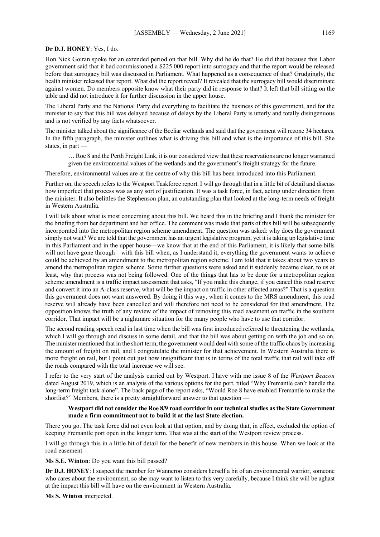#### **Dr D.J. HONEY**: Yes, I do.

Hon Nick Goiran spoke for an extended period on that bill. Why did he do that? He did that because this Labor government said that it had commissioned a \$225 000 report into surrogacy and that the report would be released before that surrogacy bill was discussed in Parliament. What happened as a consequence of that? Grudgingly, the health minister released that report. What did the report reveal? It revealed that the surrogacy bill would discriminate against women. Do members opposite know what their party did in response to that? It left that bill sitting on the table and did not introduce it for further discussion in the upper house.

The Liberal Party and the National Party did everything to facilitate the business of this government, and for the minister to say that this bill was delayed because of delays by the Liberal Party is utterly and totally disingenuous and is not verified by any facts whatsoever.

The minister talked about the significance of the Beeliar wetlands and said that the government will rezone 34 hectares. In the fifth paragraph, the minister outlines what is driving this bill and what is the importance of this bill. She states, in part —

… Roe 8 and the Perth Freight Link, it is our considered view that these reservations are no longer warranted given the environmental values of the wetlands and the government's freight strategy for the future.

Therefore, environmental values are at the centre of why this bill has been introduced into this Parliament.

Further on, the speech refers to the Westport Taskforce report. I will go through that in a little bit of detail and discuss how imperfect that process was as any sort of justification. It was a task force, in fact, acting under direction from the minister. It also belittles the Stephenson plan, an outstanding plan that looked at the long-term needs of freight in Western Australia.

I will talk about what is most concerning about this bill. We heard this in the briefing and I thank the minister for the briefing from her department and her office. The comment was made that parts of this bill will be subsequently incorporated into the metropolitan region scheme amendment. The question was asked: why does the government simply not wait? We are told that the government has an urgent legislative program, yet it is taking up legislative time in this Parliament and in the upper house—we know that at the end of this Parliament, it is likely that some bills will not have gone through—with this bill when, as I understand it, everything the government wants to achieve could be achieved by an amendment to the metropolitan region scheme. I am told that it takes about two years to amend the metropolitan region scheme. Some further questions were asked and it suddenly became clear, to us at least, why that process was not being followed. One of the things that has to be done for a metropolitan region scheme amendment is a traffic impact assessment that asks, "If you make this change, if you cancel this road reserve and convert it into an A-class reserve, what will be the impact on traffic in other affected areas?" That is a question this government does not want answered. By doing it this way, when it comes to the MRS amendment, this road reserve will already have been cancelled and will therefore not need to be considered for that amendment. The opposition knows the truth of any review of the impact of removing this road easement on traffic in the southern corridor. That impact will be a nightmare situation for the many people who have to use that corridor.

The second reading speech read in last time when the bill was first introduced referred to threatening the wetlands, which I will go through and discuss in some detail, and that the bill was about getting on with the job and so on. The minister mentioned that in the short term, the government would deal with some of the traffic chaos by increasing the amount of freight on rail, and I congratulate the minister for that achievement. In Western Australia there is more freight on rail, but I point out just how insignificant that is in terms of the total traffic that rail will take off the roads compared with the total increase we will see.

I refer to the very start of the analysis carried out by Westport. I have with me issue 8 of the *Westport Beacon* dated August 2019, which is an analysis of the various options for the port, titled "Why Fremantle can't handle the long-term freight task alone". The back page of the report asks, "Would Roe 8 have enabled Fremantle to make the shortlist?" Members, there is a pretty straightforward answer to that question —

## **Westport did not consider the Roe 8/9 road corridor in our technical studies as the State Government made a firm commitment not to build it at the last State election.**

There you go. The task force did not even look at that option, and by doing that, in effect, excluded the option of keeping Fremantle port open in the longer term. That was at the start of the Westport review process.

I will go through this in a little bit of detail for the benefit of new members in this house. When we look at the road easement —

**Ms S.E. Winton**: Do you want this bill passed?

**Dr D.J. HONEY**: I suspect the member for Wanneroo considers herself a bit of an environmental warrior, someone who cares about the environment, so she may want to listen to this very carefully, because I think she will be aghast at the impact this bill will have on the environment in Western Australia.

**Ms S. Winton** interjected.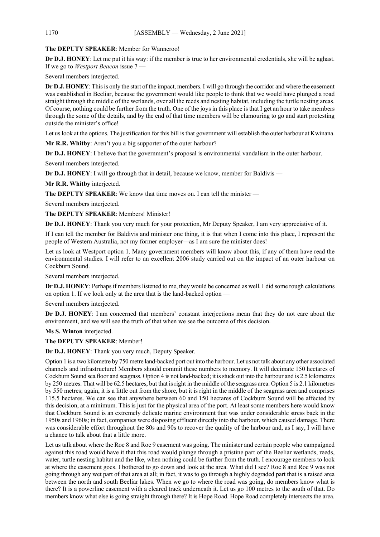# **The DEPUTY SPEAKER**: Member for Wanneroo!

**Dr D.J. HONEY**: Let me put it his way: if the member is true to her environmental credentials, she will be aghast. If we go to *Westport Beacon* issue 7 —

Several members interjected.

**Dr D.J. HONEY**: This is only the start of the impact, members. I will go through the corridor and where the easement was established in Beeliar, because the government would like people to think that we would have plunged a road straight through the middle of the wetlands, over all the reeds and nesting habitat, including the turtle nesting areas. Of course, nothing could be further from the truth. One of the joys in this place is that I get an hour to take members through the some of the details, and by the end of that time members will be clamouring to go and start protesting outside the minister's office!

Let us look at the options. The justification for this bill is that government will establish the outer harbour at Kwinana.

**Mr R.R. Whitby**: Aren't you a big supporter of the outer harbour?

**Dr D.J. HONEY**: I believe that the government's proposal is environmental vandalism in the outer harbour.

Several members interjected.

**Dr D.J. HONEY**: I will go through that in detail, because we know, member for Baldivis —

**Mr R.R. Whitby** interjected.

The DEPUTY SPEAKER: We know that time moves on. I can tell the minister —

Several members interjected.

**The DEPUTY SPEAKER**: Members! Minister!

**Dr D.J. HONEY**: Thank you very much for your protection, Mr Deputy Speaker, I am very appreciative of it.

If I can tell the member for Baldivis and minister one thing, it is that when I come into this place, I represent the people of Western Australia, not my former employer—as I am sure the minister does!

Let us look at Westport option 1. Many government members will know about this, if any of them have read the environmental studies. I will refer to an excellent 2006 study carried out on the impact of an outer harbour on Cockburn Sound.

Several members interjected.

**Dr D.J. HONEY**: Perhaps if members listened to me, they would be concerned as well. I did some rough calculations on option 1. If we look only at the area that is the land-backed option —

Several members interjected.

**Dr D.J. HONEY**: I am concerned that members' constant interjections mean that they do not care about the environment, and we will see the truth of that when we see the outcome of this decision.

**Ms S. Winton** interjected.

**The DEPUTY SPEAKER**: Member!

**Dr D.J. HONEY**: Thank you very much, Deputy Speaker.

Option 1 is a two kilometre by 750 metre land-backed port out into the harbour. Let us not talk about any other associated channels and infrastructure! Members should commit these numbers to memory. It will decimate 150 hectares of Cockburn Sound sea floor and seagrass. Option 4 is not land-backed; it is stuck out into the harbour and is 2.5 kilometres by 250 metres. That will be 62.5 hectares, but that is right in the middle of the seagrass area. Option 5 is 2.1 kilometres by 550 metres; again, it is a little out from the shore, but it is right in the middle of the seagrass area and comprises 115.5 hectares. We can see that anywhere between 60 and 150 hectares of Cockburn Sound will be affected by this decision, at a minimum. This is just for the physical area of the port. At least some members here would know that Cockburn Sound is an extremely delicate marine environment that was under considerable stress back in the 1950s and 1960s; in fact, companies were disposing effluent directly into the harbour, which caused damage. There was considerable effort throughout the 80s and 90s to recover the quality of the harbour and, as I say, I will have a chance to talk about that a little more.

Let us talk about where the Roe 8 and Roe 9 easement was going. The minister and certain people who campaigned against this road would have it that this road would plunge through a pristine part of the Beeliar wetlands, reeds, water, turtle nesting habitat and the like, when nothing could be further from the truth. I encourage members to look at where the easement goes. I bothered to go down and look at the area. What did I see? Roe 8 and Roe 9 was not going through any wet part of that area at all; in fact, it was to go through a highly degraded part that is a raised area between the north and south Beeliar lakes. When we go to where the road was going, do members know what is there? It is a powerline easement with a cleared track underneath it. Let us go 100 metres to the south of that. Do members know what else is going straight through there? It is Hope Road. Hope Road completely intersects the area.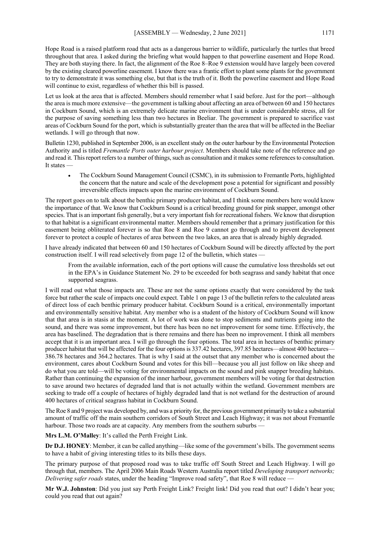Hope Road is a raised platform road that acts as a dangerous barrier to wildlife, particularly the turtles that breed throughout that area. I asked during the briefing what would happen to that powerline easement and Hope Road. They are both staying there. In fact, the alignment of the Roe 8–Roe 9 extension would have largely been covered by the existing cleared powerline easement. I know there was a frantic effort to plant some plants for the government to try to demonstrate it was something else, but that is the truth of it. Both the powerline easement and Hope Road will continue to exist, regardless of whether this bill is passed.

Let us look at the area that is affected. Members should remember what I said before. Just for the port—although the area is much more extensive—the government is talking about affecting an area of between 60 and 150 hectares in Cockburn Sound, which is an extremely delicate marine environment that is under considerable stress, all for the purpose of saving something less than two hectares in Beeliar. The government is prepared to sacrifice vast areas of Cockburn Sound for the port, which is substantially greater than the area that will be affected in the Beeliar wetlands. I will go through that now.

Bulletin 1230, published in September 2006, is an excellent study on the outer harbour by the Environmental Protection Authority and is titled *Fremantle Ports outer harbour project*. Members should take note of the reference and go and read it. This report refers to a number of things, such as consultation and it makes some references to consultation. It states —

• The Cockburn Sound Management Council (CSMC), in its submission to Fremantle Ports, highlighted the concern that the nature and scale of the development pose a potential for significant and possibly irreversible effects impacts upon the marine environment of Cockburn Sound.

The report goes on to talk about the benthic primary producer habitat, and I think some members here would know the importance of that. We know that Cockburn Sound is a critical breeding ground for pink snapper, amongst other species. That is an important fish generally, but a very important fish for recreational fishers. We know that disruption to that habitat is a significant environmental matter. Members should remember that a primary justification for this easement being obliterated forever is so that Roe 8 and Roe 9 cannot go through and to prevent development forever to protect a couple of hectares of area between the two lakes, an area that is already highly degraded.

I have already indicated that between 60 and 150 hectares of Cockburn Sound will be directly affected by the port construction itself. I will read selectively from page 12 of the bulletin, which states —

From the available information, each of the port options will cause the cumulative loss thresholds set out in the EPA's in Guidance Statement No. 29 to be exceeded for both seagrass and sandy habitat that once supported seagrass.

I will read out what those impacts are. These are not the same options exactly that were considered by the task force but rather the scale of impacts one could expect. Table 1 on page 13 of the bulletin refers to the calculated areas of direct loss of each benthic primary producer habitat. Cockburn Sound is a critical, environmentally important and environmentally sensitive habitat. Any member who is a student of the history of Cockburn Sound will know that that area is in stasis at the moment. A lot of work was done to stop sediments and nutrients going into the sound, and there was some improvement, but there has been no net improvement for some time. Effectively, the area has baselined. The degradation that is there remains and there has been no improvement. I think all members accept that it is an important area. I will go through the four options. The total area in hectares of benthic primary producer habitat that will be affected for the four options is 337.42 hectares, 397.85 hectares—almost 400 hectares— 386.78 hectares and 364.2 hectares. That is why I said at the outset that any member who is concerned about the environment, cares about Cockburn Sound and votes for this bill—because you all just follow on like sheep and do what you are told—will be voting for environmental impacts on the sound and pink snapper breeding habitats. Rather than continuing the expansion of the inner harbour, government members will be voting for that destruction to save around two hectares of degraded land that is not actually within the wetland. Government members are seeking to trade off a couple of hectares of highly degraded land that is not wetland for the destruction of around 400 hectares of critical seagrass habitat in Cockburn Sound.

The Roe 8 and 9 project was developed by, and was a priority for, the previous government primarily to take a substantial amount of traffic off the main southern corridors of South Street and Leach Highway; it was not about Fremantle harbour. Those two roads are at capacity. Any members from the southern suburbs —

**Mrs L.M. O'Malley**: It's called the Perth Freight Link.

**Dr D.J. HONEY**: Member, it can be called anything—like some of the government's bills. The government seems to have a habit of giving interesting titles to its bills these days.

The primary purpose of that proposed road was to take traffic off South Street and Leach Highway. I will go through that, members. The April 2006 Main Roads Western Australia report titled *Developing transport networks; Delivering safer roads* states, under the heading "Improve road safety", that Roe 8 will reduce -

**Mr W.J. Johnston**: Did you just say Perth Freight Link? Freight link! Did you read that out? I didn't hear you; could you read that out again?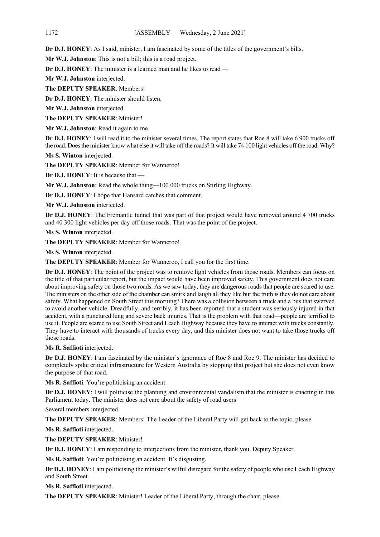**Dr D.J. HONEY**: As I said, minister, I am fascinated by some of the titles of the government's bills.

**Mr W.J. Johnston**: This is not a bill; this is a road project.

**Dr D.J. HONEY**: The minister is a learned man and he likes to read —

**Mr W.J. Johnston** interjected.

**The DEPUTY SPEAKER**: Members!

**Dr D.J. HONEY**: The minister should listen.

**Mr W.J. Johnston** interjected.

**The DEPUTY SPEAKER**: Minister!

**Mr W.J. Johnston**: Read it again to me.

**Dr D.J. HONEY**: I will read it to the minister several times. The report states that Roe 8 will take 6 900 trucks off the road. Does the minister know what else it will take off the roads? It will take 74 100 light vehicles off the road. Why?

**Ms S. Winton** interjected.

**The DEPUTY SPEAKER**: Member for Wanneroo!

**Dr D.J. HONEY**: It is because that —

**Mr W.J. Johnston**: Read the whole thing—100 000 trucks on Stirling Highway.

**Dr D.J. HONEY**: I hope that Hansard catches that comment.

**Mr W.J. Johnston** interjected.

**Dr D.J. HONEY**: The Fremantle tunnel that was part of that project would have removed around 4 700 trucks and 40 300 light vehicles per day off those roads. That was the point of the project.

**Ms S. Winton** interjected.

**The DEPUTY SPEAKER**: Member for Wanneroo!

**Ms S. Winton** interjected.

**The DEPUTY SPEAKER**: Member for Wanneroo, I call you for the first time.

**Dr D.J. HONEY**: The point of the project was to remove light vehicles from those roads. Members can focus on the title of that particular report, but the impact would have been improved safety. This government does not care about improving safety on those two roads. As we saw today, they are dangerous roads that people are scared to use. The ministers on the other side of the chamber can smirk and laugh all they like but the truth is they do not care about safety. What happened on South Street this morning? There was a collision between a truck and a bus that swerved to avoid another vehicle. Dreadfully, and terribly, it has been reported that a student was seriously injured in that accident, with a punctured lung and severe back injuries. That is the problem with that road—people are terrified to use it. People are scared to use South Street and Leach Highway because they have to interact with trucks constantly. They have to interact with thousands of trucks every day, and this minister does not want to take those trucks off those roads.

**Ms R. Saffioti** interjected.

**Dr D.J. HONEY**: I am fascinated by the minister's ignorance of Roe 8 and Roe 9. The minister has decided to completely spike critical infrastructure for Western Australia by stopping that project but she does not even know the purpose of that road.

**Ms R. Saffioti**: You're politicising an accident.

**Dr D.J. HONEY**: I will politicise the planning and environmental vandalism that the minister is enacting in this Parliament today. The minister does not care about the safety of road users -

Several members interjected.

**The DEPUTY SPEAKER**: Members! The Leader of the Liberal Party will get back to the topic, please.

**Ms R. Saffioti** interjected.

**The DEPUTY SPEAKER**: Minister!

**Dr D.J. HONEY**: I am responding to interjections from the minister, thank you, Deputy Speaker.

**Ms R. Saffioti**: You're politicising an accident. It's disgusting.

**Dr D.J. HONEY**: I am politicising the minister's wilful disregard for the safety of people who use Leach Highway and South Street.

**Ms R. Saffioti** interjected.

**The DEPUTY SPEAKER**: Minister! Leader of the Liberal Party, through the chair, please.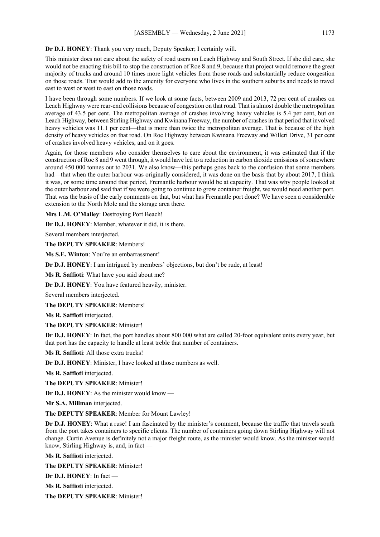# **Dr D.J. HONEY**: Thank you very much, Deputy Speaker; I certainly will.

This minister does not care about the safety of road users on Leach Highway and South Street. If she did care, she would not be enacting this bill to stop the construction of Roe 8 and 9, because that project would remove the great majority of trucks and around 10 times more light vehicles from those roads and substantially reduce congestion on those roads. That would add to the amenity for everyone who lives in the southern suburbs and needs to travel east to west or west to east on those roads.

I have been through some numbers. If we look at some facts, between 2009 and 2013, 72 per cent of crashes on Leach Highway were rear-end collisions because of congestion on that road. That is almost double the metropolitan average of 43.5 per cent. The metropolitan average of crashes involving heavy vehicles is 5.4 per cent, but on Leach Highway, between Stirling Highway and Kwinana Freeway, the number of crashes in that period that involved heavy vehicles was 11.1 per cent—that is more than twice the metropolitan average. That is because of the high density of heavy vehicles on that road. On Roe Highway between Kwinana Freeway and Willeri Drive, 31 per cent of crashes involved heavy vehicles, and on it goes.

Again, for those members who consider themselves to care about the environment, it was estimated that if the construction of Roe 8 and 9 went through, it would have led to a reduction in carbon dioxide emissions of somewhere around 450 000 tonnes out to 2031. We also know—this perhaps goes back to the confusion that some members had—that when the outer harbour was originally considered, it was done on the basis that by about 2017, I think it was, or some time around that period, Fremantle harbour would be at capacity. That was why people looked at the outer harbour and said that if we were going to continue to grow container freight, we would need another port. That was the basis of the early comments on that, but what has Fremantle port done? We have seen a considerable extension to the North Mole and the storage area there.

**Mrs L.M. O'Malley**: Destroying Port Beach!

**Dr D.J. HONEY**: Member, whatever it did, it is there.

Several members interjected.

**The DEPUTY SPEAKER**: Members!

**Ms S.E. Winton**: You're an embarrassment!

**Dr D.J. HONEY**: I am intrigued by members' objections, but don't be rude, at least!

**Ms R. Saffioti**: What have you said about me?

**Dr D.J. HONEY**: You have featured heavily, minister.

Several members interjected.

**The DEPUTY SPEAKER**: Members!

**Ms R. Saffioti** interjected.

**The DEPUTY SPEAKER**: Minister!

**Dr D.J. HONEY**: In fact, the port handles about 800 000 what are called 20-foot equivalent units every year, but that port has the capacity to handle at least treble that number of containers.

**Ms R. Saffioti**: All those extra trucks!

**Dr D.J. HONEY**: Minister, I have looked at those numbers as well.

**Ms R. Saffioti** interjected.

**The DEPUTY SPEAKER**: Minister!

**Dr D.J. HONEY**: As the minister would know —

**Mr S.A. Millman** interjected.

**The DEPUTY SPEAKER**: Member for Mount Lawley!

**Dr D.J. HONEY**: What a ruse! I am fascinated by the minister's comment, because the traffic that travels south from the port takes containers to specific clients. The number of containers going down Stirling Highway will not change. Curtin Avenue is definitely not a major freight route, as the minister would know. As the minister would know, Stirling Highway is, and, in fact —

**Ms R. Saffioti** interjected.

**The DEPUTY SPEAKER**: Minister!

**Dr D.J. HONEY**: In fact —

**Ms R. Saffioti** interjected.

**The DEPUTY SPEAKER**: Minister!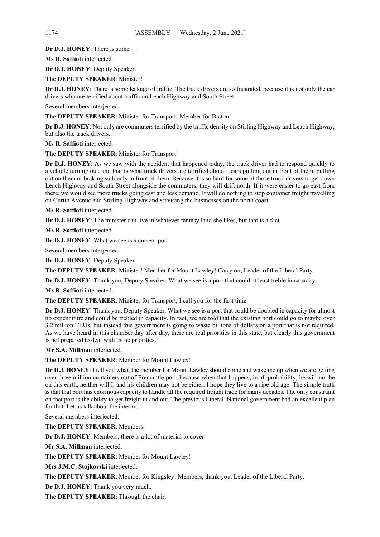**Dr D.J. HONEY**: There is some —

**Ms R. Saffioti** interjected.

**Dr D.J. HONEY**: Deputy Speaker.

**The DEPUTY SPEAKER**: Minister!

**Dr D.J. HONEY**: There is some leakage of traffic. The truck drivers are so frustrated, because it is not only the car drivers who are terrified about traffic on Leach Highway and South Street —

Several members interjected.

**The DEPUTY SPEAKER**: Minister for Transport! Member for Bicton!

**Dr D.J. HONEY**: Not only are commuters terrified by the traffic density on Stirling Highway and Leach Highway, but also the truck drivers.

**Ms R. Saffioti** interjected.

**The DEPUTY SPEAKER**: Minister for Transport!

**Dr D.J. HONEY**: As we saw with the accident that happened today, the truck driver had to respond quickly to a vehicle turning out, and that is what truck drivers are terrified about—cars pulling out in front of them, pulling out on them or braking suddenly in front of them. Because it is so hard for some of those truck drivers to get down Leach Highway and South Street alongside the commuters, they will drift north. If it were easier to go east from there, we would see more trucks going east and less demand. It will do nothing to stop container freight travelling on Curtin Avenue and Stirling Highway and servicing the businesses on the north coast.

**Ms R. Saffioti** interjected.

**Dr D.J. HONEY**: The minister can live in whatever fantasy land she likes, but that is a fact.

**Ms R. Saffioti** interjected.

**Dr D.J. HONEY**: What we see is a current port —

Several members interjected.

**Dr D.J. HONEY**: Deputy Speaker.

**The DEPUTY SPEAKER**: Minister! Member for Mount Lawley! Carry on, Leader of the Liberal Party.

**Dr D.J. HONEY**: Thank you, Deputy Speaker. What we see is a port that could at least treble in capacity —

**Ms R. Saffioti** interjected.

**The DEPUTY SPEAKER**: Minister for Transport, I call you for the first time.

**Dr D.J. HONEY**: Thank you, Deputy Speaker. What we see is a port that could be doubled in capacity for almost no expenditure and could be trebled in capacity. In fact, we are told that the existing port could go to maybe over 3.2 million TEUs, but instead this government is going to waste billions of dollars on a port that is not required. As we have heard in this chamber day after day, there are real priorities in this state, but clearly this government is not prepared to deal with those priorities.

**Mr S.A. Millman** interjected.

**The DEPUTY SPEAKER**: Member for Mount Lawley!

**Dr D.J. HONEY**: I tell you what, the member for Mount Lawley should come and wake me up when we are getting over three million containers out of Fremantle port, because when that happens, in all probability, he will not be on this earth, neither will I, and his children may not be either. I hope they live to a ripe old age. The simple truth is that that port has enormous capacity to handle all the required freight trade for many decades. The only constraint on that port is the ability to get freight in and out. The previous Liberal–National government had an excellent plan for that. Let us talk about the interim.

Several members interjected.

**The DEPUTY SPEAKER**: Members!

**Dr D.J. HONEY**: Members, there is a lot of material to cover.

**Mr S.A. Millman** interjected.

**The DEPUTY SPEAKER**: Member for Mount Lawley!

**Mrs J.M.C. Stojkovski** interjected.

**The DEPUTY SPEAKER**: Member for Kingsley! Members, thank you. Leader of the Liberal Party.

**Dr D.J. HONEY**: Thank you very much.

**The DEPUTY SPEAKER**: Through the chair.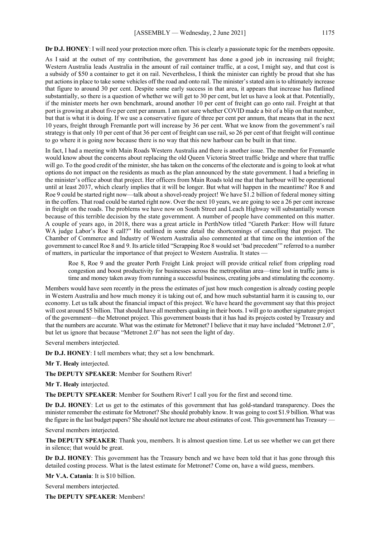**Dr D.J. HONEY**: I will need your protection more often. This is clearly a passionate topic for the members opposite.

As I said at the outset of my contribution, the government has done a good job in increasing rail freight; Western Australia leads Australia in the amount of rail container traffic, at a cost, I might say, and that cost is a subsidy of \$50 a container to get it on rail. Nevertheless, I think the minister can rightly be proud that she has put actions in place to take some vehicles off the road and onto rail. The minister's stated aim is to ultimately increase that figure to around 30 per cent. Despite some early success in that area, it appears that increase has flatlined substantially, so there is a question of whether we will get to 30 per cent, but let us have a look at that. Potentially, if the minister meets her own benchmark, around another 10 per cent of freight can go onto rail. Freight at that port is growing at about five per cent per annum. I am not sure whether COVID made a bit of a blip on that number, but that is what it is doing. If we use a conservative figure of three per cent per annum, that means that in the next 10 years, freight through Fremantle port will increase by 36 per cent. What we know from the government's rail strategy is that only 10 per cent of that 36 per cent of freight can use rail, so 26 per cent of that freight will continue to go where it is going now because there is no way that this new harbour can be built in that time.

In fact, I had a meeting with Main Roads Western Australia and there is another issue. The member for Fremantle would know about the concerns about replacing the old Queen Victoria Street traffic bridge and where that traffic will go. To the good credit of the minister, she has taken on the concerns of the electorate and is going to look at what options do not impact on the residents as much as the plan announced by the state government. I had a briefing in the minister's office about that project. Her officers from Main Roads told me that that harbour will be operational until at least 2037, which clearly implies that it will be longer. But what will happen in the meantime? Roe 8 and Roe 9 could be started right now—talk about a shovel-ready project! We have \$1.2 billion of federal money sitting in the coffers. That road could be started right now. Over the next 10 years, we are going to see a 26 per cent increase in freight on the roads. The problems we have now on South Street and Leach Highway will substantially worsen because of this terrible decision by the state government. A number of people have commented on this matter. A couple of years ago, in 2018, there was a great article in PerthNow titled "Gareth Parker: How will future WA judge Labor's Roe 8 call?" He outlined in some detail the shortcomings of cancelling that project. The Chamber of Commerce and Industry of Western Australia also commented at that time on the intention of the government to cancel Roe 8 and 9. Its article titled "Scrapping Roe 8 would set 'bad precedent'" referred to a number of matters, in particular the importance of that project to Western Australia. It states —

Roe 8, Roe 9 and the greater Perth Freight Link project will provide critical relief from crippling road congestion and boost productivity for businesses across the metropolitan area—time lost in traffic jams is time and money taken away from running a successful business, creating jobs and stimulating the economy.

Members would have seen recently in the press the estimates of just how much congestion is already costing people in Western Australia and how much money it is taking out of, and how much substantial harm it is causing to, our economy. Let us talk about the financial impact of this project. We have heard the government say that this project will cost around \$5 billion. That should have all members quaking in their boots. I will go to another signature project of the government—the Metronet project. This government boasts that it has had its projects costed by Treasury and that the numbers are accurate. What was the estimate for Metronet? I believe that it may have included "Metronet 2.0", but let us ignore that because "Metronet 2.0" has not seen the light of day.

Several members interjected.

**Dr D.J. HONEY**: I tell members what; they set a low benchmark.

**Mr T. Healy** interjected.

**The DEPUTY SPEAKER**: Member for Southern River!

**Mr T. Healy** interjected.

**The DEPUTY SPEAKER**: Member for Southern River! I call you for the first and second time.

**Dr D.J. HONEY**: Let us get to the estimates of this government that has gold-standard transparency. Does the minister remember the estimate for Metronet? She should probably know. It was going to cost \$1.9 billion. What was the figure in the last budget papers? She should not lecture me about estimates of cost. This government has Treasury —

Several members interjected.

**The DEPUTY SPEAKER**: Thank you, members. It is almost question time. Let us see whether we can get there in silence; that would be great.

**Dr D.J. HONEY**: This government has the Treasury bench and we have been told that it has gone through this detailed costing process. What is the latest estimate for Metronet? Come on, have a wild guess, members.

**Mr V.A. Catania**: It is \$10 billion.

Several members interjected.

**The DEPUTY SPEAKER**: Members!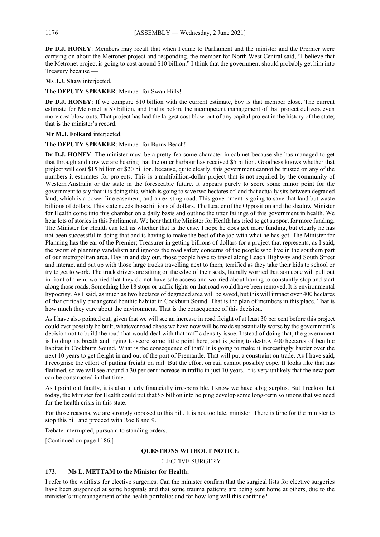**Dr D.J. HONEY**: Members may recall that when I came to Parliament and the minister and the Premier were carrying on about the Metronet project and responding, the member for North West Central said, "I believe that the Metronet project is going to cost around \$10 billion." I think that the government should probably get him into Treasury because —

**Ms J.J. Shaw** interjected.

## **The DEPUTY SPEAKER**: Member for Swan Hills!

**Dr D.J. HONEY**: If we compare \$10 billion with the current estimate, boy is that member close. The current estimate for Metronet is \$7 billion, and that is before the incompetent management of that project delivers even more cost blow-outs. That project has had the largest cost blow-out of any capital project in the history of the state; that is the minister's record.

#### **Mr M.J. Folkard** interjected.

## **The DEPUTY SPEAKER**: Member for Burns Beach!

**Dr D.J. HONEY**: The minister must be a pretty fearsome character in cabinet because she has managed to get that through and now we are hearing that the outer harbour has received \$5 billion. Goodness knows whether that project will cost \$15 billion or \$20 billion, because, quite clearly, this government cannot be trusted on any of the numbers it estimates for projects. This is a multibillion-dollar project that is not required by the community of Western Australia or the state in the foreseeable future. It appears purely to score some minor point for the government to say that it is doing this, which is going to save two hectares of land that actually sits between degraded land, which is a power line easement, and an existing road. This government is going to save that land but waste billions of dollars. This state needs those billions of dollars. The Leader of the Opposition and the shadow Minister for Health come into this chamber on a daily basis and outline the utter failings of this government in health. We hear lots of stories in this Parliament. We hear that the Minister for Health has tried to get support for more funding. The Minister for Health can tell us whether that is the case. I hope he does get more funding, but clearly he has not been successful in doing that and is having to make the best of the job with what he has got. The Minister for Planning has the ear of the Premier; Treasurer in getting billions of dollars for a project that represents, as I said, the worst of planning vandalism and ignores the road safety concerns of the people who live in the southern part of our metropolitan area. Day in and day out, those people have to travel along Leach Highway and South Street and interact and put up with those large trucks travelling next to them, terrified as they take their kids to school or try to get to work. The truck drivers are sitting on the edge of their seats, literally worried that someone will pull out in front of them, worried that they do not have safe access and worried about having to constantly stop and start along those roads. Something like 18 stops or traffic lights on that road would have been removed. It is environmental hypocrisy. As I said, as much as two hectares of degraded area will be saved, but this will impact over 400 hectares of that critically endangered benthic habitat in Cockburn Sound. That is the plan of members in this place. That is how much they care about the environment. That is the consequence of this decision.

As I have also pointed out, given that we will see an increase in road freight of at least 30 per cent before this project could ever possibly be built, whatever road chaos we have now will be made substantially worse by the government's decision not to build the road that would deal with that traffic density issue. Instead of doing that, the government is holding its breath and trying to score some little point here, and is going to destroy 400 hectares of benthic habitat in Cockburn Sound. What is the consequence of that? It is going to make it increasingly harder over the next 10 years to get freight in and out of the port of Fremantle. That will put a constraint on trade. As I have said, I recognise the effort of putting freight on rail. But the effort on rail cannot possibly cope. It looks like that has flatlined, so we will see around a 30 per cent increase in traffic in just 10 years. It is very unlikely that the new port can be constructed in that time.

As I point out finally, it is also utterly financially irresponsible. I know we have a big surplus. But I reckon that today, the Minister for Health could put that \$5 billion into helping develop some long-term solutions that we need for the health crisis in this state.

For those reasons, we are strongly opposed to this bill. It is not too late, minister. There is time for the minister to stop this bill and proceed with Roe 8 and 9.

Debate interrupted, pursuant to standing orders.

[Continued on page 1186.]

# **QUESTIONS WITHOUT NOTICE**

#### ELECTIVE SURGERY

# **173. Ms L. METTAM to the Minister for Health:**

I refer to the waitlists for elective surgeries. Can the minister confirm that the surgical lists for elective surgeries have been suspended at some hospitals and that some trauma patients are being sent home at others, due to the minister's mismanagement of the health portfolio; and for how long will this continue?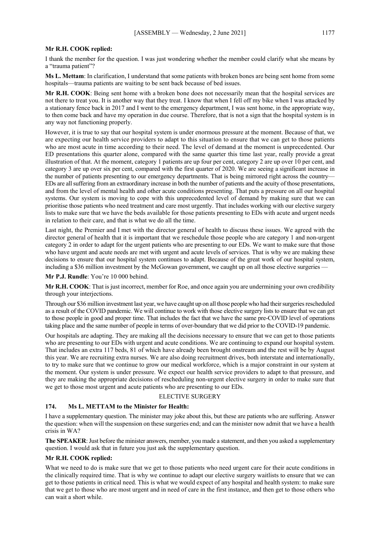I thank the member for the question. I was just wondering whether the member could clarify what she means by a "trauma patient"?

**Ms L. Mettam**: In clarification, I understand that some patients with broken bones are being sent home from some hospitals—trauma patients are waiting to be sent back because of bed issues.

**Mr R.H. COOK**: Being sent home with a broken bone does not necessarily mean that the hospital services are not there to treat you. It is another way that they treat. I know that when I fell off my bike when I was attacked by a stationary fence back in 2017 and I went to the emergency department, I was sent home, in the appropriate way, to then come back and have my operation in due course. Therefore, that is not a sign that the hospital system is in any way not functioning properly.

However, it is true to say that our hospital system is under enormous pressure at the moment. Because of that, we are expecting our health service providers to adapt to this situation to ensure that we can get to those patients who are most acute in time according to their need. The level of demand at the moment is unprecedented. Our ED presentations this quarter alone, compared with the same quarter this time last year, really provide a great illustration of that. At the moment, category 1 patients are up four per cent, category 2 are up over 10 per cent, and category 3 are up over six per cent, compared with the first quarter of 2020. We are seeing a significant increase in the number of patients presenting to our emergency departments. That is being mirrored right across the country— EDs are all suffering from an extraordinary increase in both the number of patients and the acuity of those presentations, and from the level of mental health and other acute conditions presenting. That puts a pressure on all our hospital systems. Our system is moving to cope with this unprecedented level of demand by making sure that we can prioritise those patients who need treatment and care most urgently. That includes working with our elective surgery lists to make sure that we have the beds available for those patients presenting to EDs with acute and urgent needs in relation to their care, and that is what we do all the time.

Last night, the Premier and I met with the director general of health to discuss these issues. We agreed with the director general of health that it is important that we reschedule those people who are category 1 and non-urgent category 2 in order to adapt for the urgent patients who are presenting to our EDs. We want to make sure that those who have urgent and acute needs are met with urgent and acute levels of services. That is why we are making these decisions to ensure that our hospital system continues to adapt. Because of the great work of our hospital system, including a \$36 million investment by the McGowan government, we caught up on all those elective surgeries –

**Mr P.J. Rundle**: You're 10 000 behind.

**Mr R.H. COOK**: That is just incorrect, member for Roe, and once again you are undermining your own credibility through your interjections.

Through our \$36 million investment last year, we have caught up on all those people who had their surgeries rescheduled as a result of the COVID pandemic. We will continue to work with those elective surgery lists to ensure that we can get to those people in good and proper time. That includes the fact that we have the same pre-COVID level of operations taking place and the same number of people in terms of over-boundary that we did prior to the COVID-19 pandemic.

Our hospitals are adapting. They are making all the decisions necessary to ensure that we can get to those patients who are presenting to our EDs with urgent and acute conditions. We are continuing to expand our hospital system. That includes an extra 117 beds, 81 of which have already been brought onstream and the rest will be by August this year. We are recruiting extra nurses. We are also doing recruitment drives, both interstate and internationally, to try to make sure that we continue to grow our medical workforce, which is a major constraint in our system at the moment. Our system is under pressure. We expect our health service providers to adapt to that pressure, and they are making the appropriate decisions of rescheduling non-urgent elective surgery in order to make sure that we get to those most urgent and acute patients who are presenting to our EDs.

# ELECTIVE SURGERY

#### **174. Ms L. METTAM to the Minister for Health:**

I have a supplementary question. The minister may joke about this, but these are patients who are suffering. Answer the question: when will the suspension on these surgeries end; and can the minister now admit that we have a health crisis in WA?

**The SPEAKER**: Just before the minister answers, member, you made a statement, and then you asked a supplementary question. I would ask that in future you just ask the supplementary question.

#### **Mr R.H. COOK replied:**

What we need to do is make sure that we get to those patients who need urgent care for their acute conditions in the clinically required time. That is why we continue to adapt our elective surgery waitlists to ensure that we can get to those patients in critical need. This is what we would expect of any hospital and health system: to make sure that we get to those who are most urgent and in need of care in the first instance, and then get to those others who can wait a short while.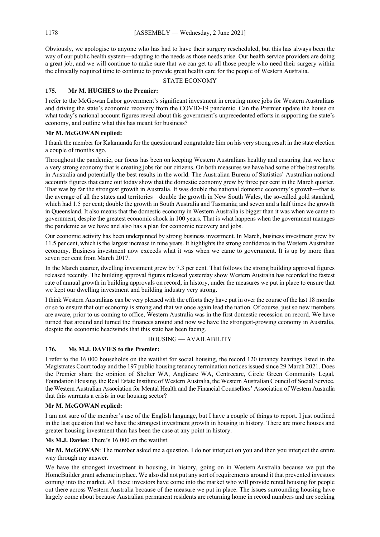Obviously, we apologise to anyone who has had to have their surgery rescheduled, but this has always been the way of our public health system—adapting to the needs as those needs arise. Our health service providers are doing a great job, and we will continue to make sure that we can get to all those people who need their surgery within the clinically required time to continue to provide great health care for the people of Western Australia.

## STATE ECONOMY

# **175. Mr M. HUGHES to the Premier:**

I refer to the McGowan Labor government's significant investment in creating more jobs for Western Australians and driving the state's economic recovery from the COVID-19 pandemic. Can the Premier update the house on what today's national account figures reveal about this government's unprecedented efforts in supporting the state's economy, and outline what this has meant for business?

# **Mr M. McGOWAN replied:**

I thank the member for Kalamunda for the question and congratulate him on his very strong result in the state election a couple of months ago.

Throughout the pandemic, our focus has been on keeping Western Australians healthy and ensuring that we have a very strong economy that is creating jobs for our citizens. On both measures we have had some of the best results in Australia and potentially the best results in the world. The Australian Bureau of Statistics' Australian national accounts figures that came out today show that the domestic economy grew by three per cent in the March quarter. That was by far the strongest growth in Australia. It was double the national domestic economy's growth—that is the average of all the states and territories—double the growth in New South Wales, the so-called gold standard, which had 1.5 per cent; double the growth in South Australia and Tasmania; and seven and a half times the growth in Queensland. It also means that the domestic economy in Western Australia is bigger than it was when we came to government, despite the greatest economic shock in 100 years. That is what happens when the government manages the pandemic as we have and also has a plan for economic recovery and jobs.

Our economic activity has been underpinned by strong business investment. In March, business investment grew by 11.5 per cent, which is the largest increase in nine years. It highlights the strong confidence in the Western Australian economy. Business investment now exceeds what it was when we came to government. It is up by more than seven per cent from March 2017.

In the March quarter, dwelling investment grew by 7.3 per cent. That follows the strong building approval figures released recently. The building approval figures released yesterday show Western Australia has recorded the fastest rate of annual growth in building approvals on record, in history, under the measures we put in place to ensure that we kept our dwelling investment and building industry very strong.

I think Western Australians can be very pleased with the efforts they have put in over the course of the last 18 months or so to ensure that our economy is strong and that we once again lead the nation. Of course, just so new members are aware, prior to us coming to office, Western Australia was in the first domestic recession on record. We have turned that around and turned the finances around and now we have the strongest-growing economy in Australia, despite the economic headwinds that this state has been facing.

# HOUSING — AVAILABILITY

# **176. Ms M.J. DAVIES to the Premier:**

I refer to the 16 000 households on the waitlist for social housing, the record 120 tenancy hearings listed in the Magistrates Court today and the 197 public housing tenancy termination notices issued since 29 March 2021. Does the Premier share the opinion of Shelter WA, Anglicare WA, Centrecare, Circle Green Community Legal, Foundation Housing, the Real Estate Institute of Western Australia, the Western Australian Council of Social Service, the Western Australian Association for Mental Health and the Financial Counsellors' Association of Western Australia that this warrants a crisis in our housing sector?

# **Mr M. McGOWAN replied:**

I am not sure of the member's use of the English language, but I have a couple of things to report. I just outlined in the last question that we have the strongest investment growth in housing in history. There are more houses and greater housing investment than has been the case at any point in history.

**Ms M.J. Davies**: There's 16 000 on the waitlist.

**Mr M. McGOWAN**: The member asked me a question. I do not interject on you and then you interject the entire way through my answer.

We have the strongest investment in housing, in history, going on in Western Australia because we put the HomeBuilder grant scheme in place. We also did not put any sort of requirements around it that prevented investors coming into the market. All these investors have come into the market who will provide rental housing for people out there across Western Australia because of the measure we put in place. The issues surrounding housing have largely come about because Australian permanent residents are returning home in record numbers and are seeking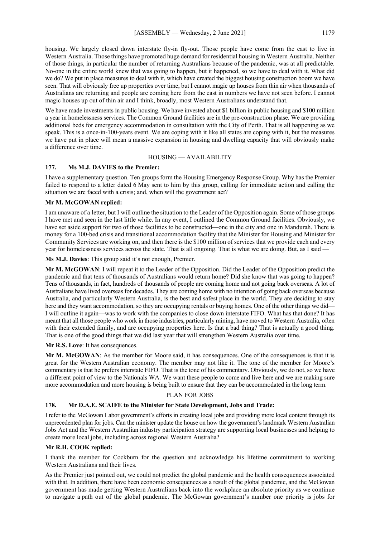housing. We largely closed down interstate fly-in fly-out. Those people have come from the east to live in Western Australia. Those things have promoted huge demand for residential housing in Western Australia. Neither of those things, in particular the number of returning Australians because of the pandemic, was at all predictable. No-one in the entire world knew that was going to happen, but it happened, so we have to deal with it. What did we do? We put in place measures to deal with it, which have created the biggest housing construction boom we have seen. That will obviously free up properties over time, but I cannot magic up houses from thin air when thousands of Australians are returning and people are coming here from the east in numbers we have not seen before. I cannot magic houses up out of thin air and I think, broadly, most Western Australians understand that.

We have made investments in public housing. We have invested about \$1 billion in public housing and \$100 million a year in homelessness services. The Common Ground facilities are in the pre-construction phase. We are providing additional beds for emergency accommodation in consultation with the City of Perth. That is all happening as we speak. This is a once-in-100-years event. We are coping with it like all states are coping with it, but the measures we have put in place will mean a massive expansion in housing and dwelling capacity that will obviously make a difference over time.

## HOUSING — AVAILABILITY

## **177. Ms M.J. DAVIES to the Premier:**

I have a supplementary question. Ten groups form the Housing Emergency Response Group. Why has the Premier failed to respond to a letter dated 6 May sent to him by this group, calling for immediate action and calling the situation we are faced with a crisis; and, when will the government act?

## **Mr M. McGOWAN replied:**

I am unaware of a letter, but I will outline the situation to the Leader of the Opposition again. Some of those groups I have met and seen in the last little while. In any event, I outlined the Common Ground facilities. Obviously, we have set aside support for two of those facilities to be constructed—one in the city and one in Mandurah. There is money for a 100-bed crisis and transitional accommodation facility that the Minister for Housing and Minister for Community Services are working on, and then there is the \$100 million of services that we provide each and every year for homelessness services across the state. That is all ongoing. That is what we are doing. But, as I said -

**Ms M.J. Davies**: This group said it's not enough, Premier.

**Mr M. McGOWAN**: I will repeat it to the Leader of the Opposition. Did the Leader of the Opposition predict the pandemic and that tens of thousands of Australians would return home? Did she know that was going to happen? Tens of thousands, in fact, hundreds of thousands of people are coming home and not going back overseas. A lot of Australians have lived overseas for decades. They are coming home with no intention of going back overseas because Australia, and particularly Western Australia, is the best and safest place in the world. They are deciding to stay here and they want accommodation, so they are occupying rentals or buying homes. One of the other things we did— I will outline it again—was to work with the companies to close down interstate FIFO. What has that done? It has meant that all those people who work in those industries, particularly mining, have moved to Western Australia, often with their extended family, and are occupying properties here. Is that a bad thing? That is actually a good thing. That is one of the good things that we did last year that will strengthen Western Australia over time.

#### **Mr R.S. Love**: It has consequences.

**Mr M. McGOWAN**: As the member for Moore said, it has consequences. One of the consequences is that it is great for the Western Australian economy. The member may not like it. The tone of the member for Moore's commentary is that he prefers interstate FIFO. That is the tone of his commentary. Obviously, we do not, so we have a different point of view to the Nationals WA. We want these people to come and live here and we are making sure more accommodation and more housing is being built to ensure that they can be accommodated in the long term.

#### PLAN FOR JOBS

# **178. Mr D.A.E. SCAIFE to the Minister for State Development, Jobs and Trade:**

I refer to the McGowan Labor government's efforts in creating local jobs and providing more local content through its unprecedented plan for jobs. Can the minister update the house on how the government's landmark Western Australian Jobs Act and the Western Australian industry participation strategy are supporting local businesses and helping to create more local jobs, including across regional Western Australia?

## **Mr R.H. COOK replied:**

I thank the member for Cockburn for the question and acknowledge his lifetime commitment to working Western Australians and their lives.

As the Premier just pointed out, we could not predict the global pandemic and the health consequences associated with that. In addition, there have been economic consequences as a result of the global pandemic, and the McGowan government has made getting Western Australians back into the workplace an absolute priority as we continue to navigate a path out of the global pandemic. The McGowan government's number one priority is jobs for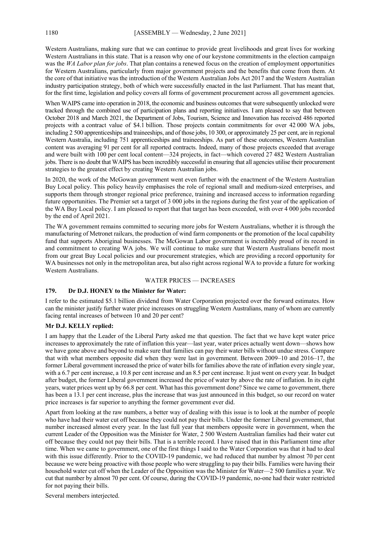Western Australians, making sure that we can continue to provide great livelihoods and great lives for working Western Australians in this state. That is a reason why one of our keystone commitments in the election campaign was the *WA Labor plan for jobs*. That plan contains a renewed focus on the creation of employment opportunities for Western Australians, particularly from major government projects and the benefits that come from them. At the core of that initiative was the introduction of the Western Australian Jobs Act 2017 and the Western Australian industry participation strategy, both of which were successfully enacted in the last Parliament. That has meant that, for the first time, legislation and policy covers all forms of government procurement across all government agencies.

When WAIPS came into operation in 2018, the economic and business outcomes that were subsequently unlocked were tracked through the combined use of participation plans and reporting initiatives. I am pleased to say that between October 2018 and March 2021, the Department of Jobs, Tourism, Science and Innovation has received 486 reported projects with a contract value of \$4.1 billion. Those projects contain commitments for over 42 000 WA jobs, including 2 500 apprenticeships and traineeships, and of those jobs, 10 300, or approximately 25 per cent, are in regional Western Australia, including 751 apprenticeships and traineeships. As part of these outcomes, Western Australian content was averaging 91 per cent for all reported contracts. Indeed, many of those projects exceeded that average and were built with 100 per cent local content—324 projects, in fact—which covered 27 482 Western Australian jobs. There is no doubt that WAIPS has been incredibly successful in ensuring that all agencies utilise their procurement strategies to the greatest effect by creating Western Australian jobs.

In 2020, the work of the McGowan government went even further with the enactment of the Western Australian Buy Local policy. This policy heavily emphasises the role of regional small and medium-sized enterprises, and supports them through stronger regional price preference, training and increased access to information regarding future opportunities. The Premier set a target of 3 000 jobs in the regions during the first year of the application of the WA Buy Local policy. I am pleased to report that that target has been exceeded, with over 4 000 jobs recorded by the end of April 2021.

The WA government remains committed to securing more jobs for Western Australians, whether it is through the manufacturing of Metronet railcars, the production of wind farm components or the promotion of the local capability fund that supports Aboriginal businesses. The McGowan Labor government is incredibly proud of its record in and commitment to creating WA jobs. We will continue to make sure that Western Australians benefit most from our great Buy Local policies and our procurement strategies, which are providing a record opportunity for WA businesses not only in the metropolitan area, but also right across regional WA to provide a future for working Western Australians.

#### WATER PRICES — INCREASES

# **179. Dr D.J. HONEY to the Minister for Water:**

I refer to the estimated \$5.1 billion dividend from Water Corporation projected over the forward estimates. How can the minister justify further water price increases on struggling Western Australians, many of whom are currently facing rental increases of between 10 and 20 per cent?

# **Mr D.J. KELLY replied:**

I am happy that the Leader of the Liberal Party asked me that question. The fact that we have kept water price increases to approximately the rate of inflation this year—last year, water prices actually went down—shows how we have gone above and beyond to make sure that families can pay their water bills without undue stress. Compare that with what members opposite did when they were last in government. Between 2009–10 and 2016–17, the former Liberal government increased the price of water bills for families above the rate of inflation every single year, with a 6.7 per cent increase, a 10.8 per cent increase and an 8.5 per cent increase. It just went on every year. In budget after budget, the former Liberal government increased the price of water by above the rate of inflation. In its eight years, water prices went up by 66.8 per cent. What has this government done? Since we came to government, there has been a 13.1 per cent increase, plus the increase that was just announced in this budget, so our record on water price increases is far superior to anything the former government ever did.

Apart from looking at the raw numbers, a better way of dealing with this issue is to look at the number of people who have had their water cut off because they could not pay their bills. Under the former Liberal government, that number increased almost every year. In the last full year that members opposite were in government, when the current Leader of the Opposition was the Minister for Water, 2 500 Western Australian families had their water cut off because they could not pay their bills. That is a terrible record. I have raised that in this Parliament time after time. When we came to government, one of the first things I said to the Water Corporation was that it had to deal with this issue differently. Prior to the COVID-19 pandemic, we had reduced that number by almost 70 per cent because we were being proactive with those people who were struggling to pay their bills. Families were having their household water cut off when the Leader of the Opposition was the Minister for Water—2 500 families a year. We cut that number by almost 70 per cent. Of course, during the COVID-19 pandemic, no-one had their water restricted for not paying their bills.

Several members interjected.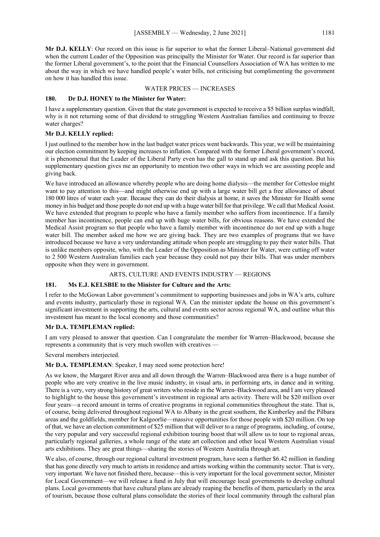**Mr D.J. KELLY**: Our record on this issue is far superior to what the former Liberal–National government did when the current Leader of the Opposition was principally the Minister for Water. Our record is far superior than the former Liberal government's, to the point that the Financial Counsellors Association of WA has written to me about the way in which we have handled people's water bills, not criticising but complimenting the government on how it has handled this issue.

## WATER PRICES — INCREASES

## **180. Dr D.J. HONEY to the Minister for Water:**

I have a supplementary question. Given that the state government is expected to receive a \$5 billion surplus windfall, why is it not returning some of that dividend to struggling Western Australian families and continuing to freeze water charges?

# **Mr D.J. KELLY replied:**

I just outlined to the member how in the last budget water prices went backwards. This year, we will be maintaining our election commitment by keeping increases to inflation. Compared with the former Liberal government's record, it is phenomenal that the Leader of the Liberal Party even has the gall to stand up and ask this question. But his supplementary question gives me an opportunity to mention two other ways in which we are assisting people and giving back.

We have introduced an allowance whereby people who are doing home dialysis—the member for Cottesloe might want to pay attention to this—and might otherwise end up with a large water bill get a free allowance of about 180 000 litres of water each year. Because they can do their dialysis at home, it saves the Minister for Health some money in his budget and those people do not end up with a huge water bill for that privilege. We call that Medical Assist. We have extended that program to people who have a family member who suffers from incontinence. If a family member has incontinence, people can end up with huge water bills, for obvious reasons. We have extended the Medical Assist program so that people who have a family member with incontinence do not end up with a huge water bill. The member asked me how we are giving back. They are two examples of programs that we have introduced because we have a very understanding attitude when people are struggling to pay their water bills. That is unlike members opposite, who, with the Leader of the Opposition as Minister for Water, were cutting off water to 2 500 Western Australian families each year because they could not pay their bills. That was under members opposite when they were in government.

# ARTS, CULTURE AND EVENTS INDUSTRY — REGIONS

# **181. Ms E.J. KELSBIE to the Minister for Culture and the Arts:**

I refer to the McGowan Labor government's commitment to supporting businesses and jobs in WA's arts, culture and events industry, particularly those in regional WA. Can the minister update the house on this government's significant investment in supporting the arts, cultural and events sector across regional WA, and outline what this investment has meant to the local economy and those communities?

# **Mr D.A. TEMPLEMAN replied:**

I am very pleased to answer that question. Can I congratulate the member for Warren–Blackwood, because she represents a community that is very much swollen with creatives —

Several members interjected.

# **Mr D.A. TEMPLEMAN**: Speaker, I may need some protection here!

As we know, the Margaret River area and all down through the Warren–Blackwood area there is a huge number of people who are very creative in the live music industry, in visual arts, in performing arts, in dance and in writing. There is a very, very strong history of great writers who reside in the Warren–Blackwood area, and I am very pleased to highlight to the house this government's investment in regional arts activity. There will be \$20 million over four years—a record amount in terms of creative programs in regional communities throughout the state. That is, of course, being delivered throughout regional WA to Albany in the great southern, the Kimberley and the Pilbara areas and the goldfields, member for Kalgoorlie—massive opportunities for those people with \$20 million. On top of that, we have an election commitment of \$25 million that will deliver to a range of programs, including, of course, the very popular and very successful regional exhibition touring boost that will allow us to tour to regional areas, particularly regional galleries, a whole range of the state art collection and other local Western Australian visual arts exhibitions. They are great things—sharing the stories of Western Australia through art.

We also, of course, through our regional cultural investment program, have seen a further \$6.42 million in funding that has gone directly very much to artists in residence and artists working within the community sector. That is very, very important. We have not finished there, because—this is very important for the local government sector, Minister for Local Government—we will release a fund in July that will encourage local governments to develop cultural plans. Local governments that have cultural plans are already reaping the benefits of them, particularly in the area of tourism, because those cultural plans consolidate the stories of their local community through the cultural plan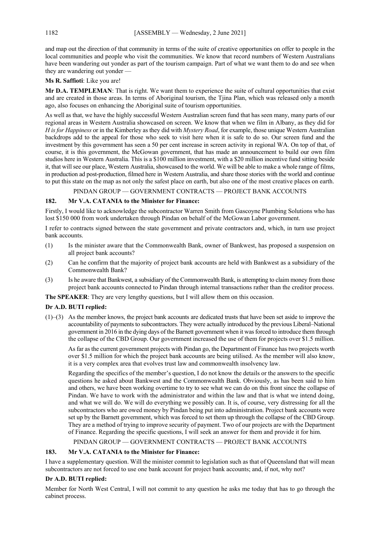and map out the direction of that community in terms of the suite of creative opportunities on offer to people in the local communities and people who visit the communities. We know that record numbers of Western Australians have been wandering out yonder as part of the tourism campaign. Part of what we want them to do and see when they are wandering out yonder -

# **Ms R. Saffioti**: Like you are!

**Mr D.A. TEMPLEMAN**: That is right. We want them to experience the suite of cultural opportunities that exist and are created in those areas. In terms of Aboriginal tourism, the Tjina Plan, which was released only a month ago, also focuses on enhancing the Aboriginal suite of tourism opportunities.

As well as that, we have the highly successful Western Australian screen fund that has seen many, many parts of our regional areas in Western Australia showcased on screen. We know that when we film in Albany, as they did for *H is for Happiness* or in the Kimberley as they did with *Mystery Road*, for example, those unique Western Australian backdrops add to the appeal for those who seek to visit here when it is safe to do so. Our screen fund and the investment by this government has seen a 50 per cent increase in screen activity in regional WA. On top of that, of course, it is this government, the McGowan government, that has made an announcement to build our own film studios here in Western Australia. This is a \$100 million investment, with a \$20 million incentive fund sitting beside it, that will see our place, Western Australia, showcased to the world. We will be able to make a whole range of films, in production ad post-production, filmed here in Western Australia, and share those stories with the world and continue to put this state on the map as not only the safest place on earth, but also one of the most creative places on earth.

PINDAN GROUP — GOVERNMENT CONTRACTS — PROJECT BANK ACCOUNTS

# **182. Mr V.A. CATANIA to the Minister for Finance:**

Firstly, I would like to acknowledge the subcontractor Warren Smith from Gascoyne Plumbing Solutions who has lost \$150 000 from work undertaken through Pindan on behalf of the McGowan Labor government.

I refer to contracts signed between the state government and private contractors and, which, in turn use project bank accounts.

- (1) Is the minister aware that the Commonwealth Bank, owner of Bankwest, has proposed a suspension on all project bank accounts?
- (2) Can he confirm that the majority of project bank accounts are held with Bankwest as a subsidiary of the Commonwealth Bank?
- (3) Is he aware that Bankwest, a subsidiary of the Commonwealth Bank, is attempting to claim money from those project bank accounts connected to Pindan through internal transactions rather than the creditor process.

**The SPEAKER**: They are very lengthy questions, but I will allow them on this occasion.

# **Dr A.D. BUTI replied:**

(1)–(3) As the member knows, the project bank accounts are dedicated trusts that have been set aside to improve the accountability of payments to subcontractors. They were actually introduced by the previous Liberal–National government in 2016 in the dying days of the Barnett government when it was forced to introduce them through the collapse of the CBD Group. Our government increased the use of them for projects over \$1.5 million.

As far as the current government projects with Pindan go, the Department of Finance has two projects worth over \$1.5 million for which the project bank accounts are being utilised. As the member will also know, it is a very complex area that evolves trust law and commonwealth insolvency law.

Regarding the specifics of the member's question, I do not know the details or the answers to the specific questions he asked about Bankwest and the Commonwealth Bank. Obviously, as has been said to him and others, we have been working overtime to try to see what we can do on this front since the collapse of Pindan. We have to work with the administrator and within the law and that is what we intend doing, and what we will do. We will do everything we possibly can. It is, of course, very distressing for all the subcontractors who are owed money by Pindan being put into administration. Project bank accounts were set up by the Barnett government, which was forced to set them up through the collapse of the CBD Group. They are a method of trying to improve security of payment. Two of our projects are with the Department of Finance. Regarding the specific questions, I will seek an answer for them and provide it for him.

# PINDAN GROUP — GOVERNMENT CONTRACTS — PROJECT BANK ACCOUNTS

# **183. Mr V.A. CATANIA to the Minister for Finance:**

I have a supplementary question. Will the minister commit to legislation such as that of Queensland that will mean subcontractors are not forced to use one bank account for project bank accounts; and, if not, why not?

#### **Dr A.D. BUTI replied:**

Member for North West Central, I will not commit to any question he asks me today that has to go through the cabinet process.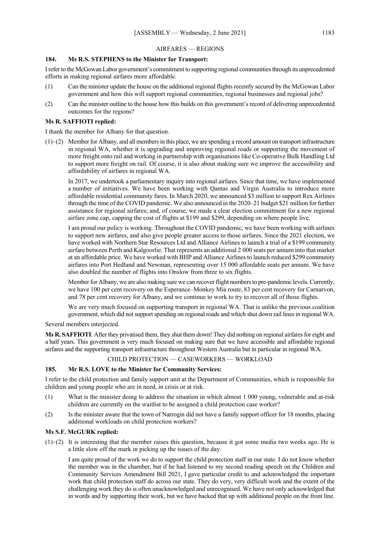#### AIRFARES — REGIONS

# **184. Ms R.S. STEPHENS to the Minister for Transport:**

I refer to the McGowan Labor government's commitment to supporting regional communities through its unprecedented efforts in making regional airfares more affordable.

- (1) Can the minister update the house on the additional regional flights recently secured by the McGowan Labor government and how this will support regional communities, regional businesses and regional jobs?
- (2) Can the minister outline to the house how this builds on this government's record of delivering unprecedented outcomes for the regions?

## **Ms R. SAFFIOTI replied:**

I thank the member for Albany for that question.

(1)–(2) Member for Albany, and all members in this place, we are spending a record amount on transport infrastructure in regional WA, whether it is upgrading and improving regional roads or supporting the movement of more freight onto rail and working in partnership with organisations like Co-operative Bulk Handling Ltd to support more freight on rail. Of course, it is also about making sure we improve the accessibility and affordability of airfares in regional WA.

In 2017, we undertook a parliamentary inquiry into regional airfares. Since that time, we have implemented a number of initiatives. We have been working with Qantas and Virgin Australia to introduce more affordable residential community fares. In March 2020, we announced \$3 million to support Rex Airlines through the time of the COVID pandemic. We also announced in the 2020–21 budget \$21 million for further assistance for regional airfares; and, of course, we made a clear election commitment for a new regional airfare zone cap, capping the cost of flights at \$199 and \$299, depending on where people live.

I am proud our policy is working. Throughout the COVID pandemic, we have been working with airlines to support new airfares, and also give people greater access to those airfares. Since the 2021 election, we have worked with Northern Star Resources Ltd and Alliance Airlines to launch a trial of a \$199 community airfare between Perth and Kalgoorlie. That represents an additional 2 000 seats per annum into that market at an affordable price. We have worked with BHP and Alliance Airlines to launch reduced \$299 community airfares into Port Hedland and Newman, representing over 15 000 affordable seats per annum. We have also doubled the number of flights into Onslow from three to six flights.

Member for Albany, we are also making sure we can recover flight numbers to pre-pandemic levels. Currently, we have 100 per cent recovery on the Esperance–Monkey Mia route, 83 per cent recovery for Carnarvon, and 78 per cent recovery for Albany, and we continue to work to try to recover all of those flights.

We are very much focused on supporting transport in regional WA. That is unlike the previous coalition government, which did not support spending on regional roads and which shut down rail lines in regional WA.

Several members interjected.

**Ms R. SAFFIOTI**: After they privatised them, they shut them down! They did nothing on regional airfares for eight and a half years. This government is very much focused on making sure that we have accessible and affordable regional airfares and the supporting transport infrastructure throughout Western Australia but in particular in regional WA.

#### CHILD PROTECTION — CASEWORKERS — WORKLOAD

#### **185. Mr R.S. LOVE to the Minister for Community Services:**

I refer to the child protection and family support unit at the Department of Communities, which is responsible for children and young people who are in need, in crisis or at risk.

- (1) What is the minister doing to address the situation in which almost 1 000 young, vulnerable and at-risk children are currently on the waitlist to be assigned a child protection case worker?
- (2) Is the minister aware that the town of Narrogin did not have a family support officer for 18 months, placing additional workloads on child protection workers?

#### **Ms S.F. McGURK replied:**

(1)–(2) It is interesting that the member raises this question, because it got some media two weeks ago. He is a little slow off the mark in picking up the issues of the day.

I am quite proud of the work we do to support the child protection staff in our state. I do not know whether the member was in the chamber, but if he had listened to my second reading speech on the Children and Community Services Amendment Bill 2021, I gave particular credit to and acknowledged the important work that child protection staff do across our state. They do very, very difficult work and the extent of the challenging work they do is often unacknowledged and unrecognised. We have not only acknowledged that in words and by supporting their work, but we have backed that up with additional people on the front line.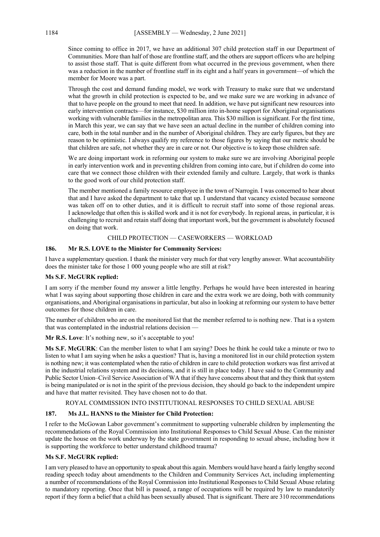Since coming to office in 2017, we have an additional 307 child protection staff in our Department of Communities. More than half of those are frontline staff, and the others are support officers who are helping to assist those staff. That is quite different from what occurred in the previous government, when there was a reduction in the number of frontline staff in its eight and a half years in government—of which the member for Moore was a part.

Through the cost and demand funding model, we work with Treasury to make sure that we understand what the growth in child protection is expected to be, and we make sure we are working in advance of that to have people on the ground to meet that need. In addition, we have put significant new resources into early intervention contracts—for instance, \$30 million into in-home support for Aboriginal organisations working with vulnerable families in the metropolitan area. This \$30 million is significant. For the first time, in March this year, we can say that we have seen an actual decline in the number of children coming into care, both in the total number and in the number of Aboriginal children. They are early figures, but they are reason to be optimistic. I always qualify my reference to those figures by saying that our metric should be that children are safe, not whether they are in care or not. Our objective is to keep those children safe.

We are doing important work in reforming our system to make sure we are involving Aboriginal people in early intervention work and in preventing children from coming into care, but if children do come into care that we connect those children with their extended family and culture. Largely, that work is thanks to the good work of our child protection staff.

The member mentioned a family resource employee in the town of Narrogin. I was concerned to hear about that and I have asked the department to take that up. I understand that vacancy existed because someone was taken off on to other duties, and it is difficult to recruit staff into some of those regional areas. I acknowledge that often this is skilled work and it is not for everybody. In regional areas, in particular, it is challenging to recruit and retain staff doing that important work, but the government is absolutely focused on doing that work.

## CHILD PROTECTION — CASEWORKERS — WORKLOAD

## **186. Mr R.S. LOVE to the Minister for Community Services:**

I have a supplementary question. I thank the minister very much for that very lengthy answer. What accountability does the minister take for those 1 000 young people who are still at risk?

# **Ms S.F. McGURK replied:**

I am sorry if the member found my answer a little lengthy. Perhaps he would have been interested in hearing what I was saying about supporting those children in care and the extra work we are doing, both with community organisations, and Aboriginal organisations in particular, but also in looking at reforming our system to have better outcomes for those children in care.

The number of children who are on the monitored list that the member referred to is nothing new. That is a system that was contemplated in the industrial relations decision —

**Mr R.S. Love**: It's nothing new, so it's acceptable to you!

**Ms S.F. McGURK**: Can the member listen to what I am saying? Does he think he could take a minute or two to listen to what I am saying when he asks a question? That is, having a monitored list in our child protection system is nothing new; it was contemplated when the ratio of children in care to child protection workers was first arrived at in the industrial relations system and its decisions, and it is still in place today. I have said to the Community and Public Sector Union–Civil Service Association of WA that if they have concerns about that and they think that system is being manipulated or is not in the spirit of the previous decision, they should go back to the independent umpire and have that matter revisited. They have chosen not to do that.

#### ROYAL COMMISSION INTO INSTITUTIONAL RESPONSES TO CHILD SEXUAL ABUSE

# **187. Ms J.L. HANNS to the Minister for Child Protection:**

I refer to the McGowan Labor government's commitment to supporting vulnerable children by implementing the recommendations of the Royal Commission into Institutional Responses to Child Sexual Abuse. Can the minister update the house on the work underway by the state government in responding to sexual abuse, including how it is supporting the workforce to better understand childhood trauma?

# **Ms S.F. McGURK replied:**

I am very pleased to have an opportunity to speak about this again. Members would have heard a fairly lengthy second reading speech today about amendments to the Children and Community Services Act, including implementing a number of recommendations of the Royal Commission into Institutional Responses to Child Sexual Abuse relating to mandatory reporting. Once that bill is passed, a range of occupations will be required by law to mandatorily report if they form a belief that a child has been sexually abused. That is significant. There are 310 recommendations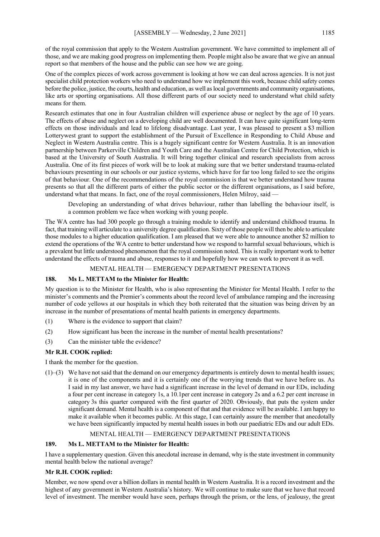of the royal commission that apply to the Western Australian government. We have committed to implement all of those, and we are making good progress on implementing them. People might also be aware that we give an annual report so that members of the house and the public can see how we are going.

One of the complex pieces of work across government is looking at how we can deal across agencies. It is not just specialist child protection workers who need to understand how we implement this work, because child safety comes before the police, justice, the courts, health and education, as well as local governments and community organisations, like arts or sporting organisations. All those different parts of our society need to understand what child safety means for them.

Research estimates that one in four Australian children will experience abuse or neglect by the age of 10 years. The effects of abuse and neglect on a developing child are well documented. It can have quite significant long-term effects on those individuals and lead to lifelong disadvantage. Last year, I was pleased to present a \$3 million Lotterywest grant to support the establishment of the Pursuit of Excellence in Responding to Child Abuse and Neglect in Western Australia centre. This is a hugely significant centre for Western Australia. It is an innovation partnership between Parkerville Children and Youth Care and the Australian Centre for Child Protection, which is based at the University of South Australia. It will bring together clinical and research specialists from across Australia. One of its first pieces of work will be to look at making sure that we better understand trauma-related behaviours presenting in our schools or our justice systems, which have for far too long failed to see the origins of that behaviour. One of the recommendations of the royal commission is that we better understand how trauma presents so that all the different parts of either the public sector or the different organisations, as I said before, understand what that means. In fact, one of the royal commissioners, Helen Milroy, said —

Developing an understanding of what drives behaviour, rather than labelling the behaviour itself, is a common problem we face when working with young people.

The WA centre has had 300 people go through a training module to identify and understand childhood trauma. In fact, that training will articulate to a university degree qualification. Sixty of those people will then be able to articulate those modules to a higher education qualification. I am pleased that we were able to announce another \$2 million to extend the operations of the WA centre to better understand how we respond to harmful sexual behaviours, which is a prevalent but little understood phenomenon that the royal commission noted. This is really important work to better understand the effects of trauma and abuse, responses to it and hopefully how we can work to prevent it as well.

#### MENTAL HEALTH — EMERGENCY DEPARTMENT PRESENTATIONS

#### **188. Ms L. METTAM to the Minister for Health:**

My question is to the Minister for Health, who is also representing the Minister for Mental Health. I refer to the minister's comments and the Premier's comments about the record level of ambulance ramping and the increasing number of code yellows at our hospitals in which they both reiterated that the situation was being driven by an increase in the number of presentations of mental health patients in emergency departments.

- (1) Where is the evidence to support that claim?
- (2) How significant has been the increase in the number of mental health presentations?
- (3) Can the minister table the evidence?

#### **Mr R.H. COOK replied:**

I thank the member for the question.

(1)–(3) We have not said that the demand on our emergency departments is entirely down to mental health issues; it is one of the components and it is certainly one of the worrying trends that we have before us. As I said in my last answer, we have had a significant increase in the level of demand in our EDs, including a four per cent increase in category 1s, a 10.1per cent increase in category 2s and a 6.2 per cent increase in category 3s this quarter compared with the first quarter of 2020. Obviously, that puts the system under significant demand. Mental health is a component of that and that evidence will be available. I am happy to make it available when it becomes public. At this stage, I can certainly assure the member that anecdotally we have been significantly impacted by mental health issues in both our paediatric EDs and our adult EDs.

# MENTAL HEALTH — EMERGENCY DEPARTMENT PRESENTATIONS

#### **189. Ms L. METTAM to the Minister for Health:**

I have a supplementary question. Given this anecdotal increase in demand, why is the state investment in community mental health below the national average?

# **Mr R.H. COOK replied:**

Member, we now spend over a billion dollars in mental health in Western Australia. It is a record investment and the highest of any government in Western Australia's history. We will continue to make sure that we have that record level of investment. The member would have seen, perhaps through the prism, or the lens, of jealousy, the great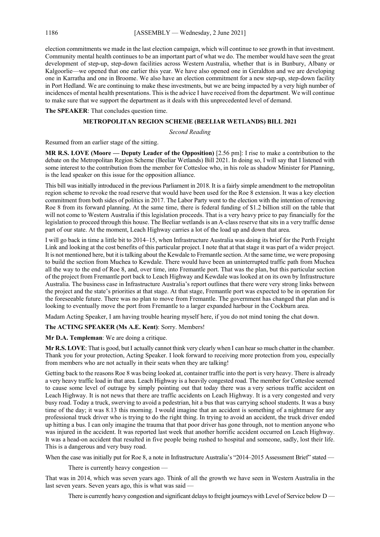election commitments we made in the last election campaign, which will continue to see growth in that investment. Community mental health continues to be an important part of what we do. The member would have seen the great development of step-up, step-down facilities across Western Australia, whether that is in Bunbury, Albany or Kalgoorlie—we opened that one earlier this year. We have also opened one in Geraldton and we are developing one in Karratha and one in Broome. We also have an election commitment for a new step-up, step-down facility in Port Hedland. We are continuing to make these investments, but we are being impacted by a very high number of incidences of mental health presentations. This is the advice I have received from the department. We will continue to make sure that we support the department as it deals with this unprecedented level of demand.

**The SPEAKER**: That concludes question time.

## **METROPOLITAN REGION SCHEME (BEELIAR WETLANDS) BILL 2021**

#### *Second Reading*

Resumed from an earlier stage of the sitting.

**MR R.S. LOVE (Moore — Deputy Leader of the Opposition)** [2.56 pm]: I rise to make a contribution to the debate on the Metropolitan Region Scheme (Beeliar Wetlands) Bill 2021. In doing so, I will say that I listened with some interest to the contribution from the member for Cottesloe who, in his role as shadow Minister for Planning, is the lead speaker on this issue for the opposition alliance.

This bill was initially introduced in the previous Parliament in 2018. It is a fairly simple amendment to the metropolitan region scheme to revoke the road reserve that would have been used for the Roe 8 extension. It was a key election commitment from both sides of politics in 2017. The Labor Party went to the election with the intention of removing Roe 8 from its forward planning. At the same time, there is federal funding of \$1.2 billion still on the table that will not come to Western Australia if this legislation proceeds. That is a very heavy price to pay financially for the legislation to proceed through this house. The Beeliar wetlands is an A-class reserve that sits in a very traffic dense part of our state. At the moment, Leach Highway carries a lot of the load up and down that area.

I will go back in time a little bit to 2014–15, when Infrastructure Australia was doing its brief for the Perth Freight Link and looking at the cost benefits of this particular project. I note that at that stage it was part of a wider project. It is not mentioned here, but it is talking about the Kewdale to Fremantle section. At the same time, we were proposing to build the section from Muchea to Kewdale. There would have been an uninterrupted traffic path from Muchea all the way to the end of Roe 8, and, over time, into Fremantle port. That was the plan, but this particular section of the project from Fremantle port back to Leach Highway and Kewdale was looked at on its own by Infrastructure Australia. The business case in Infrastructure Australia's report outlines that there were very strong links between the project and the state's priorities at that stage. At that stage, Fremantle port was expected to be in operation for the foreseeable future. There was no plan to move from Fremantle. The government has changed that plan and is looking to eventually move the port from Fremantle to a larger expanded harbour in the Cockburn area.

Madam Acting Speaker, I am having trouble hearing myself here, if you do not mind toning the chat down.

#### **The ACTING SPEAKER (Ms A.E. Kent)**: Sorry. Members!

**Mr D.A. Templeman**: We are doing a critique.

Mr R.S. LOVE: That is good, but I actually cannot think very clearly when I can hear so much chatter in the chamber. Thank you for your protection, Acting Speaker. I look forward to receiving more protection from you, especially from members who are not actually in their seats when they are talking!

Getting back to the reasons Roe 8 was being looked at, container traffic into the port is very heavy. There is already a very heavy traffic load in that area. Leach Highway is a heavily congested road. The member for Cottesloe seemed to cause some level of outrage by simply pointing out that today there was a very serious traffic accident on Leach Highway. It is not news that there are traffic accidents on Leach Highway. It is a very congested and very busy road. Today a truck, swerving to avoid a pedestrian, hit a bus that was carrying school students. It was a busy time of the day; it was 8.13 this morning. I would imagine that an accident is something of a nightmare for any professional truck driver who is trying to do the right thing. In trying to avoid an accident, the truck driver ended up hitting a bus. I can only imagine the trauma that that poor driver has gone through, not to mention anyone who was injured in the accident. It was reported last week that another horrific accident occurred on Leach Highway. It was a head-on accident that resulted in five people being rushed to hospital and someone, sadly, lost their life. This is a dangerous and very busy road.

When the case was initially put for Roe 8, a note in Infrastructure Australia's "2014–2015 Assessment Brief" stated —

There is currently heavy congestion —

That was in 2014, which was seven years ago. Think of all the growth we have seen in Western Australia in the last seven years. Seven years ago, this is what was said -

There is currently heavy congestion and significant delays to freight journeys with Level of Service below D —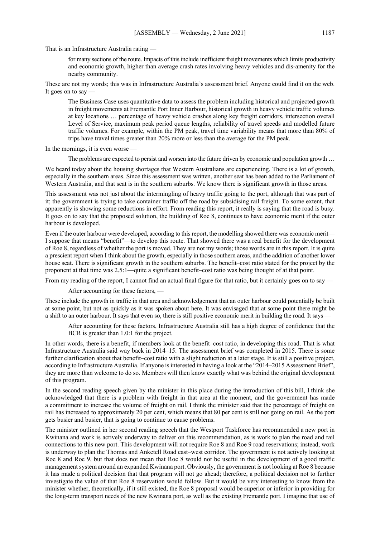That is an Infrastructure Australia rating —

for many sections of the route. Impacts of this include inefficient freight movements which limits productivity and economic growth, higher than average crash rates involving heavy vehicles and dis-amenity for the nearby community.

These are not my words; this was in Infrastructure Australia's assessment brief. Anyone could find it on the web. It goes on to say

The Business Case uses quantitative data to assess the problem including historical and projected growth in freight movements at Fremantle Port Inner Harbour, historical growth in heavy vehicle traffic volumes at key locations … percentage of heavy vehicle crashes along key freight corridors, intersection overall Level of Service, maximum peak period queue lengths, reliability of travel speeds and modelled future traffic volumes. For example, within the PM peak, travel time variability means that more than 80% of trips have travel times greater than 20% more or less than the average for the PM peak.

In the mornings, it is even worse -

The problems are expected to persist and worsen into the future driven by economic and population growth …

We heard today about the housing shortages that Western Australians are experiencing. There is a lot of growth, especially in the southern areas. Since this assessment was written, another seat has been added to the Parliament of Western Australia, and that seat is in the southern suburbs. We know there is significant growth in those areas.

This assessment was not just about the intermingling of heavy traffic going to the port, although that was part of it; the government is trying to take container traffic off the road by subsidising rail freight. To some extent, that apparently is showing some reductions in effort. From reading this report, it really is saying that the road is busy. It goes on to say that the proposed solution, the building of Roe 8, continues to have economic merit if the outer harbour is developed.

Even if the outer harbour were developed, according to this report, the modelling showed there was economic merit— I suppose that means "benefit"—to develop this route. That showed there was a real benefit for the development of Roe 8, regardless of whether the port is moved. They are not my words; those words are in this report. It is quite a prescient report when I think about the growth, especially in those southern areas, and the addition of another lower house seat. There is significant growth in the southern suburbs. The benefit–cost ratio stated for the project by the proponent at that time was 2.5:1—quite a significant benefit–cost ratio was being thought of at that point.

From my reading of the report, I cannot find an actual final figure for that ratio, but it certainly goes on to say —

After accounting for these factors, —

These include the growth in traffic in that area and acknowledgement that an outer harbour could potentially be built at some point, but not as quickly as it was spoken about here. It was envisaged that at some point there might be a shift to an outer harbour. It says that even so, there is still positive economic merit in building the road. It says -

After accounting for these factors, Infrastructure Australia still has a high degree of confidence that the BCR is greater than 1.0:1 for the project.

In other words, there is a benefit, if members look at the benefit–cost ratio, in developing this road. That is what Infrastructure Australia said way back in 2014–15. The assessment brief was completed in 2015. There is some further clarification about that benefit–cost ratio with a slight reduction at a later stage. It is still a positive project, according to Infrastructure Australia. If anyone is interested in having a look at the "2014–2015 Assessment Brief", they are more than welcome to do so. Members will then know exactly what was behind the original development of this program.

In the second reading speech given by the minister in this place during the introduction of this bill, I think she acknowledged that there is a problem with freight in that area at the moment, and the government has made a commitment to increase the volume of freight on rail. I think the minister said that the percentage of freight on rail has increased to approximately 20 per cent, which means that 80 per cent is still not going on rail. As the port gets busier and busier, that is going to continue to cause problems.

The minister outlined in her second reading speech that the Westport Taskforce has recommended a new port in Kwinana and work is actively underway to deliver on this recommendation, as is work to plan the road and rail connections to this new port. This development will not require Roe 8 and Roe 9 road reservations; instead, work is underway to plan the Thomas and Anketell Road east–west corridor. The government is not actively looking at Roe 8 and Roe 9, but that does not mean that Roe 8 would not be useful in the development of a good traffic management system around an expanded Kwinana port. Obviously, the government is not looking at Roe 8 because it has made a political decision that that program will not go ahead; therefore, a political decision not to further investigate the value of that Roe 8 reservation would follow. But it would be very interesting to know from the minister whether, theoretically, if it still existed, the Roe 8 proposal would be superior or inferior in providing for the long-term transport needs of the new Kwinana port, as well as the existing Fremantle port. I imagine that use of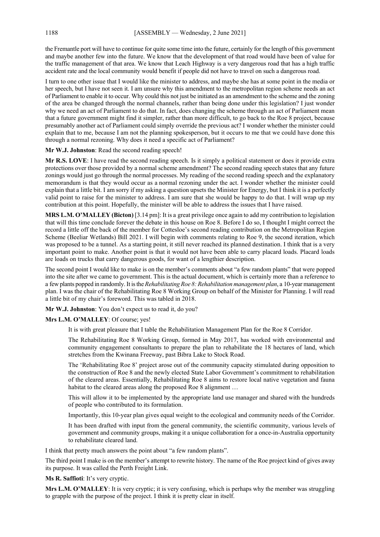the Fremantle port will have to continue for quite some time into the future, certainly for the length of this government and maybe another few into the future. We know that the development of that road would have been of value for the traffic management of that area. We know that Leach Highway is a very dangerous road that has a high traffic accident rate and the local community would benefit if people did not have to travel on such a dangerous road.

I turn to one other issue that I would like the minister to address, and maybe she has at some point in the media or her speech, but I have not seen it. I am unsure why this amendment to the metropolitan region scheme needs an act of Parliament to enable it to occur. Why could this not just be initiated as an amendment to the scheme and the zoning of the area be changed through the normal channels, rather than being done under this legislation? I just wonder why we need an act of Parliament to do that. In fact, does changing the scheme through an act of Parliament mean that a future government might find it simpler, rather than more difficult, to go back to the Roe 8 project, because presumably another act of Parliament could simply override the previous act? I wonder whether the minister could explain that to me, because I am not the planning spokesperson, but it occurs to me that we could have done this through a normal rezoning. Why does it need a specific act of Parliament?

#### **Mr W.J. Johnston**: Read the second reading speech!

**Mr R.S. LOVE**: I have read the second reading speech. Is it simply a political statement or does it provide extra protections over those provided by a normal scheme amendment? The second reading speech states that any future zonings would just go through the normal processes. My reading of the second reading speech and the explanatory memorandum is that they would occur as a normal rezoning under the act. I wonder whether the minister could explain that a little bit. I am sorry if my asking a question upsets the Minister for Energy, but I think it is a perfectly valid point to raise for the minister to address. I am sure that she would be happy to do that. I will wrap up my contribution at this point. Hopefully, the minister will be able to address the issues that I have raised.

**MRS L.M. O'MALLEY (Bicton)** [3.14 pm]: It is a great privilege once again to add my contribution to legislation that will this time conclude forever the debate in this house on Roe 8. Before I do so, I thought I might correct the record a little off the back of the member for Cottesloe's second reading contribution on the Metropolitan Region Scheme (Beeliar Wetlands) Bill 2021. I will begin with comments relating to Roe 9, the second iteration, which was proposed to be a tunnel. As a starting point, it still never reached its planned destination. I think that is a very important point to make. Another point is that it would not have been able to carry placard loads. Placard loads are loads on trucks that carry dangerous goods, for want of a lengthier description.

The second point I would like to make is on the member's comments about "a few random plants" that were popped into the site after we came to government. This is the actual document, which is certainly more than a reference to a few plants popped in randomly. It is the *Rehabilitating Roe 8: Rehabilitation management plan*, a 10-year management plan. I was the chair of the Rehabilitating Roe 8 Working Group on behalf of the Minister for Planning. I will read a little bit of my chair's foreword. This was tabled in 2018.

**Mr W.J. Johnston**: You don't expect us to read it, do you?

#### **Mrs L.M. O'MALLEY**: Of course; yes!

It is with great pleasure that I table the Rehabilitation Management Plan for the Roe 8 Corridor.

The Rehabilitating Roe 8 Working Group, formed in May 2017, has worked with environmental and community engagement consultants to prepare the plan to rehabilitate the 18 hectares of land, which stretches from the Kwinana Freeway, past Bibra Lake to Stock Road.

The 'Rehabilitating Roe 8' project arose out of the community capacity stimulated during opposition to the construction of Roe 8 and the newly elected State Labor Government's commitment to rehabilitation of the cleared areas. Essentially, Rehabilitating Roe 8 aims to restore local native vegetation and fauna habitat to the cleared areas along the proposed Roe 8 alignment ...

This will allow it to be implemented by the appropriate land use manager and shared with the hundreds of people who contributed to its formulation.

Importantly, this 10-year plan gives equal weight to the ecological and community needs of the Corridor.

It has been drafted with input from the general community, the scientific community, various levels of government and community groups, making it a unique collaboration for a once-in-Australia opportunity to rehabilitate cleared land.

I think that pretty much answers the point about "a few random plants".

The third point I make is on the member's attempt to rewrite history. The name of the Roe project kind of gives away its purpose. It was called the Perth Freight Link.

**Ms R. Saffioti**: It's very cryptic.

**Mrs L.M. O'MALLEY**: It is very cryptic; it is very confusing, which is perhaps why the member was struggling to grapple with the purpose of the project. I think it is pretty clear in itself.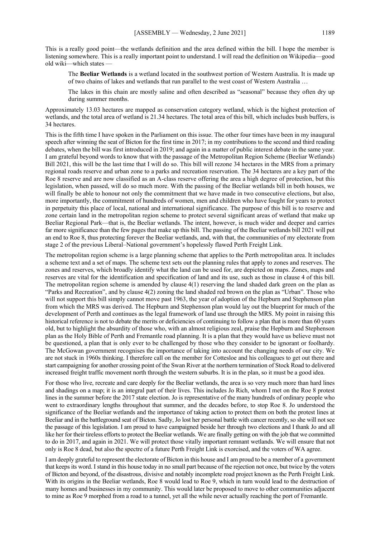This is a really good point—the wetlands definition and the area defined within the bill. I hope the member is listening somewhere. This is a really important point to understand. I will read the definition on Wikipedia—good old wiki—which states

The **Beeliar Wetlands** is a wetland located in the southwest portion of Western Australia. It is made up of two chains of lakes and wetlands that run parallel to the west coast of Western Australia …

The lakes in this chain are mostly saline and often described as "seasonal" because they often dry up during summer months.

Approximately 13.03 hectares are mapped as conservation category wetland, which is the highest protection of wetlands, and the total area of wetland is 21.34 hectares. The total area of this bill, which includes bush buffers, is 34 hectares.

This is the fifth time I have spoken in the Parliament on this issue. The other four times have been in my inaugural speech after winning the seat of Bicton for the first time in 2017; in my contributions to the second and third reading debates, when the bill was first introduced in 2019; and again in a matter of public interest debate in the same year. I am grateful beyond words to know that with the passage of the Metropolitan Region Scheme (Beeliar Wetlands) Bill 2021, this will be the last time that I will do so. This bill will rezone 34 hectares in the MRS from a primary regional roads reserve and urban zone to a parks and recreation reservation. The 34 hectares are a key part of the Roe 8 reserve and are now classified as an A-class reserve offering the area a high degree of protection, but this legislation, when passed, will do so much more. With the passing of the Beeliar wetlands bill in both houses, we will finally be able to honour not only the commitment that we have made in two consecutive elections, but also, more importantly, the commitment of hundreds of women, men and children who have fought for years to protect in perpetuity this place of local, national and international significance. The purpose of this bill is to reserve and zone certain land in the metropolitan region scheme to protect several significant areas of wetland that make up Beeliar Regional Park—that is, the Beeliar wetlands. The intent, however, is much wider and deeper and carries far more significance than the few pages that make up this bill. The passing of the Beeliar wetlands bill 2021 will put an end to Roe 8, thus protecting forever the Beeliar wetlands, and, with that, the communities of my electorate from stage 2 of the previous Liberal–National government's hopelessly flawed Perth Freight Link.

The metropolitan region scheme is a large planning scheme that applies to the Perth metropolitan area. It includes a scheme text and a set of maps. The scheme text sets out the planning rules that apply to zones and reserves. The zones and reserves, which broadly identify what the land can be used for, are depicted on maps. Zones, maps and reserves are vital for the identification and specification of land and its use, such as those in clause 4 of this bill. The metropolitan region scheme is amended by clause 4(1) reserving the land shaded dark green on the plan as "Parks and Recreation", and by clause 4(2) zoning the land shaded red brown on the plan as "Urban". Those who will not support this bill simply cannot move past 1963, the year of adoption of the Hepburn and Stephenson plan from which the MRS was derived. The Hepburn and Stephenson plan would lay out the blueprint for much of the development of Perth and continues as the legal framework of land use through the MRS. My point in raising this historical reference is not to debate the merits or deficiencies of continuing to follow a plan that is more than 60 years old, but to highlight the absurdity of those who, with an almost religious zeal, praise the Hepburn and Stephenson plan as the Holy Bible of Perth and Fremantle road planning. It is a plan that they would have us believe must not be questioned, a plan that is only ever to be challenged by those who they consider to be ignorant or foolhardy. The McGowan government recognises the importance of taking into account the changing needs of our city. We are not stuck in 1960s thinking. I therefore call on the member for Cottesloe and his colleagues to get out there and start campaigning for another crossing point of the Swan River at the northern termination of Stock Road to delivered increased freight traffic movement north through the western suburbs. It is in the plan, so it must be a good idea.

For those who live, recreate and care deeply for the Beeliar wetlands, the area is so very much more than hard lines and shadings on a map; it is an integral part of their lives. This includes Jo Rich, whom I met on the Roe 8 protest lines in the summer before the 2017 state election. Jo is representative of the many hundreds of ordinary people who went to extraordinary lengths throughout that summer, and the decades before, to stop Roe 8. Jo understood the significance of the Beeliar wetlands and the importance of taking action to protect them on both the protest lines at Beeliar and in the battleground seat of Bicton. Sadly, Jo lost her personal battle with cancer recently, so she will not see the passage of this legislation. I am proud to have campaigned beside her through two elections and I thank Jo and all like her for their tireless efforts to protect the Beeliar wetlands. We are finally getting on with the job that we committed to do in 2017, and again in 2021. We will protect those vitally important remnant wetlands. We will ensure that not only is Roe 8 dead, but also the spectre of a future Perth Freight Link is exorcised, and the voters of WA agree.

I am deeply grateful to represent the electorate of Bicton in this house and I am proud to be a member of a government that keeps its word. I stand in this house today in no small part because of the rejection not once, but twice by the voters of Bicton and beyond, of the disastrous, divisive and notably incomplete road project known as the Perth Freight Link. With its origins in the Beeliar wetlands, Roe 8 would lead to Roe 9, which in turn would lead to the destruction of many homes and businesses in my community. This would later be proposed to move to other communities adjacent to mine as Roe 9 morphed from a road to a tunnel, yet all the while never actually reaching the port of Fremantle.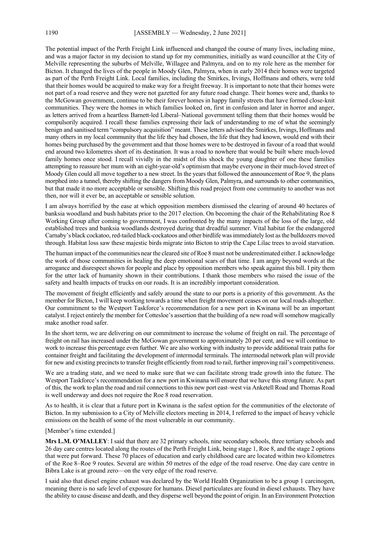The potential impact of the Perth Freight Link influenced and changed the course of many lives, including mine, and was a major factor in my decision to stand up for my communities, initially as ward councillor at the City of Melville representing the suburbs of Melville, Willagee and Palmyra, and on to my role here as the member for Bicton. It changed the lives of the people in Moody Glen, Palmyra, when in early 2014 their homes were targeted as part of the Perth Freight Link. Local families, including the Smirkes, Irvings, Hoffmans and others, were told that their homes would be acquired to make way for a freight freeway. It is important to note that their homes were not part of a road reserve and they were not gazetted for any future road change. Their homes were and, thanks to the McGowan government, continue to be their forever homes in happy family streets that have formed close-knit communities. They were the homes in which families looked on, first in confusion and later in horror and anger, as letters arrived from a heartless Barnett-led Liberal–National government telling them that their homes would be compulsorily acquired. I recall these families expressing their lack of understanding to me of what the seemingly benign and sanitised term "compulsory acquisition" meant. These letters advised the Smirkes, Irvings, Hoffmans and many others in my local community that the life they had chosen, the life that they had known, would end with their homes being purchased by the government and that those homes were to be destroyed in favour of a road that would end around two kilometres short of its destination. It was a road to nowhere that would be built where much-loved family homes once stood. I recall vividly in the midst of this shock the young daughter of one these families attempting to reassure her mum with an eight-year-old's optimism that maybe everyone in their much-loved street of Moody Glen could all move together to a new street. In the years that followed the announcement of Roe 9, the plans morphed into a tunnel, thereby shifting the dangers from Moody Glen, Palmyra, and surrounds to other communities, but that made it no more acceptable or sensible. Shifting this road project from one community to another was not then, nor will it ever be, an acceptable or sensible solution.

I am always horrified by the ease at which opposition members dismissed the clearing of around 40 hectares of banksia woodland and bush habitats prior to the 2017 election. On becoming the chair of the Rehabilitating Roe 8 Working Group after coming to government, I was confronted by the many impacts of the loss of the large, old established trees and banksia woodlands destroyed during that dreadful summer. Vital habitat for the endangered Carnaby's black cockatoo, red-tailed black-cockatoos and other birdlife was immediately lost as the bulldozers moved through. Habitat loss saw these majestic birds migrate into Bicton to strip the Cape Lilac trees to avoid starvation.

The human impact of the communities near the cleared site of Roe 8 must not be underestimated either. I acknowledge the work of those communities in healing the deep emotional scars of that time. I am angry beyond words at the arrogance and disrespect shown for people and place by opposition members who speak against this bill. I pity them for the utter lack of humanity shown in their contributions. I thank those members who raised the issue of the safety and health impacts of trucks on our roads. It is an incredibly important consideration.

The movement of freight efficiently and safely around the state to our ports is a priority of this government. As the member for Bicton, I will keep working towards a time when freight movement ceases on our local roads altogether. Our commitment to the Westport Taskforce's recommendation for a new port in Kwinana will be an important catalyst. I reject entirely the member for Cottesloe's assertion that the building of a new road will somehow magically make another road safer.

In the short term, we are delivering on our commitment to increase the volume of freight on rail. The percentage of freight on rail has increased under the McGowan government to approximately 20 per cent, and we will continue to work to increase this percentage even further. We are also working with industry to provide additional train paths for container freight and facilitating the development of intermodal terminals. The intermodal network plan will provide for new and existing precincts to transfer freight efficiently from road to rail, further improving rail's competitiveness.

We are a trading state, and we need to make sure that we can facilitate strong trade growth into the future. The Westport Taskforce's recommendation for a new port in Kwinana will ensure that we have this strong future. As part of this, the work to plan the road and rail connections to this new port east–west via Anketell Road and Thomas Road is well underway and does not require the Roe 8 road reservation.

As to health, it is clear that a future port in Kwinana is the safest option for the communities of the electorate of Bicton. In my submission to a City of Melville electors meeting in 2014, I referred to the impact of heavy vehicle emissions on the health of some of the most vulnerable in our community.

#### [Member's time extended.]

**Mrs L.M. O'MALLEY**: I said that there are 32 primary schools, nine secondary schools, three tertiary schools and 26 day care centres located along the routes of the Perth Freight Link, being stage 1, Roe 8, and the stage 2 options that were put forward. These 70 places of education and early childhood care are located within two kilometres of the Roe 8–Roe 9 routes. Several are within 50 metres of the edge of the road reserve. One day care centre in Bibra Lake is at ground zero—on the very edge of the road reserve.

I said also that diesel engine exhaust was declared by the World Health Organization to be a group 1 carcinogen, meaning there is no safe level of exposure for humans. Diesel particulates are found in diesel exhausts. They have the ability to cause disease and death, and they disperse well beyond the point of origin. In an Environment Protection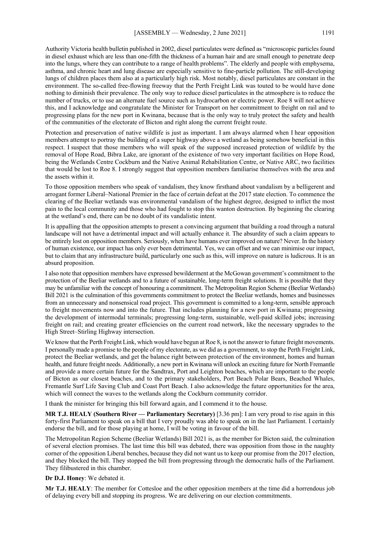Authority Victoria health bulletin published in 2002, diesel particulates were defined as "microscopic particles found in diesel exhaust which are less than one-fifth the thickness of a human hair and are small enough to penetrate deep into the lungs, where they can contribute to a range of health problems". The elderly and people with emphysema, asthma, and chronic heart and lung disease are especially sensitive to fine-particle pollution. The still-developing lungs of children places them also at a particularly high risk. Most notably, diesel particulates are constant in the environment. The so-called free-flowing freeway that the Perth Freight Link was touted to be would have done nothing to diminish their prevalence. The only way to reduce diesel particulates in the atmosphere is to reduce the number of trucks, or to use an alternate fuel source such as hydrocarbon or electric power. Roe 8 will not achieve this, and I acknowledge and congratulate the Minister for Transport on her commitment to freight on rail and to progressing plans for the new port in Kwinana, because that is the only way to truly protect the safety and health of the communities of the electorate of Bicton and right along the current freight route.

Protection and preservation of native wildlife is just as important. I am always alarmed when I hear opposition members attempt to portray the building of a super highway above a wetland as being somehow beneficial in this respect. I suspect that those members who will speak of the supposed increased protection of wildlife by the removal of Hope Road, Bibra Lake, are ignorant of the existence of two very important facilities on Hope Road, being the Wetlands Centre Cockburn and the Native Animal Rehabilitation Centre, or Native ARC, two facilities that would be lost to Roe 8. I strongly suggest that opposition members familiarise themselves with the area and the assets within it.

To those opposition members who speak of vandalism, they know firsthand about vandalism by a belligerent and arrogant former Liberal–National Premier in the face of certain defeat at the 2017 state election. To commence the clearing of the Beeliar wetlands was environmental vandalism of the highest degree, designed to inflict the most pain to the local community and those who had fought to stop this wanton destruction. By beginning the clearing at the wetland's end, there can be no doubt of its vandalistic intent.

It is appalling that the opposition attempts to present a convincing argument that building a road through a natural landscape will not have a detrimental impact and will actually enhance it. The absurdity of such a claim appears to be entirely lost on opposition members. Seriously, when have humans ever improved on nature? Never. In the history of human existence, our impact has only ever been detrimental. Yes, we can offset and we can minimise our impact, but to claim that any infrastructure build, particularly one such as this, will improve on nature is ludicrous. It is an absurd proposition.

I also note that opposition members have expressed bewilderment at the McGowan government's commitment to the protection of the Beeliar wetlands and to a future of sustainable, long-term freight solutions. It is possible that they may be unfamiliar with the concept of honouring a commitment. The Metropolitan Region Scheme (Beeliar Wetlands) Bill 2021 is the culmination of this governments commitment to protect the Beeliar wetlands, homes and businesses from an unnecessary and nonsensical road project. This government is committed to a long-term, sensible approach to freight movements now and into the future. That includes planning for a new port in Kwinana; progressing the development of intermodal terminals; progressing long-term, sustainable, well-paid skilled jobs; increasing freight on rail; and creating greater efficiencies on the current road network, like the necessary upgrades to the High Street–Stirling Highway intersection.

We know that the Perth Freight Link, which would have begun at Roe 8, is not the answer to future freight movements. I personally made a promise to the people of my electorate, as we did as a government, to stop the Perth Freight Link, protect the Beeliar wetlands, and get the balance right between protection of the environment, homes and human health, and future freight needs. Additionally, a new port in Kwinana will unlock an exciting future for North Fremantle and provide a more certain future for the Sandtrax, Port and Leighton beaches, which are important to the people of Bicton as our closest beaches, and to the primary stakeholders, Port Beach Polar Bears, Beached Whales, Fremantle Surf Life Saving Club and Coast Port Beach. I also acknowledge the future opportunities for the area, which will connect the waves to the wetlands along the Cockburn community corridor.

I thank the minister for bringing this bill forward again, and I commend it to the house.

**MR T.J. HEALY (Southern River — Parliamentary Secretary)** [3.36 pm]: I am very proud to rise again in this forty-first Parliament to speak on a bill that I very proudly was able to speak on in the last Parliament. I certainly endorse the bill, and for those playing at home, I will be voting in favour of the bill.

The Metropolitan Region Scheme (Beeliar Wetlands) Bill 2021 is, as the member for Bicton said, the culmination of several election promises. The last time this bill was debated, there was opposition from those in the naughty corner of the opposition Liberal benches, because they did not want us to keep our promise from the 2017 election, and they blocked the bill. They stopped the bill from progressing through the democratic halls of the Parliament. They filibustered in this chamber.

**Dr D.J. Honey**: We debated it.

**Mr T.J. HEALY**: The member for Cottesloe and the other opposition members at the time did a horrendous job of delaying every bill and stopping its progress. We are delivering on our election commitments.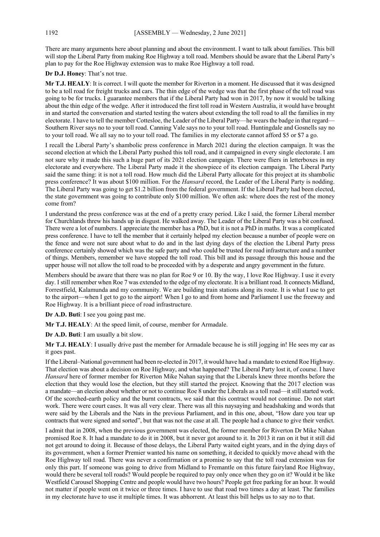There are many arguments here about planning and about the environment. I want to talk about families. This bill will stop the Liberal Party from making Roe Highway a toll road. Members should be aware that the Liberal Party's plan to pay for the Roe Highway extension was to make Roe Highway a toll road.

**Dr D.J. Honey**: That's not true.

**Mr T.J. HEALY**: It is correct. I will quote the member for Riverton in a moment. He discussed that it was designed to be a toll road for freight trucks and cars. The thin edge of the wedge was that the first phase of the toll road was going to be for trucks. I guarantee members that if the Liberal Party had won in 2017, by now it would be talking about the thin edge of the wedge. After it introduced the first toll road in Western Australia, it would have brought in and started the conversation and started testing the waters about extending the toll road to all the families in my electorate. I have to tell the member Cottesloe, the Leader of the Liberal Party—he wears the badge in that regard— Southern River says no to your toll road. Canning Vale says no to your toll road. Huntingdale and Gosnells say no to your toll road. We all say no to your toll road. The families in my electorate cannot afford \$5 or \$7 a go.

I recall the Liberal Party's shambolic press conference in March 2021 during the election campaign. It was the second election at which the Liberal Party pushed this toll road, and it campaigned in every single electorate. I am not sure why it made this such a huge part of its 2021 election campaign. There were fliers in letterboxes in my electorate and everywhere. The Liberal Party made it the showpiece of its election campaign. The Liberal Party said the same thing: it is not a toll road. How much did the Liberal Party allocate for this project at its shambolic press conference? It was about \$100 million. For the *Hansard* record, the Leader of the Liberal Party is nodding. The Liberal Party was going to get \$1.2 billion from the federal government. If the Liberal Party had been elected, the state government was going to contribute only \$100 million. We often ask: where does the rest of the money come from?

I understand the press conference was at the end of a pretty crazy period. Like I said, the former Liberal member for Churchlands threw his hands up in disgust. He walked away. The Leader of the Liberal Party was a bit confused. There were a lot of numbers. I appreciate the member has a PhD, but it is not a PhD in maths. It was a complicated press conference. I have to tell the member that it certainly helped my election because a number of people were on the fence and were not sure about what to do and in the last dying days of the election the Liberal Party press conference certainly showed which was the safe party and who could be trusted for road infrastructure and a number of things. Members, remember we have stopped the toll road. This bill and its passage through this house and the upper house will not allow the toll road to be proceeded with by a desperate and angry government in the future.

Members should be aware that there was no plan for Roe 9 or 10. By the way, I love Roe Highway. I use it every day. I still remember when Roe 7 was extended to the edge of my electorate. It is a brilliant road. It connects Midland, Forrestfield, Kalamunda and my community. We are building train stations along its route. It is what I use to get to the airport—when I get to go to the airport! When I go to and from home and Parliament I use the freeway and Roe Highway. It is a brilliant piece of road infrastructure.

**Dr A.D. Buti**: I see you going past me.

**Mr T.J. HEALY**: At the speed limit, of course, member for Armadale.

**Dr A.D. Buti**: I am usually a bit slow.

**Mr T.J. HEALY**: I usually drive past the member for Armadale because he is still jogging in! He sees my car as it goes past.

If the Liberal–National government had been re-elected in 2017, it would have had a mandate to extend Roe Highway. That election was about a decision on Roe Highway, and what happened? The Liberal Party lost it, of course. I have *Hansard* here of former member for Riverton Mike Nahan saying that the Liberals knew three months before the election that they would lose the election, but they still started the project. Knowing that the 2017 election was a mandate—an election about whether or not to continue Roe 8 under the Liberals as a toll road—it still started work. Of the scorched-earth policy and the burnt contracts, we said that this contract would not continue. Do not start work. There were court cases. It was all very clear. There was all this naysaying and headshaking and words that were said by the Liberals and the Nats in the previous Parliament, and in this one, about, "How dare you tear up contracts that were signed and sorted", but that was not the case at all. The people had a chance to give their verdict.

I admit that in 2008, when the previous government was elected, the former member for Riverton Dr Mike Nahan promised Roe 8. It had a mandate to do it in 2008, but it never got around to it. In 2013 it ran on it but it still did not get around to doing it. Because of those delays, the Liberal Party waited eight years, and in the dying days of its government, when a former Premier wanted his name on something, it decided to quickly move ahead with the Roe Highway toll road. There was never a confirmation or a promise to say that the toll road extension was for only this part. If someone was going to drive from Midland to Fremantle on this future fairyland Roe Highway, would there be several toll roads? Would people be required to pay only once when they go on it? Would it be like Westfield Carousel Shopping Centre and people would have two hours? People get free parking for an hour. It would not matter if people went on it twice or three times. I have to use that road two times a day at least. The families in my electorate have to use it multiple times. It was abhorrent. At least this bill helps us to say no to that.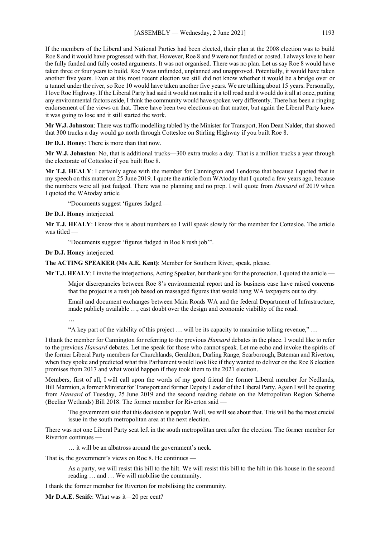If the members of the Liberal and National Parties had been elected, their plan at the 2008 election was to build Roe 8 and it would have progressed with that. However, Roe 8 and 9 were not funded or costed. I always love to hear the fully funded and fully costed arguments. It was not organised. There was no plan. Let us say Roe 8 would have taken three or four years to build. Roe 9 was unfunded, unplanned and unapproved. Potentially, it would have taken another five years. Even at this most recent election we still did not know whether it would be a bridge over or a tunnel under the river, so Roe 10 would have taken another five years. We are talking about 15 years. Personally, I love Roe Highway. If the Liberal Party had said it would not make it a toll road and it would do it all at once, putting any environmental factors aside, I think the community would have spoken very differently. There has been a ringing endorsement of the views on that. There have been two elections on that matter, but again the Liberal Party knew it was going to lose and it still started the work.

**Mr W.J. Johnston**: There was traffic modelling tabled by the Minister for Transport, Hon Dean Nalder, that showed that 300 trucks a day would go north through Cottesloe on Stirling Highway if you built Roe 8.

**Dr D.J. Honey**: There is more than that now.

**Mr W.J. Johnston**: No, that is additional trucks—300 extra trucks a day. That is a million trucks a year through the electorate of Cottesloe if you built Roe 8.

**Mr T.J. HEALY**: I certainly agree with the member for Cannington and I endorse that because I quoted that in my speech on this matter on 25 June 2019. I quote the article from WAtoday that I quoted a few years ago, because the numbers were all just fudged. There was no planning and no prep. I will quote from *Hansard* of 2019 when I quoted the WAtoday article —

"Documents suggest 'figures fudged —

**Dr D.J. Honey** interjected.

**Mr T.J. HEALY**: I know this is about numbers so I will speak slowly for the member for Cottesloe. The article was titled —

"Documents suggest 'figures fudged in Roe 8 rush job'".

**Dr D.J. Honey** interjected.

**The ACTING SPEAKER (Ms A.E. Kent)**: Member for Southern River, speak, please.

**Mr T.J. HEALY**: I invite the interjections, Acting Speaker, but thank you for the protection. I quoted the article —

Major discrepancies between Roe 8's environmental report and its business case have raised concerns that the project is a rush job based on massaged figures that would hang WA taxpayers out to dry.

Email and document exchanges between Main Roads WA and the federal Department of Infrastructure, made publicly available …, cast doubt over the design and economic viability of the road.

…

"A key part of the viability of this project … will be its capacity to maximise tolling revenue," …

I thank the member for Cannington for referring to the previous *Hansard* debates in the place. I would like to refer to the previous *Hansard* debates. Let me speak for those who cannot speak. Let me echo and invoke the spirits of the former Liberal Party members for Churchlands, Geraldton, Darling Range, Scarborough, Bateman and Riverton, when they spoke and predicted what this Parliament would look like if they wanted to deliver on the Roe 8 election promises from 2017 and what would happen if they took them to the 2021 election.

Members, first of all, I will call upon the words of my good friend the former Liberal member for Nedlands, Bill Marmion, a former Minister for Transport and former Deputy Leader of the Liberal Party. Again I will be quoting from *Hansard* of Tuesday, 25 June 2019 and the second reading debate on the Metropolitan Region Scheme (Beeliar Wetlands) Bill 2018. The former member for Riverton said —

The government said that this decision is popular. Well, we will see about that. This will be the most crucial issue in the south metropolitan area at the next election.

There was not one Liberal Party seat left in the south metropolitan area after the election. The former member for Riverton continues —

… it will be an albatross around the government's neck.

That is, the government's views on Roe 8. He continues —

As a party, we will resist this bill to the hilt. We will resist this bill to the hilt in this house in the second reading … and … We will mobilise the community.

I thank the former member for Riverton for mobilising the community.

**Mr D.A.E. Scaife**: What was it—20 per cent?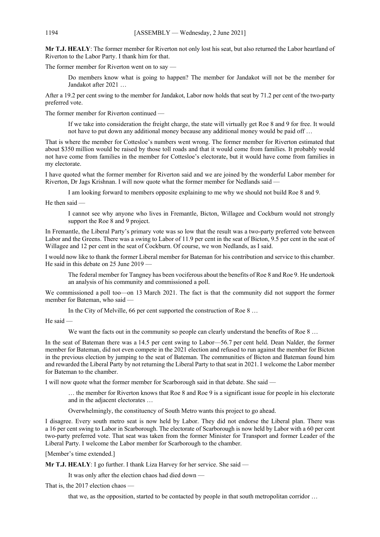**Mr T.J. HEALY**: The former member for Riverton not only lost his seat, but also returned the Labor heartland of Riverton to the Labor Party. I thank him for that.

The former member for Riverton went on to say —

Do members know what is going to happen? The member for Jandakot will not be the member for Jandakot after 2021 …

After a 19.2 per cent swing to the member for Jandakot, Labor now holds that seat by 71.2 per cent of the two-party preferred vote.

The former member for Riverton continued —

If we take into consideration the freight charge, the state will virtually get Roe 8 and 9 for free. It would not have to put down any additional money because any additional money would be paid off …

That is where the member for Cottesloe's numbers went wrong. The former member for Riverton estimated that about \$350 million would be raised by those toll roads and that it would come from families. It probably would not have come from families in the member for Cottesloe's electorate, but it would have come from families in my electorate.

I have quoted what the former member for Riverton said and we are joined by the wonderful Labor member for Riverton, Dr Jags Krishnan. I will now quote what the former member for Nedlands said —

I am looking forward to members opposite explaining to me why we should not build Roe 8 and 9.

He then said —

I cannot see why anyone who lives in Fremantle, Bicton, Willagee and Cockburn would not strongly support the Roe 8 and 9 project.

In Fremantle, the Liberal Party's primary vote was so low that the result was a two-party preferred vote between Labor and the Greens. There was a swing to Labor of 11.9 per cent in the seat of Bicton, 9.5 per cent in the seat of Willagee and 12 per cent in the seat of Cockburn. Of course, we won Nedlands, as I said.

I would now like to thank the former Liberal member for Bateman for his contribution and service to this chamber. He said in this debate on 25 June 2019 -

The federal member for Tangney has been vociferous about the benefits of Roe 8 and Roe 9. He undertook an analysis of his community and commissioned a poll.

We commissioned a poll too—on 13 March 2021. The fact is that the community did not support the former member for Bateman, who said —

In the City of Melville, 66 per cent supported the construction of Roe 8 …

He said —

We want the facts out in the community so people can clearly understand the benefits of Roe 8 ...

In the seat of Bateman there was a 14.5 per cent swing to Labor—56.7 per cent held. Dean Nalder, the former member for Bateman, did not even compete in the 2021 election and refused to run against the member for Bicton in the previous election by jumping to the seat of Bateman. The communities of Bicton and Bateman found him and rewarded the Liberal Party by not returning the Liberal Party to that seat in 2021. I welcome the Labor member for Bateman to the chamber.

I will now quote what the former member for Scarborough said in that debate. She said —

… the member for Riverton knows that Roe 8 and Roe 9 is a significant issue for people in his electorate and in the adjacent electorates …

Overwhelmingly, the constituency of South Metro wants this project to go ahead.

I disagree. Every south metro seat is now held by Labor. They did not endorse the Liberal plan. There was a 16 per cent swing to Labor in Scarborough. The electorate of Scarborough is now held by Labor with a 60 per cent two-party preferred vote. That seat was taken from the former Minister for Transport and former Leader of the Liberal Party. I welcome the Labor member for Scarborough to the chamber.

[Member's time extended.]

**Mr T.J. HEALY**: I go further. I thank Liza Harvey for her service. She said —

It was only after the election chaos had died down —

That is, the 2017 election chaos —

that we, as the opposition, started to be contacted by people in that south metropolitan corridor …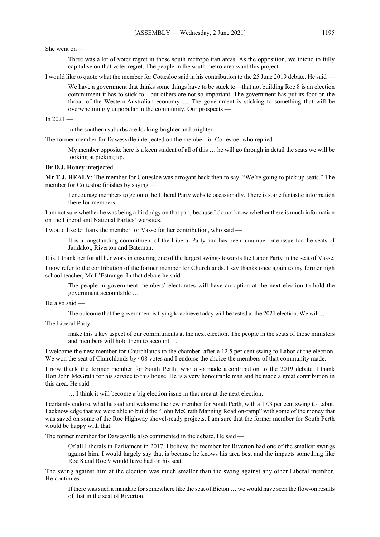She went on —

There was a lot of voter regret in those south metropolitan areas. As the opposition, we intend to fully capitalise on that voter regret. The people in the south metro area want this project.

I would like to quote what the member for Cottesloe said in his contribution to the 25 June 2019 debate. He said —

We have a government that thinks some things have to be stuck to—that not building Roe 8 is an election commitment it has to stick to—but others are not so important. The government has put its foot on the throat of the Western Australian economy … The government is sticking to something that will be overwhelmingly unpopular in the community. Our prospects —

In  $2021 -$ 

in the southern suburbs are looking brighter and brighter.

The former member for Dawesville interjected on the member for Cottesloe, who replied —

My member opposite here is a keen student of all of this … he will go through in detail the seats we will be looking at picking up.

**Dr D.J. Honey** interjected.

**Mr T.J. HEALY**: The member for Cottesloe was arrogant back then to say, "We're going to pick up seats." The member for Cottesloe finishes by saying —

I encourage members to go onto the Liberal Party website occasionally. There is some fantastic information there for members.

I am not sure whether he was being a bit dodgy on that part, because I do not know whether there is much information on the Liberal and National Parties' websites.

I would like to thank the member for Vasse for her contribution, who said —

It is a longstanding commitment of the Liberal Party and has been a number one issue for the seats of Jandakot, Riverton and Bateman.

It is. I thank her for all her work in ensuring one of the largest swings towards the Labor Party in the seat of Vasse.

I now refer to the contribution of the former member for Churchlands. I say thanks once again to my former high school teacher, Mr L'Estrange. In that debate he said —

The people in government members' electorates will have an option at the next election to hold the government accountable …

He also said —

The outcome that the government is trying to achieve today will be tested at the 2021 election. We will ... —

The Liberal Party —

make this a key aspect of our commitments at the next election. The people in the seats of those ministers and members will hold them to account …

I welcome the new member for Churchlands to the chamber, after a 12.5 per cent swing to Labor at the election. We won the seat of Churchlands by 408 votes and I endorse the choice the members of that community made.

I now thank the former member for South Perth, who also made a contribution to the 2019 debate. I thank Hon John McGrath for his service to this house. He is a very honourable man and he made a great contribution in this area. He said —

… I think it will become a big election issue in that area at the next election.

I certainly endorse what he said and welcome the new member for South Perth, with a 17.3 per cent swing to Labor. I acknowledge that we were able to build the "John McGrath Manning Road on-ramp" with some of the money that was saved on some of the Roe Highway shovel-ready projects. I am sure that the former member for South Perth would be happy with that.

The former member for Dawesville also commented in the debate. He said —

Of all Liberals in Parliament in 2017, I believe the member for Riverton had one of the smallest swings against him. I would largely say that is because he knows his area best and the impacts something like Roe 8 and Roe 9 would have had on his seat.

The swing against him at the election was much smaller than the swing against any other Liberal member. He continues

If there was such a mandate for somewhere like the seat of Bicton … we would have seen the flow-on results of that in the seat of Riverton.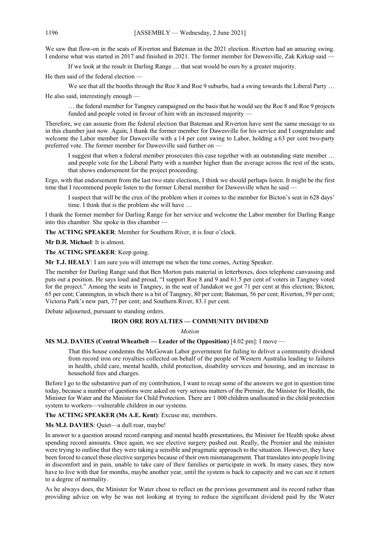We saw that flow-on in the seats of Riverton and Bateman in the 2021 election. Riverton had an amazing swing. I endorse what was started in 2017 and finished in 2021. The former member for Dawesville, Zak Kirkup said —

If we look at the result in Darling Range … that seat would be ours by a greater majority.

He then said of the federal election —

We see that all the booths through the Roe 8 and Roe 9 suburbs, had a swing towards the Liberal Party ...

He also said, interestingly enough —

… the federal member for Tangney campaigned on the basis that he would see the Roe 8 and Roe 9 projects funded and people voted in favour of him with an increased majority -

Therefore, we can assume from the federal election that Bateman and Riverton have sent the same message to us in this chamber just now. Again, I thank the former member for Dawesville for his service and I congratulate and welcome the Labor member for Dawesville with a 14 per cent swing to Labor, holding a 63 per cent two-party preferred vote. The former member for Dawesville said further on —

I suggest that when a federal member prosecutes this case together with an outstanding state member … and people vote for the Liberal Party with a number higher than the average across the rest of the seats, that shows endorsement for the project proceeding.

Ergo, with that endorsement from the last two state elections, I think we should perhaps listen. It might be the first time that I recommend people listen to the former Liberal member for Dawesville when he said —

I suspect that will be the crux of the problem when it comes to the member for Bicton's seat in 628 days' time. I think that is the problem she will have …

I thank the former member for Darling Range for her service and welcome the Labor member for Darling Range into this chamber. She spoke in this chamber —

**The ACTING SPEAKER**: Member for Southern River, it is four o'clock.

**Mr D.R. Michael**: It is almost.

**The ACTING SPEAKER**: Keep going.

**Mr T.J. HEALY**: I am sure you will interrupt me when the time comes, Acting Speaker.

The member for Darling Range said that Ben Morton puts material in letterboxes, does telephone canvassing and puts out a position. He says loud and proud, "I support Roe 8 and 9 and 61.5 per cent of voters in Tangney voted for the project." Among the seats in Tangney, in the seat of Jandakot we got 71 per cent at this election; Bicton, 65 per cent; Cannington, in which there is a bit of Tangney, 80 per cent; Bateman, 56 per cent; Riverton, 59 per cent; Victoria Park's new part, 77 per cent; and Southern River, 83.1 per cent.

Debate adjourned, pursuant to standing orders.

## **IRON ORE ROYALTIES — COMMUNITY DIVIDEND**

*Motion*

## **MS M.J. DAVIES (Central Wheatbelt — Leader of the Opposition)** [4.02 pm]: I move —

That this house condemns the McGowan Labor government for failing to deliver a community dividend from record iron ore royalties collected on behalf of the people of Western Australia leading to failures in health, child care, mental health, child protection, disability services and housing, and an increase in household fees and charges.

Before I go to the substantive part of my contribution, I want to recap some of the answers we got in question time today, because a number of questions were asked on very serious matters of the Premier, the Minister for Health, the Minister for Water and the Minister for Child Protection. There are 1 000 children unallocated in the child protection system to workers—vulnerable children in our systems.

# **The ACTING SPEAKER (Ms A.E. Kent)**: Excuse me, members.

# **Ms M.J. DAVIES**: Quiet—a dull roar, maybe!

In answer to a question around record ramping and mental health presentations, the Minister for Health spoke about spending record amounts. Once again, we see elective surgery pushed out. Really, the Premier and the minister were trying to outline that they were taking a sensible and pragmatic approach to the situation. However, they have been forced to cancel those elective surgeries because of their own mismanagement. That translates into people living in discomfort and in pain, unable to take care of their families or participate in work. In many cases, they now have to live with that for months, maybe another year, until the system is back to capacity and we can see it return to a degree of normality.

As he always does, the Minister for Water chose to reflect on the previous government and its record rather than providing advice on why he was not looking at trying to reduce the significant dividend paid by the Water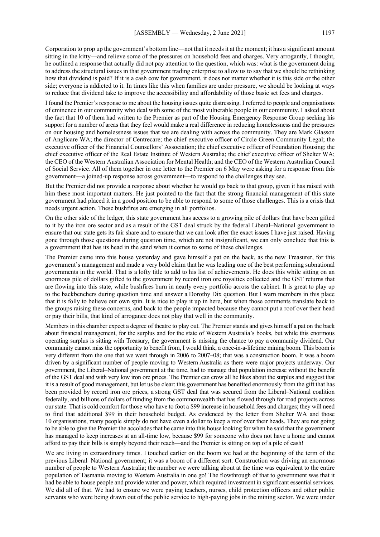Corporation to prop up the government's bottom line—not that it needs it at the moment; it has a significant amount sitting in the kitty—and relieve some of the pressures on household fees and charges. Very arrogantly, I thought, he outlined a response that actually did not pay attention to the question, which was: what is the government doing to address the structural issues in that government trading enterprise to allow us to say that we should be rethinking how that dividend is paid? If it is a cash cow for government, it does not matter whether it is this side or the other side; everyone is addicted to it. In times like this when families are under pressure, we should be looking at ways to reduce that dividend take to improve the accessibility and affordability of those basic set fees and charges.

I found the Premier's response to me about the housing issues quite distressing. I referred to people and organisations of eminence in our community who deal with some of the most vulnerable people in our community. I asked about the fact that 10 of them had written to the Premier as part of the Housing Emergency Response Group seeking his support for a number of areas that they feel would make a real difference in reducing homelessness and the pressures on our housing and homelessness issues that we are dealing with across the community. They are Mark Glasson of Anglicare WA; the director of Centrecare; the chief executive officer of Circle Green Community Legal; the executive officer of the Financial Counsellors' Association; the chief executive officer of Foundation Housing; the chief executive officer of the Real Estate Institute of Western Australia; the chief executive officer of Shelter WA; the CEO of the Western Australian Association for Mental Health; and the CEO of the Western Australian Council of Social Service. All of them together in one letter to the Premier on 6 May were asking for a response from this government—a joined-up response across government—to respond to the challenges they see.

But the Premier did not provide a response about whether he would go back to that group, given it has raised with him these most important matters. He just pointed to the fact that the strong financial management of this state government had placed it in a good position to be able to respond to some of those challenges. This is a crisis that needs urgent action. These bushfires are emerging in all portfolios.

On the other side of the ledger, this state government has access to a growing pile of dollars that have been gifted to it by the iron ore sector and as a result of the GST deal struck by the federal Liberal–National government to ensure that our state gets its fair share and to ensure that we can look after the exact issues I have just raised. Having gone through those questions during question time, which are not insignificant, we can only conclude that this is a government that has its head in the sand when it comes to some of these challenges.

The Premier came into this house yesterday and gave himself a pat on the back, as the new Treasurer, for this government's management and made a very bold claim that he was leading one of the best performing subnational governments in the world. That is a lofty title to add to his list of achievements. He does this while sitting on an enormous pile of dollars gifted to the government by record iron ore royalties collected and the GST returns that are flowing into this state, while bushfires burn in nearly every portfolio across the cabinet. It is great to play up to the backbenchers during question time and answer a Dorothy Dix question. But I warn members in this place that it is folly to believe our own spin. It is nice to play it up in here, but when those comments translate back to the groups raising these concerns, and back to the people impacted because they cannot put a roof over their head or pay their bills, that kind of arrogance does not play that well in the community.

Members in this chamber expect a degree of theatre to play out. The Premier stands and gives himself a pat on the back about financial management, for the surplus and for the state of Western Australia's books, but while this enormous operating surplus is sitting with Treasury, the government is missing the chance to pay a community dividend. Our community cannot miss the opportunity to benefit from, I would think, a once-in-a-lifetime mining boom. This boom is very different from the one that we went through in 2006 to 2007–08; that was a construction boom. It was a boom driven by a significant number of people moving to Western Australia as there were major projects underway. Our government, the Liberal–National government at the time, had to manage that population increase without the benefit of the GST deal and with very low iron ore prices. The Premier can crow all he likes about the surplus and suggest that it is a result of good management, but let us be clear: this government has benefited enormously from the gift that has been provided by record iron ore prices, a strong GST deal that was secured from the Liberal–National coalition federally, and billions of dollars of funding from the commonwealth that has flowed through for road projects across our state. That is cold comfort for those who have to foot a \$99 increase in household fees and charges; they will need to find that additional \$99 in their household budget. As evidenced by the letter from Shelter WA and those 10 organisations, many people simply do not have even a dollar to keep a roof over their heads. They are not going to be able to give the Premier the accolades that he came into this house looking for when he said that the government has managed to keep increases at an all-time low, because \$99 for someone who does not have a home and cannot afford to pay their bills is simply beyond their reach—and the Premier is sitting on top of a pile of cash!

We are living in extraordinary times. I touched earlier on the boom we had at the beginning of the term of the previous Liberal–National government; it was a boom of a different sort. Construction was driving an enormous number of people to Western Australia; the number we were talking about at the time was equivalent to the entire population of Tasmania moving to Western Australia in one go! The flowthrough of that to government was that it had be able to house people and provide water and power, which required investment in significant essential services. We did all of that. We had to ensure we were paying teachers, nurses, child protection officers and other public servants who were being drawn out of the public service to high-paying jobs in the mining sector. We were under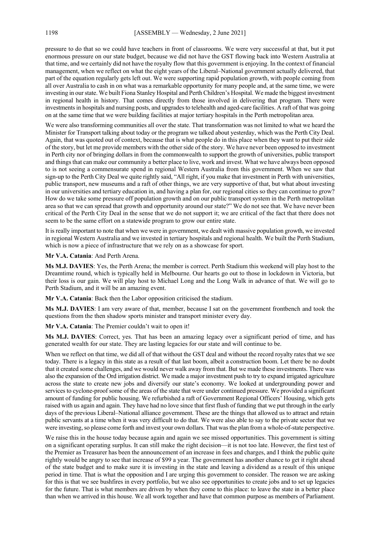pressure to do that so we could have teachers in front of classrooms. We were very successful at that, but it put enormous pressure on our state budget, because we did not have the GST flowing back into Western Australia at that time, and we certainly did not have the royalty flow that this government is enjoying. In the context of financial management, when we reflect on what the eight years of the Liberal–National government actually delivered, that part of the equation regularly gets left out. We were supporting rapid population growth, with people coming from all over Australia to cash in on what was a remarkable opportunity for many people and, at the same time, we were investing in our state. We built Fiona Stanley Hospital and Perth Children's Hospital. We made the biggest investment in regional health in history. That comes directly from those involved in delivering that program. There were investments in hospitals and nursing posts, and upgrades to telehealth and aged-care facilities. A raft of that was going on at the same time that we were building facilities at major tertiary hospitals in the Perth metropolitan area.

We were also transforming communities all over the state. That transformation was not limited to what we heard the Minister for Transport talking about today or the program we talked about yesterday, which was the Perth City Deal. Again, that was quoted out of context, because that is what people do in this place when they want to put their side of the story, but let me provide members with the other side of the story. We have never been opposed to investment in Perth city nor of bringing dollars in from the commonwealth to support the growth of universities, public transport and things that can make our community a better place to live, work and invest. What we have always been opposed to is not seeing a commensurate spend in regional Western Australia from this government. When we saw that sign-up to the Perth City Deal we quite rightly said, "All right, if you make that investment in Perth with universities, public transport, new museums and a raft of other things, we are very supportive of that, but what about investing in our universities and tertiary education in, and having a plan for, our regional cities so they can continue to grow? How do we take some pressure off population growth and on our public transport system in the Perth metropolitan area so that we can spread that growth and opportunity around our state?" We do not see that. We have never been critical of the Perth City Deal in the sense that we do not support it; we are critical of the fact that there does not seem to be the same effort on a statewide program to grow our entire state.

It is really important to note that when we were in government, we dealt with massive population growth, we invested in regional Western Australia and we invested in tertiary hospitals and regional health. We built the Perth Stadium, which is now a piece of infrastructure that we rely on as a showcase for sport.

**Mr V.A. Catania**: And Perth Arena.

**Ms M.J. DAVIES**: Yes, the Perth Arena; the member is correct. Perth Stadium this weekend will play host to the Dreamtime round, which is typically held in Melbourne. Our hearts go out to those in lockdown in Victoria, but their loss is our gain. We will play host to Michael Long and the Long Walk in advance of that. We will go to Perth Stadium, and it will be an amazing event.

**Mr V.A. Catania**: Back then the Labor opposition criticised the stadium.

**Ms M.J. DAVIES**: I am very aware of that, member, because I sat on the government frontbench and took the questions from the then shadow sports minister and transport minister every day.

**Mr V.A. Catania**: The Premier couldn't wait to open it!

**Ms M.J. DAVIES**: Correct, yes. That has been an amazing legacy over a significant period of time, and has generated wealth for our state. They are lasting legacies for our state and will continue to be.

When we reflect on that time, we did all of that without the GST deal and without the record royalty rates that we see today. There is a legacy in this state as a result of that last boom, albeit a construction boom. Let there be no doubt that it created some challenges, and we would never walk away from that. But we made these investments. There was also the expansion of the Ord irrigation district. We made a major investment push to try to expand irrigated agriculture across the state to create new jobs and diversify our state's economy. We looked at undergrounding power and services to cyclone-proof some of the areas of the state that were under continued pressure. We provided a significant amount of funding for public housing. We refurbished a raft of Government Regional Officers' Housing, which gets raised with us again and again. They have had no love since that first flush of funding that we put through in the early days of the previous Liberal–National alliance government. These are the things that allowed us to attract and retain public servants at a time when it was very difficult to do that. We were also able to say to the private sector that we were investing, so please come forth and invest your own dollars. That was the plan from a whole-of-state perspective.

We raise this in the house today because again and again we see missed opportunities. This government is sitting on a significant operating surplus. It can still make the right decision—it is not too late. However, the first test of the Premier as Treasurer has been the announcement of an increase in fees and charges, and I think the public quite rightly would be angry to see that increase of \$99 a year. The government has another chance to get it right ahead of the state budget and to make sure it is investing in the state and leaving a dividend as a result of this unique period in time. That is what the opposition and I are urging this government to consider. The reason we are asking for this is that we see bushfires in every portfolio, but we also see opportunities to create jobs and to set up legacies for the future. That is what members are driven by when they come to this place: to leave the state in a better place than when we arrived in this house. We all work together and have that common purpose as members of Parliament.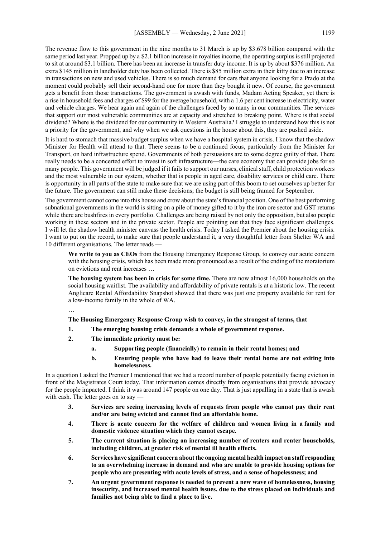The revenue flow to this government in the nine months to 31 March is up by \$3.678 billion compared with the same period last year. Propped up by a \$2.1 billion increase in royalties income, the operating surplus is still projected to sit at around \$3.1 billion. There has been an increase in transfer duty income. It is up by about \$376 million. An extra \$145 million in landholder duty has been collected. There is \$85 million extra in their kitty due to an increase in transactions on new and used vehicles. There is so much demand for cars that anyone looking for a Prado at the moment could probably sell their second-hand one for more than they bought it new. Of course, the government gets a benefit from those transactions. The government is awash with funds, Madam Acting Speaker, yet there is a rise in household fees and charges of \$99 for the average household, with a 1.6 per cent increase in electricity, water and vehicle charges. We hear again and again of the challenges faced by so many in our communities. The services that support our most vulnerable communities are at capacity and stretched to breaking point. Where is that social dividend? Where is the dividend for our community in Western Australia? I struggle to understand how this is not a priority for the government, and why when we ask questions in the house about this, they are pushed aside.

It is hard to stomach that massive budget surplus when we have a hospital system in crisis. I know that the shadow Minister for Health will attend to that. There seems to be a continued focus, particularly from the Minister for Transport, on hard infrastructure spend. Governments of both persuasions are to some degree guilty of that. There really needs to be a concerted effort to invest in soft infrastructure—the care economy that can provide jobs for so many people. This government will be judged if it fails to support our nurses, clinical staff, child protection workers and the most vulnerable in our system, whether that is people in aged care, disability services or child care. There is opportunity in all parts of the state to make sure that we are using part of this boom to set ourselves up better for the future. The government can still make these decisions; the budget is still being framed for September.

The government cannot come into this house and crow about the state's financial position. One of the best performing subnational governments in the world is sitting on a pile of money gifted to it by the iron ore sector and GST returns while there are bushfires in every portfolio. Challenges are being raised by not only the opposition, but also people working in these sectors and in the private sector. People are pointing out that they face significant challenges. I will let the shadow health minister canvass the health crisis. Today I asked the Premier about the housing crisis. I want to put on the record, to make sure that people understand it, a very thoughtful letter from Shelter WA and 10 different organisations. The letter reads -

**We write to you as CEOs** from the Housing Emergency Response Group, to convey our acute concern with the housing crisis, which has been made more pronounced as a result of the ending of the moratorium on evictions and rent increases …

**The housing system has been in crisis for some time.** There are now almost 16,000 households on the social housing waitlist. The availability and affordability of private rentals is at a historic low. The recent Anglicare Rental Affordability Snapshot showed that there was just one property available for rent for a low-income family in the whole of WA.

…

#### **The Housing Emergency Response Group wish to convey, in the strongest of terms, that**

- **1. The emerging housing crisis demands a whole of government response.**
- **2. The immediate priority must be:**
	- **a. Supporting people (financially) to remain in their rental homes; and**
	- **b. Ensuring people who have had to leave their rental home are not exiting into homelessness.**

In a question I asked the Premier I mentioned that we had a record number of people potentially facing eviction in front of the Magistrates Court today. That information comes directly from organisations that provide advocacy for the people impacted. I think it was around 147 people on one day. That is just appalling in a state that is awash with cash. The letter goes on to say —

- **3. Services are seeing increasing levels of requests from people who cannot pay their rent and/or are being evicted and cannot find an affordable home.**
- **4. There is acute concern for the welfare of children and women living in a family and domestic violence situation which they cannot escape.**
- **5. The current situation is placing an increasing number of renters and renter households, including children, at greater risk of mental ill health effects.**
- **6. Services have significant concern about the ongoing mental health impact on staff responding to an overwhelming increase in demand and who are unable to provide housing options for people who are presenting with acute levels of stress, and a sense of hopelessness; and**
- **7. An urgent government response is needed to prevent a new wave of homelessness, housing insecurity, and increased mental health issues, due to the stress placed on individuals and families not being able to find a place to live.**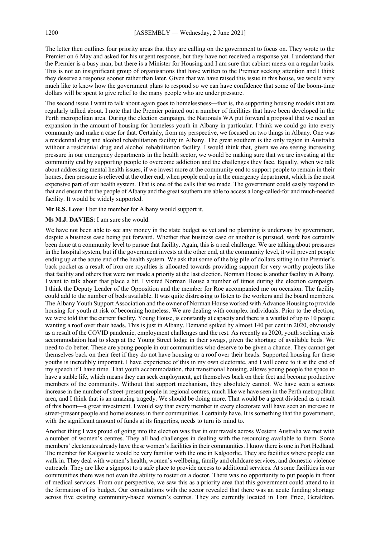The letter then outlines four priority areas that they are calling on the government to focus on. They wrote to the Premier on 6 May and asked for his urgent response, but they have not received a response yet. I understand that the Premier is a busy man, but there is a Minister for Housing and I am sure that cabinet meets on a regular basis. This is not an insignificant group of organisations that have written to the Premier seeking attention and I think they deserve a response sooner rather than later. Given that we have raised this issue in this house, we would very much like to know how the government plans to respond so we can have confidence that some of the boom-time dollars will be spent to give relief to the many people who are under pressure.

The second issue I want to talk about again goes to homelessness—that is, the supporting housing models that are regularly talked about. I note that the Premier pointed out a number of facilities that have been developed in the Perth metropolitan area. During the election campaign, the Nationals WA put forward a proposal that we need an expansion in the amount of housing for homeless youth in Albany in particular. I think we could go into every community and make a case for that. Certainly, from my perspective, we focused on two things in Albany. One was a residential drug and alcohol rehabilitation facility in Albany. The great southern is the only region in Australia without a residential drug and alcohol rehabilitation facility. I would think that, given we are seeing increasing pressure in our emergency departments in the health sector, we would be making sure that we are investing at the community end by supporting people to overcome addiction and the challenges they face. Equally, when we talk about addressing mental health issues, if we invest more at the community end to support people to remain in their homes, then pressure is relieved at the other end, when people end up in the emergency department, which is the most expensive part of our health system. That is one of the calls that we made. The government could easily respond to that and ensure that the people of Albany and the great southern are able to access a long-called-for and much-needed facility. It would be widely supported.

**Mr R.S. Love**: I bet the member for Albany would support it.

#### **Ms M.J. DAVIES**: I am sure she would.

We have not been able to see any money in the state budget as yet and no planning is underway by government, despite a business case being put forward. Whether that business case or another is pursued, work has certainly been done at a community level to pursue that facility. Again, this is a real challenge. We are talking about pressures in the hospital system, but if the government invests at the other end, at the community level, it will prevent people ending up at the acute end of the health system. We ask that some of the big pile of dollars sitting in the Premier's back pocket as a result of iron ore royalties is allocated towards providing support for very worthy projects like that facility and others that were not made a priority at the last election. Norman House is another facility in Albany. I want to talk about that place a bit. I visited Norman House a number of times during the election campaign. I think the Deputy Leader of the Opposition and the member for Roe accompanied me on occasion. The facility could add to the number of beds available. It was quite distressing to listen to the workers and the board members. The Albany Youth Support Association and the owner of Norman House worked with Advance Housing to provide housing for youth at risk of becoming homeless. We are dealing with complex individuals. Prior to the election, we were told that the current facility, Young House, is constantly at capacity and there is a waitlist of up to 10 people wanting a roof over their heads. This is just in Albany. Demand spiked by almost 140 per cent in 2020, obviously as a result of the COVID pandemic, employment challenges and the rest. As recently as 2020, youth seeking crisis accommodation had to sleep at the Young Street lodge in their swags, given the shortage of available beds. We need to do better. These are young people in our communities who deserve to be given a chance. They cannot get themselves back on their feet if they do not have housing or a roof over their heads. Supported housing for these youths is incredibly important. I have experience of this in my own electorate, and I will come to it at the end of my speech if I have time. That youth accommodation, that transitional housing, allows young people the space to have a stable life, which means they can seek employment, get themselves back on their feet and become productive members of the community. Without that support mechanism, they absolutely cannot. We have seen a serious increase in the number of street-present people in regional centres, much like we have seen in the Perth metropolitan area, and I think that is an amazing tragedy. We should be doing more. That would be a great dividend as a result of this boom—a great investment. I would say that every member in every electorate will have seen an increase in street-present people and homelessness in their communities. I certainly have. It is something that the government, with the significant amount of funds at its fingertips, needs to turn its mind to.

Another thing I was proud of going into the election was that in our travels across Western Australia we met with a number of women's centres. They all had challenges in dealing with the resourcing available to them. Some members' electorates already have these women's facilities in their communities. I know there is one in Port Hedland. The member for Kalgoorlie would be very familiar with the one in Kalgoorlie. They are facilities where people can walk in. They deal with women's health, women's wellbeing, family and childcare services, and domestic violence outreach. They are like a signpost to a safe place to provide access to additional services. At some facilities in our communities there was not even the ability to roster on a doctor. There was no opportunity to put people in front of medical services. From our perspective, we saw this as a priority area that this government could attend to in the formation of its budget. Our consultations with the sector revealed that there was an acute funding shortage across five existing community-based women's centres. They are currently located in Tom Price, Geraldton,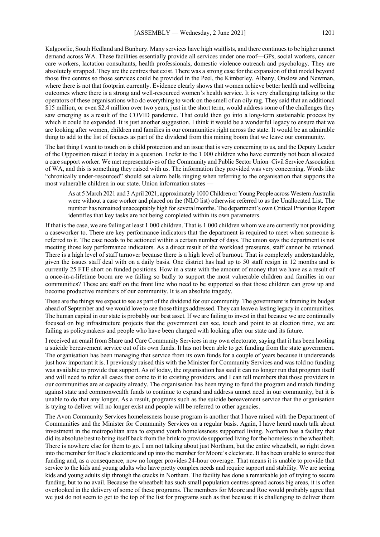Kalgoorlie, South Hedland and Bunbury. Many services have high waitlists, and there continues to be higher unmet demand across WA. These facilities essentially provide all services under one roof—GPs, social workers, cancer care workers, lactation consultants, health professionals, domestic violence outreach and psychology. They are absolutely strapped. They are the centres that exist. There was a strong case for the expansion of that model beyond those five centres so those services could be provided in the Peel, the Kimberley, Albany, Onslow and Newman, where there is not that footprint currently. Evidence clearly shows that women achieve better health and wellbeing outcomes where there is a strong and well-resourced women's health service. It is very challenging talking to the operators of these organisations who do everything to work on the smell of an oily rag. They said that an additional \$15 million, or even \$2.4 million over two years, just in the short term, would address some of the challenges they saw emerging as a result of the COVID pandemic. That could then go into a long-term sustainable process by which it could be expanded. It is just another suggestion. I think it would be a wonderful legacy to ensure that we are looking after women, children and families in our communities right across the state. It would be an admirable thing to add to the list of focuses as part of the dividend from this mining boom that we leave our community.

The last thing I want to touch on is child protection and an issue that is very concerning to us, and the Deputy Leader of the Opposition raised it today in a question. I refer to the 1 000 children who have currently not been allocated a care support worker. We met representatives of the Community and Public Sector Union–Civil Service Association of WA, and this is something they raised with us. The information they provided was very concerning. Words like "chronically under-resourced" should set alarm bells ringing when referring to the organisation that supports the most vulnerable children in our state. Union information states —

As at 5 March 2021 and 3 April 2021, approximately 1000 Children or Young People across Western Australia were without a case worker and placed on the (NLO list) otherwise referred to as the Unallocated List. The number has remained unacceptably high for several months. The department's own Critical Priorities Report identifies that key tasks are not being completed within its own parameters.

If that is the case, we are failing at least 1 000 children. That is 1 000 children whom we are currently not providing a caseworker to. There are key performance indicators that the department is required to meet when someone is referred to it. The case needs to be actioned within a certain number of days. The union says the department is not meeting those key performance indicators. As a direct result of the workload pressures, staff cannot be retained. There is a high level of staff turnover because there is a high level of burnout. That is completely understandable, given the issues staff deal with on a daily basis. One district has had up to 50 staff resign in 12 months and is currently 25 FTE short on funded positions. How in a state with the amount of money that we have as a result of a once-in-a-lifetime boom are we failing so badly to support the most vulnerable children and families in our communities? These are staff on the front line who need to be supported so that those children can grow up and become productive members of our community. It is an absolute tragedy.

These are the things we expect to see as part of the dividend for our community. The government is framing its budget ahead of September and we would love to see those things addressed. They can leave a lasting legacy in communities. The human capital in our state is probably our best asset. If we are failing to invest in that because we are continually focused on big infrastructure projects that the government can see, touch and point to at election time, we are failing as policymakers and people who have been charged with looking after our state and its future.

I received an email from Share and Care Community Services in my own electorate, saying that it has been hosting a suicide bereavement service out of its own funds. It has not been able to get funding from the state government. The organisation has been managing that service from its own funds for a couple of years because it understands just how important it is. I previously raised this with the Minister for Community Services and was told no funding was available to provide that support. As of today, the organisation has said it can no longer run that program itself and will need to refer all cases that come to it to existing providers, and I can tell members that those providers in our communities are at capacity already. The organisation has been trying to fund the program and match funding against state and commonwealth funds to continue to expand and address unmet need in our community, but it is unable to do that any longer. As a result, programs such as the suicide bereavement service that the organisation is trying to deliver will no longer exist and people will be referred to other agencies.

The Avon Community Services homelessness house program is another that I have raised with the Department of Communities and the Minister for Community Services on a regular basis. Again, I have heard much talk about investment in the metropolitan area to expand youth homelessness supported living. Northam has a facility that did its absolute best to bring itself back from the brink to provide supported living for the homeless in the wheatbelt. There is nowhere else for them to go. I am not talking about just Northam, but the entire wheatbelt, so right down into the member for Roe's electorate and up into the member for Moore's electorate. It has been unable to source that funding and, as a consequence, now no longer provides 24-hour coverage. That means it is unable to provide that service to the kids and young adults who have pretty complex needs and require support and stability. We are seeing kids and young adults slip through the cracks in Northam. The facility has done a remarkable job of trying to secure funding, but to no avail. Because the wheatbelt has such small population centres spread across big areas, it is often overlooked in the delivery of some of these programs. The members for Moore and Roe would probably agree that we just do not seem to get to the top of the list for programs such as that because it is challenging to deliver them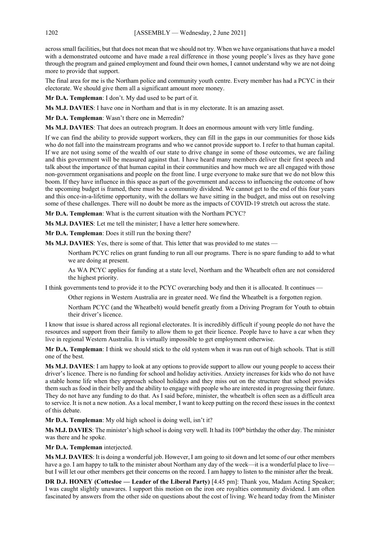across small facilities, but that does not mean that we should not try. When we have organisations that have a model with a demonstrated outcome and have made a real difference in those young people's lives as they have gone through the program and gained employment and found their own homes, I cannot understand why we are not doing more to provide that support.

The final area for me is the Northam police and community youth centre. Every member has had a PCYC in their electorate. We should give them all a significant amount more money.

**Mr D.A. Templeman**: I don't. My dad used to be part of it.

**Ms M.J. DAVIES**: I have one in Northam and that is in my electorate. It is an amazing asset.

**Mr D.A. Templeman**: Wasn't there one in Merredin?

**Ms M.J. DAVIES**: That does an outreach program. It does an enormous amount with very little funding.

If we can find the ability to provide support workers, they can fill in the gaps in our communities for those kids who do not fall into the mainstream programs and who we cannot provide support to. I refer to that human capital. If we are not using some of the wealth of our state to drive change in some of those outcomes, we are failing and this government will be measured against that. I have heard many members deliver their first speech and talk about the importance of that human capital in their communities and how much we are all engaged with those non-government organisations and people on the front line. I urge everyone to make sure that we do not blow this boom. If they have influence in this space as part of the government and access to influencing the outcome of how the upcoming budget is framed, there must be a community dividend. We cannot get to the end of this four years and this once-in-a-lifetime opportunity, with the dollars we have sitting in the budget, and miss out on resolving some of these challenges. There will no doubt be more as the impacts of COVID-19 stretch out across the state.

**Mr D.A. Templeman**: What is the current situation with the Northam PCYC?

**Ms M.J. DAVIES**: Let me tell the minister; I have a letter here somewhere.

**Mr D.A. Templeman**: Does it still run the boxing there?

**Ms M.J. DAVIES**: Yes, there is some of that. This letter that was provided to me states —

Northam PCYC relies on grant funding to run all our programs. There is no spare funding to add to what we are doing at present.

As WA PCYC applies for funding at a state level, Northam and the Wheatbelt often are not considered the highest priority.

I think governments tend to provide it to the PCYC overarching body and then it is allocated. It continues —

Other regions in Western Australia are in greater need. We find the Wheatbelt is a forgotten region.

Northam PCYC (and the Wheatbelt) would benefit greatly from a Driving Program for Youth to obtain their driver's licence.

I know that issue is shared across all regional electorates. It is incredibly difficult if young people do not have the resources and support from their family to allow them to get their licence. People have to have a car when they live in regional Western Australia. It is virtually impossible to get employment otherwise.

**Mr D.A. Templeman**: I think we should stick to the old system when it was run out of high schools. That is still one of the best.

**Ms M.J. DAVIES**: I am happy to look at any options to provide support to allow our young people to access their driver's licence. There is no funding for school and holiday activities. Anxiety increases for kids who do not have a stable home life when they approach school holidays and they miss out on the structure that school provides them such as food in their belly and the ability to engage with people who are interested in progressing their future. They do not have any funding to do that. As I said before, minister, the wheatbelt is often seen as a difficult area to service. It is not a new notion. As a local member, I want to keep putting on the record these issues in the context of this debate.

**Mr D.A. Templeman**: My old high school is doing well, isn't it?

Ms M.J. DAVIES: The minister's high school is doing very well. It had its 100<sup>th</sup> birthday the other day. The minister was there and he spoke.

**Mr D.A. Templeman** interjected.

**Ms M.J. DAVIES**: It is doing a wonderful job. However, I am going to sit down and let some of our other members have a go. I am happy to talk to the minister about Northam any day of the week—it is a wonderful place to livebut I will let our other members get their concerns on the record. I am happy to listen to the minister after the break.

**DR D.J. HONEY (Cottesloe — Leader of the Liberal Party)** [4.45 pm]: Thank you, Madam Acting Speaker; I was caught slightly unawares. I support this motion on the iron ore royalties community dividend. I am often fascinated by answers from the other side on questions about the cost of living. We heard today from the Minister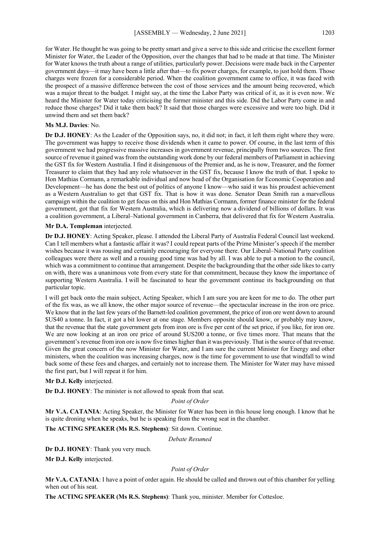for Water. He thought he was going to be pretty smart and give a serve to this side and criticise the excellent former Minister for Water, the Leader of the Opposition, over the changes that had to be made at that time. The Minister for Water knows the truth about a range of utilities, particularly power. Decisions were made back in the Carpenter government days—it may have been a little after that—to fix power charges, for example, to just hold them. Those charges were frozen for a considerable period. When the coalition government came to office, it was faced with the prospect of a massive difference between the cost of those services and the amount being recovered, which was a major threat to the budget. I might say, at the time the Labor Party was critical of it, as it is even now. We heard the Minister for Water today criticising the former minister and this side. Did the Labor Party come in and reduce those charges? Did it take them back? It said that those charges were excessive and were too high. Did it unwind them and set them back?

# **Ms M.J. Davies**: No.

**Dr D.J. HONEY**: As the Leader of the Opposition says, no, it did not; in fact, it left them right where they were. The government was happy to receive those dividends when it came to power. Of course, in the last term of this government we had progressive massive increases in government revenue, principally from two sources. The first source of revenue it gained was from the outstanding work done by our federal members of Parliament in achieving the GST fix for Western Australia. I find it disingenuous of the Premier and, as he is now, Treasurer, and the former Treasurer to claim that they had any role whatsoever in the GST fix, because I know the truth of that. I spoke to Hon Mathias Cormann, a remarkable individual and now head of the Organisation for Economic Cooperation and Development—he has done the best out of politics of anyone I know—who said it was his proudest achievement as a Western Australian to get that GST fix. That is how it was done. Senator Dean Smith ran a marvellous campaign within the coalition to get focus on this and Hon Mathias Cormann, former finance minister for the federal government, got that fix for Western Australia, which is delivering now a dividend of billions of dollars. It was a coalition government, a Liberal–National government in Canberra, that delivered that fix for Western Australia.

## **Mr D.A. Templeman** interjected.

**Dr D.J. HONEY**: Acting Speaker, please. I attended the Liberal Party of Australia Federal Council last weekend. Can I tell members what a fantastic affair it was? I could repeat parts of the Prime Minister's speech if the member wishes because it was rousing and certainly encouraging for everyone there. Our Liberal–National Party coalition colleagues were there as well and a rousing good time was had by all. I was able to put a motion to the council, which was a commitment to continue that arrangement. Despite the backgrounding that the other side likes to carry on with, there was a unanimous vote from every state for that commitment, because they know the importance of supporting Western Australia. I will be fascinated to hear the government continue its backgrounding on that particular topic.

I will get back onto the main subject, Acting Speaker, which I am sure you are keen for me to do. The other part of the fix was, as we all know, the other major source of revenue—the spectacular increase in the iron ore price. We know that in the last few years of the Barnett-led coalition government, the price of iron ore went down to around \$US40 a tonne. In fact, it got a bit lower at one stage. Members opposite should know, or probably may know, that the revenue that the state government gets from iron ore is five per cent of the set price, if you like, for iron ore. We are now looking at an iron ore price of around \$US200 a tonne, or five times more. That means that the government's revenue from iron ore is now five times higher than it was previously. That is the source of that revenue. Given the great concern of the now Minister for Water, and I am sure the current Minister for Energy and other ministers, when the coalition was increasing charges, now is the time for government to use that windfall to wind back some of these fees and charges, and certainly not to increase them. The Minister for Water may have missed the first part, but I will repeat it for him.

# **Mr D.J. Kelly** interjected.

**Dr D.J. HONEY**: The minister is not allowed to speak from that seat.

## *Point of Order*

**Mr V.A. CATANIA**: Acting Speaker, the Minister for Water has been in this house long enough. I know that he is quite droning when he speaks, but he is speaking from the wrong seat in the chamber.

# **The ACTING SPEAKER (Ms R.S. Stephens)**: Sit down. Continue.

#### *Debate Resumed*

**Dr D.J. HONEY**: Thank you very much.

**Mr D.J. Kelly** interjected.

#### *Point of Order*

**Mr V.A. CATANIA**: I have a point of order again. He should be called and thrown out of this chamber for yelling when out of his seat.

**The ACTING SPEAKER (Ms R.S. Stephens)**: Thank you, minister. Member for Cottesloe.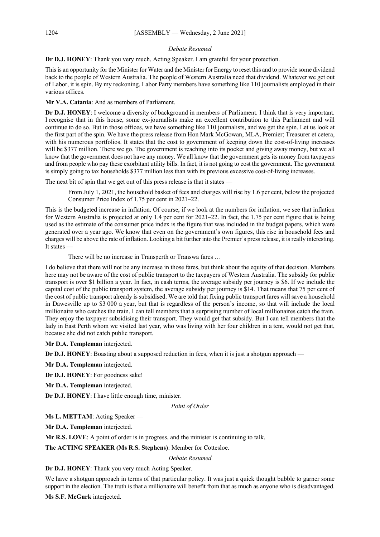# *Debate Resumed*

**Dr D.J. HONEY**: Thank you very much, Acting Speaker. I am grateful for your protection.

This is an opportunity for the Minister for Water and the Minister for Energy to reset this and to provide some dividend back to the people of Western Australia. The people of Western Australia need that dividend. Whatever we get out of Labor, it is spin. By my reckoning, Labor Party members have something like 110 journalists employed in their various offices.

**Mr V.A. Catania**: And as members of Parliament.

**Dr D.J. HONEY**: I welcome a diversity of background in members of Parliament. I think that is very important. I recognise that in this house, some ex-journalists make an excellent contribution to this Parliament and will continue to do so. But in those offices, we have something like 110 journalists, and we get the spin. Let us look at the first part of the spin. We have the press release from Hon Mark McGowan, MLA, Premier; Treasurer et cetera, with his numerous portfolios. It states that the cost to government of keeping down the cost-of-living increases will be \$377 million. There we go. The government is reaching into its pocket and giving away money, but we all know that the government does not have any money. We all know that the government gets its money from taxpayers and from people who pay these exorbitant utility bills. In fact, it is not going to cost the government. The government is simply going to tax households \$377 million less than with its previous excessive cost-of-living increases.

The next bit of spin that we get out of this press release is that it states —

From July 1, 2021, the household basket of fees and charges will rise by 1.6 per cent, below the projected Consumer Price Index of 1.75 per cent in 2021–22.

This is the budgeted increase in inflation. Of course, if we look at the numbers for inflation, we see that inflation for Western Australia is projected at only 1.4 per cent for 2021–22. In fact, the 1.75 per cent figure that is being used as the estimate of the consumer price index is the figure that was included in the budget papers, which were generated over a year ago. We know that even on the government's own figures, this rise in household fees and charges will be above the rate of inflation. Looking a bit further into the Premier's press release, it is really interesting. It states —

There will be no increase in Transperth or Transwa fares …

I do believe that there will not be any increase in those fares, but think about the equity of that decision. Members here may not be aware of the cost of public transport to the taxpayers of Western Australia. The subsidy for public transport is over \$1 billion a year. In fact, in cash terms, the average subsidy per journey is \$6. If we include the capital cost of the public transport system, the average subsidy per journey is \$14. That means that 75 per cent of the cost of public transport already is subsidised. We are told that fixing public transport fares will save a household in Dawesville up to \$3 000 a year, but that is regardless of the person's income, so that will include the local millionaire who catches the train. I can tell members that a surprising number of local millionaires catch the train. They enjoy the taxpayer subsidising their transport. They would get that subsidy. But I can tell members that the lady in East Perth whom we visited last year, who was living with her four children in a tent, would not get that, because she did not catch public transport.

**Mr D.A. Templeman** interjected.

**Dr D.J. HONEY**: Boasting about a supposed reduction in fees, when it is just a shotgun approach —

**Mr D.A. Templeman** interjected.

**Dr D.J. HONEY**: For goodness sake!

**Mr D.A. Templeman** interjected.

**Dr D.J. HONEY**: I have little enough time, minister.

*Point of Order*

**Ms L. METTAM**: Acting Speaker —

**Mr D.A. Templeman** interjected.

**Mr R.S. LOVE**: A point of order is in progress, and the minister is continuing to talk.

**The ACTING SPEAKER (Ms R.S. Stephens)**: Member for Cottesloe.

*Debate Resumed*

**Dr D.J. HONEY**: Thank you very much Acting Speaker.

We have a shotgun approach in terms of that particular policy. It was just a quick thought bubble to garner some support in the election. The truth is that a millionaire will benefit from that as much as anyone who is disadvantaged.

**Ms S.F. McGurk** interjected.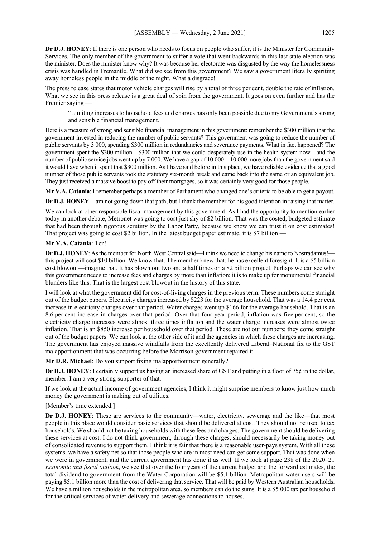**Dr D.J. HONEY**: If there is one person who needs to focus on people who suffer, it is the Minister for Community Services. The only member of the government to suffer a vote that went backwards in this last state election was the minister. Does the minister know why? It was because her electorate was disgusted by the way the homelessness crisis was handled in Fremantle. What did we see from this government? We saw a government literally spiriting away homeless people in the middle of the night. What a disgrace!

The press release states that motor vehicle charges will rise by a total of three per cent, double the rate of inflation. What we see in this press release is a great deal of spin from the government. It goes on even further and has the Premier saying

"Limiting increases to household fees and charges has only been possible due to my Government's strong and sensible financial management.

Here is a measure of strong and sensible financial management in this government: remember the \$300 million that the government invested in reducing the number of public servants? This government was going to reduce the number of public servants by 3 000, spending \$300 million in redundancies and severance payments. What in fact happened? The government spent the \$300 million—\$300 million that we could desperately use in the health system now—and the number of public service jobs went up by 7 000. We have a gap of 10 000—10 000 more jobs than the government said it would have when it spent that \$300 million. As I have said before in this place, we have reliable evidence that a good number of those public servants took the statutory six-month break and came back into the same or an equivalent job. They just received a massive boost to pay off their mortgages, so it was certainly very good for those people.

**Mr V.A. Catania**: I remember perhaps a member of Parliament who changed one's criteria to be able to get a payout.

**Dr D.J. HONEY**: I am not going down that path, but I thank the member for his good intention in raising that matter.

We can look at other responsible fiscal management by this government. As I had the opportunity to mention earlier today in another debate, Metronet was going to cost just shy of \$2 billion. That was the costed, budgeted estimate that had been through rigorous scrutiny by the Labor Party, because we know we can trust it on cost estimates! That project was going to cost \$2 billion. In the latest budget paper estimate, it is \$7 billion —

#### **Mr V.A. Catania**: Ten!

**Dr D.J. HONEY**: As the member for North West Central said—I think we need to change his name to Nostradamus! this project will cost \$10 billion. We know that. The member knew that; he has excellent foresight. It is a \$5 billion cost blowout—imagine that. It has blown out two and a half times on a \$2 billion project. Perhaps we can see why this government needs to increase fees and charges by more than inflation; it is to make up for monumental financial blunders like this. That is the largest cost blowout in the history of this state.

I will look at what the government did for cost-of-living charges in the previous term. These numbers come straight out of the budget papers. Electricity charges increased by \$223 for the average household. That was a 14.4 per cent increase in electricity charges over that period. Water charges went up \$166 for the average household. That is an 8.6 per cent increase in charges over that period. Over that four-year period, inflation was five per cent, so the electricity charge increases were almost three times inflation and the water charge increases were almost twice inflation. That is an \$850 increase per household over that period. These are not our numbers; they come straight out of the budget papers. We can look at the other side of it and the agencies in which these charges are increasing. The government has enjoyed massive windfalls from the excellently delivered Liberal–National fix to the GST malapportionment that was occurring before the Morrison government repaired it.

**Mr D.R. Michael**: Do you support fixing malapportionment generally?

**Dr D.J. HONEY**: I certainly support us having an increased share of GST and putting in a floor of 75¢ in the dollar, member. I am a very strong supporter of that.

If we look at the actual income of government agencies, I think it might surprise members to know just how much money the government is making out of utilities.

#### [Member's time extended.]

**Dr D.J. HONEY**: These are services to the community—water, electricity, sewerage and the like—that most people in this place would consider basic services that should be delivered at cost. They should not be used to tax households. We should not be taxing households with these fees and charges. The government should be delivering these services at cost. I do not think government, through these charges, should necessarily be taking money out of consolidated revenue to support them. I think it is fair that there is a reasonable user-pays system. With all these systems, we have a safety net so that those people who are in most need can get some support. That was done when we were in government, and the current government has done it as well. If we look at page 238 of the 2020–21 *Economic and fiscal outlook*, we see that over the four years of the current budget and the forward estimates, the total dividend to government from the Water Corporation will be \$5.1 billion. Metropolitan water users will be paying \$5.1 billion more than the cost of delivering that service. That will be paid by Western Australian households. We have a million households in the metropolitan area, so members can do the sums. It is a \$5 000 tax per household for the critical services of water delivery and sewerage connections to houses.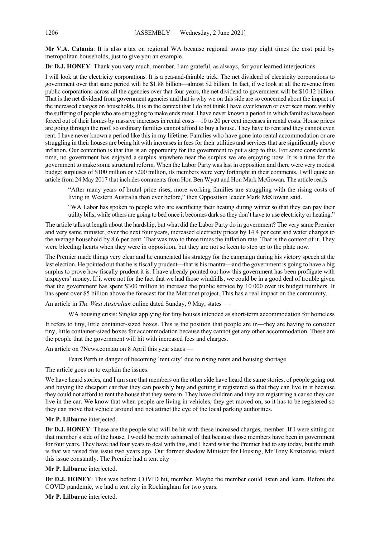**Mr V.A. Catania**: It is also a tax on regional WA because regional towns pay eight times the cost paid by metropolitan households, just to give you an example.

**Dr D.J. HONEY**: Thank you very much, member. I am grateful, as always, for your learned interjections.

I will look at the electricity corporations. It is a pea-and-thimble trick. The net dividend of electricity corporations to government over that same period will be \$1.88 billion—almost \$2 billion. In fact, if we look at all the revenue from public corporations across all the agencies over that four years, the net dividend to government will be \$10.12 billion. That is the net dividend from government agencies and that is why we on this side are so concerned about the impact of the increased charges on households. It is in the context that I do not think I have ever known or ever seen more visibly the suffering of people who are struggling to make ends meet. I have never known a period in which families have been forced out of their homes by massive increases in rental costs—10 to 20 per cent increases in rental costs. House prices are going through the roof, so ordinary families cannot afford to buy a house. They have to rent and they cannot even rent. I have never known a period like this in my lifetime. Families who have gone into rental accommodation or are struggling in their houses are being hit with increases in fees for their utilities and services that are significantly above inflation. Our contention is that this is an opportunity for the government to put a stop to this. For some considerable time, no government has enjoyed a surplus anywhere near the surplus we are enjoying now. It is a time for the government to make some structural reform. When the Labor Party was last in opposition and there were very modest budget surpluses of \$100 million or \$200 million, its members were very forthright in their comments. I will quote an article from 24 May 2017 that includes comments from Hon Ben Wyatt and Hon Mark McGowan. The article reads -

"After many years of brutal price rises, more working families are struggling with the rising costs of living in Western Australia than ever before," then Opposition leader Mark McGowan said.

"WA Labor has spoken to people who are sacrificing their heating during winter so that they can pay their utility bills, while others are going to bed once it becomes dark so they don't have to use electricity or heating."

The article talks at length about the hardship, but what did the Labor Party do in government? The very same Premier and very same minister, over the next four years, increased electricity prices by 14.4 per cent and water charges to the average household by 8.6 per cent. That was two to three times the inflation rate. That is the context of it. They were bleeding hearts when they were in opposition, but they are not so keen to step up to the plate now.

The Premier made things very clear and he enunciated his strategy for the campaign during his victory speech at the last election. He pointed out that he is fiscally prudent—that is his mantra—and the government is going to have a big surplus to prove how fiscally prudent it is. I have already pointed out how this government has been profligate with taxpayers' money. If it were not for the fact that we had those windfalls, we could be in a good deal of trouble given that the government has spent \$300 million to increase the public service by 10 000 over its budget numbers. It has spent over \$5 billion above the forecast for the Metronet project. This has a real impact on the community.

An article in *The West Australian* online dated Sunday, 9 May, states —

WA housing crisis: Singles applying for tiny houses intended as short-term accommodation for homeless

It refers to tiny, little container-sized boxes. This is the position that people are in—they are having to consider tiny, little container-sized boxes for accommodation because they cannot get any other accommodation. These are the people that the government will hit with increased fees and charges.

An article on 7News.com.au on 8 April this year states —

Fears Perth in danger of becoming 'tent city' due to rising rents and housing shortage

The article goes on to explain the issues.

We have heard stories, and I am sure that members on the other side have heard the same stories, of people going out and buying the cheapest car that they can possibly buy and getting it registered so that they can live in it because they could not afford to rent the house that they were in. They have children and they are registering a car so they can live in the car. We know that when people are living in vehicles, they get moved on, so it has to be registered so they can move that vehicle around and not attract the eye of the local parking authorities.

#### **Mr P. Lilburne** interjected.

**Dr D.J. HONEY**: These are the people who will be hit with these increased charges, member. If I were sitting on that member's side of the house, I would be pretty ashamed of that because those members have been in government for four years. They have had four years to deal with this, and I heard what the Premier had to say today, but the truth is that we raised this issue two years ago. Our former shadow Minister for Housing, Mr Tony Krsticevic, raised this issue constantly. The Premier had a tent city —

#### **Mr P. Lilburne** interjected.

**Dr D.J. HONEY**: This was before COVID hit, member. Maybe the member could listen and learn. Before the COVID pandemic, we had a tent city in Rockingham for two years.

**Mr P. Lilburne** interjected.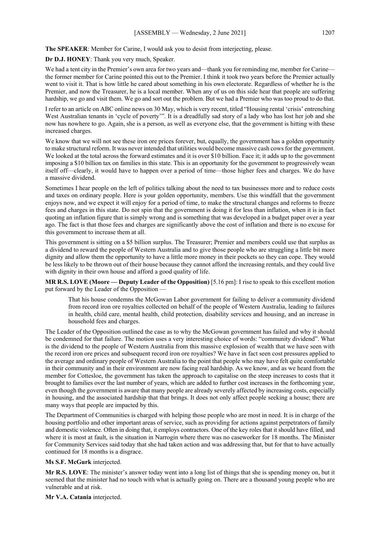**The SPEAKER**: Member for Carine, I would ask you to desist from interjecting, please.

**Dr D.J. HONEY**: Thank you very much, Speaker.

We had a tent city in the Premier's own area for two years and—thank you for reminding me, member for Carine the former member for Carine pointed this out to the Premier. I think it took two years before the Premier actually went to visit it. That is how little he cared about something in his own electorate. Regardless of whether he is the Premier, and now the Treasurer, he is a local member. When any of us on this side hear that people are suffering hardship, we go and visit them. We go and sort out the problem. But we had a Premier who was too proud to do that.

I refer to an article on ABC online news on 30 May, which is very recent, titled "Housing rental 'crisis' entrenching West Australian tenants in 'cycle of poverty'". It is a dreadfully sad story of a lady who has lost her job and she now has nowhere to go. Again, she is a person, as well as everyone else, that the government is hitting with these increased charges.

We know that we will not see these iron ore prices forever, but, equally, the government has a golden opportunity to make structural reform. It was never intended that utilities would become massive cash cows for the government. We looked at the total across the forward estimates and it is over \$10 billion. Face it; it adds up to the government imposing a \$10 billion tax on families in this state. This is an opportunity for the government to progressively wean itself off—clearly, it would have to happen over a period of time—those higher fees and charges. We do have a massive dividend.

Sometimes I hear people on the left of politics talking about the need to tax businesses more and to reduce costs and taxes on ordinary people. Here is your golden opportunity, members. Use this windfall that the government enjoys now, and we expect it will enjoy for a period of time, to make the structural changes and reforms to freeze fees and charges in this state. Do not spin that the government is doing it for less than inflation, when it is in fact quoting an inflation figure that is simply wrong and is something that was developed in a budget paper over a year ago. The fact is that those fees and charges are significantly above the cost of inflation and there is no excuse for this government to increase them at all.

This government is sitting on a \$5 billion surplus. The Treasurer; Premier and members could use that surplus as a dividend to reward the people of Western Australia and to give those people who are struggling a little bit more dignity and allow them the opportunity to have a little more money in their pockets so they can cope. They would be less likely to be thrown out of their house because they cannot afford the increasing rentals, and they could live with dignity in their own house and afford a good quality of life.

**MR R.S. LOVE (Moore — Deputy Leader of the Opposition)** [5.16 pm]: I rise to speak to this excellent motion put forward by the Leader of the Opposition —

That his house condemns the McGowan Labor government for failing to deliver a community dividend from record iron ore royalties collected on behalf of the people of Western Australia, leading to failures in health, child care, mental health, child protection, disability services and housing, and an increase in household fees and charges.

The Leader of the Opposition outlined the case as to why the McGowan government has failed and why it should be condemned for that failure. The motion uses a very interesting choice of words: "community dividend". What is the dividend to the people of Western Australia from this massive explosion of wealth that we have seen with the record iron ore prices and subsequent record iron ore royalties? We have in fact seen cost pressures applied to the average and ordinary people of Western Australia to the point that people who may have felt quite comfortable in their community and in their environment are now facing real hardship. As we know, and as we heard from the member for Cottesloe, the government has taken the approach to capitalise on the steep increases to costs that it brought to families over the last number of years, which are added to further cost increases in the forthcoming year, even though the government is aware that many people are already severely affected by increasing costs, especially in housing, and the associated hardship that that brings. It does not only affect people seeking a house; there are many ways that people are impacted by this.

The Department of Communities is charged with helping those people who are most in need. It is in charge of the housing portfolio and other important areas of service, such as providing for actions against perpetrators of family and domestic violence. Often in doing that, it employs contractors. One of the key roles that it should have filled, and where it is most at fault, is the situation in Narrogin where there was no caseworker for 18 months. The Minister for Community Services said today that she had taken action and was addressing that, but for that to have actually continued for 18 months is a disgrace.

#### **Ms S.F. McGurk** interjected.

**Mr R.S. LOVE**: The minister's answer today went into a long list of things that she is spending money on, but it seemed that the minister had no touch with what is actually going on. There are a thousand young people who are vulnerable and at risk.

**Mr V.A. Catania** interjected.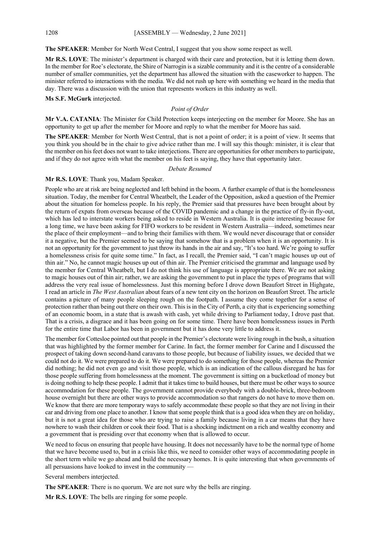**The SPEAKER**: Member for North West Central, I suggest that you show some respect as well.

**Mr R.S. LOVE**: The minister's department is charged with their care and protection, but it is letting them down. In the member for Roe's electorate, the Shire of Narrogin is a sizable community and it is the centre of a considerable number of smaller communities, yet the department has allowed the situation with the caseworker to happen. The minister referred to interactions with the media. We did not rush up here with something we heard in the media that day. There was a discussion with the union that represents workers in this industry as well.

#### **Ms S.F. McGurk** interjected.

#### *Point of Order*

**Mr V.A. CATANIA**: The Minister for Child Protection keeps interjecting on the member for Moore. She has an opportunity to get up after the member for Moore and reply to what the member for Moore has said.

**The SPEAKER**: Member for North West Central, that is not a point of order; it is a point of view. It seems that you think you should be in the chair to give advice rather than me. I will say this though: minister, it is clear that the member on his feet does not want to take interjections. There are opportunities for other members to participate, and if they do not agree with what the member on his feet is saying, they have that opportunity later.

#### *Debate Resumed*

## **Mr R.S. LOVE**: Thank you, Madam Speaker.

People who are at risk are being neglected and left behind in the boom. A further example of that is the homelessness situation. Today, the member for Central Wheatbelt, the Leader of the Opposition, asked a question of the Premier about the situation for homeless people. In his reply, the Premier said that pressures have been brought about by the return of expats from overseas because of the COVID pandemic and a change in the practice of fly-in fly-out, which has led to interstate workers being asked to reside in Western Australia. It is quite interesting because for a long time, we have been asking for FIFO workers to be resident in Western Australia—indeed, sometimes near the place of their employment—and to bring their families with them. We would never discourage that or consider it a negative, but the Premier seemed to be saying that somehow that is a problem when it is an opportunity. It is not an opportunity for the government to just throw its hands in the air and say, "It's too hard. We're going to suffer a homelessness crisis for quite some time." In fact, as I recall, the Premier said, "I can't magic houses up out of thin air." No, he cannot magic houses up out of thin air. The Premier criticised the grammar and language used by the member for Central Wheatbelt, but I do not think his use of language is appropriate there. We are not asking to magic houses out of thin air; rather, we are asking the government to put in place the types of programs that will address the very real issue of homelessness. Just this morning before I drove down Beaufort Street in Highgate, I read an article in *The West Australian* about fears of a new tent city on the horizon on Beaufort Street. The article contains a picture of many people sleeping rough on the footpath. I assume they come together for a sense of protection rather than being out there on their own. This is in the City of Perth, a city that is experiencing something of an economic boom, in a state that is awash with cash, yet while driving to Parliament today, I drove past that. That is a crisis, a disgrace and it has been going on for some time. There have been homelessness issues in Perth for the entire time that Labor has been in government but it has done very little to address it.

The member for Cottesloe pointed out that people in the Premier's electorate were living rough in the bush, a situation that was highlighted by the former member for Carine. In fact, the former member for Carine and I discussed the prospect of taking down second-hand caravans to those people, but because of liability issues, we decided that we could not do it. We were prepared to do it. We were prepared to do something for those people, whereas the Premier did nothing; he did not even go and visit those people, which is an indication of the callous disregard he has for those people suffering from homelessness at the moment. The government is sitting on a bucketload of money but is doing nothing to help these people. I admit that it takes time to build houses, but there must be other ways to source accommodation for these people. The government cannot provide everybody with a double-brick, three-bedroom house overnight but there are other ways to provide accommodation so that rangers do not have to move them on. We know that there are more temporary ways to safely accommodate these people so that they are not living in their car and driving from one place to another. I know that some people think that is a good idea when they are on holiday, but it is not a great idea for those who are trying to raise a family because living in a car means that they have nowhere to wash their children or cook their food. That is a shocking indictment on a rich and wealthy economy and a government that is presiding over that economy when that is allowed to occur.

We need to focus on ensuring that people have housing. It does not necessarily have to be the normal type of home that we have become used to, but in a crisis like this, we need to consider other ways of accommodating people in the short term while we go ahead and build the necessary homes. It is quite interesting that when governments of all persuasions have looked to invest in the community —

Several members interjected.

**The SPEAKER**: There is no quorum. We are not sure why the bells are ringing.

**Mr R.S. LOVE**: The bells are ringing for some people.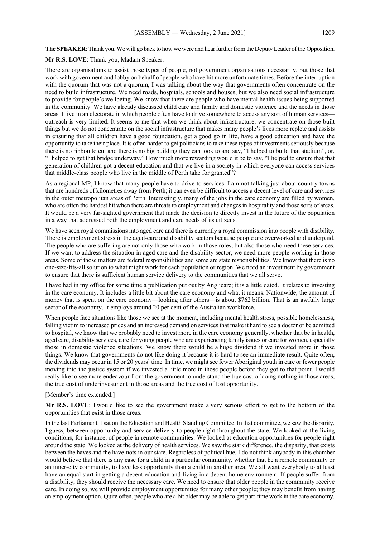**The SPEAKER**: Thank you. We will go back to how we were and hear further from the Deputy Leader of the Opposition.

**Mr R.S. LOVE**: Thank you, Madam Speaker.

There are organisations to assist those types of people, not government organisations necessarily, but those that work with government and lobby on behalf of people who have hit more unfortunate times. Before the interruption with the quorum that was not a quorum, I was talking about the way that governments often concentrate on the need to build infrastructure. We need roads, hospitals, schools and houses, but we also need social infrastructure to provide for people's wellbeing. We know that there are people who have mental health issues being supported in the community. We have already discussed child care and family and domestic violence and the needs in those areas. I live in an electorate in which people often have to drive somewhere to access any sort of human services outreach is very limited. It seems to me that when we think about infrastructure, we concentrate on those built things but we do not concentrate on the social infrastructure that makes many people's lives more replete and assists in ensuring that all children have a good foundation, get a good go in life, have a good education and have the opportunity to take their place. It is often harder to get politicians to take these types of investments seriously because there is no ribbon to cut and there is no big building they can look to and say, "I helped to build that stadium", or, "I helped to get that bridge underway." How much more rewarding would it be to say, "I helped to ensure that that generation of children got a decent education and that we live in a society in which everyone can access services that middle-class people who live in the middle of Perth take for granted"?

As a regional MP, I know that many people have to drive to services. I am not talking just about country towns that are hundreds of kilometres away from Perth; it can even be difficult to access a decent level of care and services in the outer metropolitan areas of Perth. Interestingly, many of the jobs in the care economy are filled by women, who are often the hardest hit when there are threats to employment and changes in hospitality and those sorts of areas. It would be a very far-sighted government that made the decision to directly invest in the future of the population in a way that addressed both the employment and care needs of its citizens.

We have seen royal commissions into aged care and there is currently a royal commission into people with disability. There is employment stress in the aged-care and disability sectors because people are overworked and underpaid. The people who are suffering are not only those who work in those roles, but also those who need these services. If we want to address the situation in aged care and the disability sector, we need more people working in those areas. Some of those matters are federal responsibilities and some are state responsibilities. We know that there is no one-size-fits-all solution to what might work for each population or region. We need an investment by government to ensure that there is sufficient human service delivery to the communities that we all serve.

I have had in my office for some time a publication put out by Anglicare; it is a little dated. It relates to investing in the care economy. It includes a little bit about the care economy and what it means. Nationwide, the amount of money that is spent on the care economy—looking after others—is about \$762 billion. That is an awfully large sector of the economy. It employs around 20 per cent of the Australian workforce.

When people face situations like those we see at the moment, including mental health stress, possible homelessness, falling victim to increased prices and an increased demand on services that make it hard to see a doctor or be admitted to hospital, we know that we probably need to invest more in the care economy generally, whether that be in health, aged care, disability services, care for young people who are experiencing family issues or care for women, especially those in domestic violence situations. We know there would be a huge dividend if we invested more in those things. We know that governments do not like doing it because it is hard to see an immediate result. Quite often, the dividends may occur in 15 or 20 years' time. In time, we might see fewer Aboriginal youth in care or fewer people moving into the justice system if we invested a little more in those people before they got to that point. I would really like to see more endeavour from the government to understand the true cost of doing nothing in those areas, the true cost of underinvestment in those areas and the true cost of lost opportunity.

#### [Member's time extended.]

**Mr R.S. LOVE**: I would like to see the government make a very serious effort to get to the bottom of the opportunities that exist in those areas.

In the last Parliament, I sat on the Education and Health Standing Committee. In that committee, we saw the disparity, I guess, between opportunity and service delivery to people right throughout the state. We looked at the living conditions, for instance, of people in remote communities. We looked at education opportunities for people right around the state. We looked at the delivery of health services. We saw the stark difference, the disparity, that exists between the haves and the have-nots in our state. Regardless of political hue, I do not think anybody in this chamber would believe that there is any case for a child in a particular community, whether that be a remote community or an inner-city community, to have less opportunity than a child in another area. We all want everybody to at least have an equal start in getting a decent education and living in a decent home environment. If people suffer from a disability, they should receive the necessary care. We need to ensure that older people in the community receive care. In doing so, we will provide employment opportunities for many other people; they may benefit from having an employment option. Quite often, people who are a bit older may be able to get part-time work in the care economy.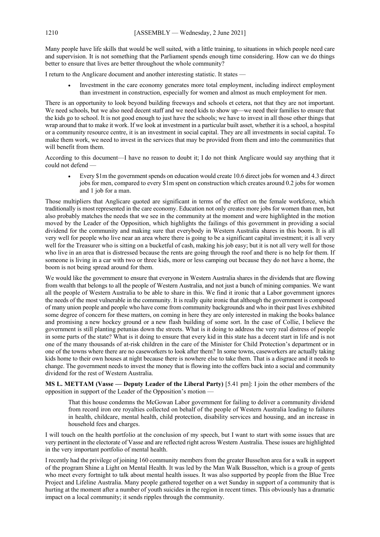Many people have life skills that would be well suited, with a little training, to situations in which people need care and supervision. It is not something that the Parliament spends enough time considering. How can we do things better to ensure that lives are better throughout the whole community?

I return to the Anglicare document and another interesting statistic. It states —

• Investment in the care economy generates more total employment, including indirect employment than investment in construction, especially for women and almost as much employment for men.

There is an opportunity to look beyond building freeways and schools et cetera, not that they are not important. We need schools, but we also need decent staff and we need kids to show up—we need their families to ensure that the kids go to school. It is not good enough to just have the schools; we have to invest in all those other things that wrap around that to make it work. If we look at investment in a particular built asset, whether it is a school, a hospital or a community resource centre, it is an investment in social capital. They are all investments in social capital. To make them work, we need to invest in the services that may be provided from them and into the communities that will benefit from them.

According to this document—I have no reason to doubt it; I do not think Anglicare would say anything that it could not defend —

• Every \$1m the government spends on education would create 10.6 direct jobs for women and 4.3 direct jobs for men, compared to every \$1m spent on construction which creates around 0.2 jobs for women and 1 job for a man.

Those multipliers that Anglicare quoted are significant in terms of the effect on the female workforce, which traditionally is most represented in the care economy. Education not only creates more jobs for women than men, but also probably matches the needs that we see in the community at the moment and were highlighted in the motion moved by the Leader of the Opposition, which highlights the failings of this government in providing a social dividend for the community and making sure that everybody in Western Australia shares in this boom. It is all very well for people who live near an area where there is going to be a significant capital investment; it is all very well for the Treasurer who is sitting on a bucketful of cash, making his job easy; but it is not all very well for those who live in an area that is distressed because the rents are going through the roof and there is no help for them. If someone is living in a car with two or three kids, more or less camping out because they do not have a home, the boom is not being spread around for them.

We would like the government to ensure that everyone in Western Australia shares in the dividends that are flowing from wealth that belongs to all the people of Western Australia, and not just a bunch of mining companies. We want all the people of Western Australia to be able to share in this. We find it ironic that a Labor government ignores the needs of the most vulnerable in the community. It is really quite ironic that although the government is composed of many union people and people who have come from community backgrounds and who in their past lives exhibited some degree of concern for these matters, on coming in here they are only interested in making the books balance and promising a new hockey ground or a new flash building of some sort. In the case of Collie, I believe the government is still planting petunias down the streets. What is it doing to address the very real distress of people in some parts of the state? What is it doing to ensure that every kid in this state has a decent start in life and is not one of the many thousands of at-risk children in the care of the Minister for Child Protection's department or in one of the towns where there are no caseworkers to look after them? In some towns, caseworkers are actually taking kids home to their own houses at night because there is nowhere else to take them. That is a disgrace and it needs to change. The government needs to invest the money that is flowing into the coffers back into a social and community dividend for the rest of Western Australia.

**MS L. METTAM (Vasse — Deputy Leader of the Liberal Party)** [5.41 pm]: I join the other members of the opposition in support of the Leader of the Opposition's motion —

That this house condemns the McGowan Labor government for failing to deliver a community dividend from record iron ore royalties collected on behalf of the people of Western Australia leading to failures in health, childcare, mental health, child protection, disability services and housing, and an increase in household fees and charges.

I will touch on the health portfolio at the conclusion of my speech, but I want to start with some issues that are very pertinent in the electorate of Vasse and are reflected right across Western Australia. These issues are highlighted in the very important portfolio of mental health.

I recently had the privilege of joining 160 community members from the greater Busselton area for a walk in support of the program Shine a Light on Mental Health. It was led by the Man Walk Busselton, which is a group of gents who meet every fortnight to talk about mental health issues. It was also supported by people from the Blue Tree Project and Lifeline Australia. Many people gathered together on a wet Sunday in support of a community that is hurting at the moment after a number of youth suicides in the region in recent times. This obviously has a dramatic impact on a local community; it sends ripples through the community.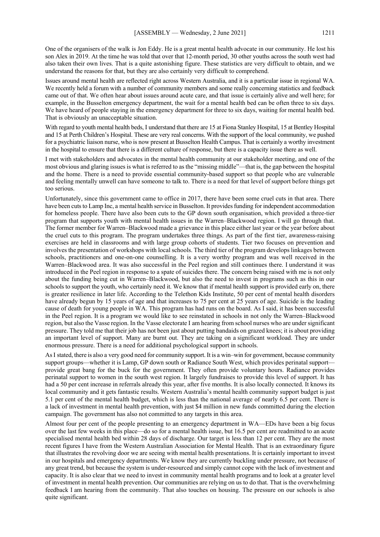One of the organisers of the walk is Jon Eddy. He is a great mental health advocate in our community. He lost his son Alex in 2019. At the time he was told that over that 12-month period, 30 other youths across the south west had also taken their own lives. That is a quite astonishing figure. These statistics are very difficult to obtain, and we understand the reasons for that, but they are also certainly very difficult to comprehend.

Issues around mental health are reflected right across Western Australia, and it is a particular issue in regional WA. We recently held a forum with a number of community members and some really concerning statistics and feedback came out of that. We often hear about issues around acute care, and that issue is certainly alive and well here; for example, in the Busselton emergency department, the wait for a mental health bed can be often three to six days. We have heard of people staying in the emergency department for three to six days, waiting for mental health bed. That is obviously an unacceptable situation.

With regard to youth mental health beds, I understand that there are 15 at Fiona Stanley Hospital, 15 at Bentley Hospital and 15 at Perth Children's Hospital. These are very real concerns. With the support of the local community, we pushed for a psychiatric liaison nurse, who is now present at Busselton Health Campus. That is certainly a worthy investment in the hospital to ensure that there is a different culture of response, but there is a capacity issue there as well.

I met with stakeholders and advocates in the mental health community at our stakeholder meeting, and one of the most obvious and glaring issues is what is referred to as the "missing middle"—that is, the gap between the hospital and the home. There is a need to provide essential community-based support so that people who are vulnerable and feeling mentally unwell can have someone to talk to. There is a need for that level of support before things get too serious.

Unfortunately, since this government came to office in 2017, there have been some cruel cuts in that area. There have been cuts to Lamp Inc, a mental health service in Busselton. It provides funding for independent accommodation for homeless people. There have also been cuts to the GP down south organisation, which provided a three-tier program that supports youth with mental health issues in the Warren–Blackwood region. I will go through that. The former member for Warren–Blackwood made a grievance in this place either last year or the year before about the cruel cuts to this program. The program undertakes three things. As part of the first tier, awareness-raising exercises are held in classrooms and with large group cohorts of students. Tier two focuses on prevention and involves the presentation of workshops with local schools. The third tier of the program develops linkages between schools, practitioners and one-on-one counselling. It is a very worthy program and was well received in the Warren–Blackwood area. It was also successful in the Peel region and still continues there. I understand it was introduced in the Peel region in response to a spate of suicides there. The concern being raised with me is not only about the funding being cut in Warren–Blackwood, but also the need to invest in programs such as this in our schools to support the youth, who certainly need it. We know that if mental health support is provided early on, there is greater resilience in later life. According to the Telethon Kids Institute, 50 per cent of mental health disorders have already begun by 15 years of age and that increases to 75 per cent at 25 years of age. Suicide is the leading cause of death for young people in WA. This program has had runs on the board. As I said, it has been successful in the Peel region. It is a program we would like to see reinstated in schools in not only the Warren–Blackwood region, but also the Vasse region. In the Vasse electorate I am hearing from school nurses who are under significant pressure. They told me that their job has not been just about putting bandaids on grazed knees; it is about providing an important level of support. Many are burnt out. They are taking on a significant workload. They are under enormous pressure. There is a need for additional psychological support in schools.

AsI stated, there is also a very good need for community support. It is a win–win for government, because community support groups—whether it is Lamp, GP down south or Radiance South West, which provides perinatal support provide great bang for the buck for the government. They often provide voluntary hours. Radiance provides perinatal support to women in the south west region. It largely fundraises to provide this level of support. It has had a 50 per cent increase in referrals already this year, after five months. It is also locally connected. It knows its local community and it gets fantastic results. Western Australia's mental health community support budget is just 5.1 per cent of the mental health budget, which is less than the national average of nearly 6.5 per cent. There is a lack of investment in mental health prevention, with just \$4 million in new funds committed during the election campaign. The government has also not committed to any targets in this area.

Almost four per cent of the people presenting to an emergency department in WA—EDs have been a big focus over the last few weeks in this place—do so for a mental health issue, but 16.5 per cent are readmitted to an acute specialised mental health bed within 28 days of discharge. Our target is less than 12 per cent. They are the most recent figures I have from the Western Australian Association for Mental Health. That is an extraordinary figure that illustrates the revolving door we are seeing with mental health presentations. It is certainly important to invest in our hospitals and emergency departments. We know they are currently buckling under pressure, not because of any great trend, but because the system is under-resourced and simply cannot cope with the lack of investment and capacity. It is also clear that we need to invest in community mental health programs and to look at a greater level of investment in mental health prevention. Our communities are relying on us to do that. That is the overwhelming feedback I am hearing from the community. That also touches on housing. The pressure on our schools is also quite significant.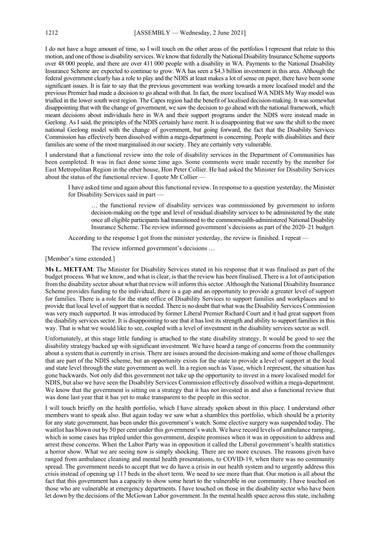I do not have a huge amount of time, so I will touch on the other areas of the portfolios I represent that relate to this motion, and one of those is disability services. We know that federally the National Disability Insurance Scheme supports over 48 000 people, and there are over 411 000 people with a disability in WA. Payments to the National Disability Insurance Scheme are expected to continue to grow. WA has seen a \$4.3 billion investment in this area. Although the federal government clearly has a role to play and the NDIS at least makes a lot of sense on paper, there have been some significant issues. It is fair to say that the previous government was working towards a more localised model and the previous Premier had made a decision to go ahead with that. In fact, the more localised WA NDIS My Way model was trialled in the lower south west region. The Capes region had the benefit of localised decision-making. It was somewhat disappointing that with the change of government, we saw the decision to go ahead with the national framework, which meant decisions about individuals here in WA and their support programs under the NDIS were instead made in Geelong. As I said, the principles of the NDIS certainly have merit. It is disappointing that we saw the shift to the more national Geelong model with the change of government, but going forward, the fact that the Disability Services Commission has effectively been dissolved within a mega-department is concerning. People with disabilities and their families are some of the most marginalised in our society. They are certainly very vulnerable.

I understand that a functional review into the role of disability services in the Department of Communities has been completed. It was in fact done some time ago. Some comments were made recently by the member for East Metropolitan Region in the other house, Hon Peter Collier. He had asked the Minister for Disability Services about the status of the functional review. I quote Mr Collier —

I have asked time and again about this functional review. In response to a question yesterday, the Minister for Disability Services said in part —

… the functional review of disability services was commissioned by government to inform decision-making on the type and level of residual disability services to be administered by the state once all eligible participants had transitioned to the commonwealth-administered National Disability Insurance Scheme. The review informed government's decisions as part of the 2020–21 budget.

According to the response I got from the minister yesterday, the review is finished. I repeat —

The review informed government's decisions …

[Member's time extended.]

**Ms L. METTAM**: The Minister for Disability Services stated in his response that it was finalised as part of the budget process. What we know, and what is clear, is that the review has been finalised. There is a lot of anticipation from the disability sector about what that review will inform this sector. Although the National Disability Insurance Scheme provides funding to the individual, there is a gap and an opportunity to provide a greater level of support for families. There is a role for the state office of Disability Services to support families and workplaces and to provide that local level of support that is needed. There is no doubt that what was the Disability Services Commission was very much supported. It was introduced by former Liberal Premier Richard Court and it had great support from the disability services sector. It is disappointing to see that it has lost its strength and ability to support families in this way. That is what we would like to see, coupled with a level of investment in the disability services sector as well.

Unfortunately, at this stage little funding is attached to the state disability strategy. It would be good to see the disability strategy backed up with significant investment. We have heard a range of concerns from the community about a system that is currently in crisis. There are issues around the decision-making and some of those challenges that are part of the NDIS scheme, but an opportunity exists for the state to provide a level of support at the local and state level through the state government as well. In a region such as Vasse, which I represent, the situation has gone backwards. Not only did this government not take up the opportunity to invest in a more localised model for NDIS, but also we have seen the Disability Services Commission effectively dissolved within a mega-department. We know that the government is sitting on a strategy that it has not invested in and also a functional review that was done last year that it has yet to make transparent to the people in this sector.

I will touch briefly on the health portfolio, which I have already spoken about in this place. I understand other members want to speak also. But again today we saw what a shambles this portfolio, which should be a priority for any state government, has been under this government's watch. Some elective surgery was suspended today. The waitlist has blown out by 50 per cent under this government's watch. We have record levels of ambulance ramping, which in some cases has tripled under this government, despite promises when it was in opposition to address and arrest these concerns. When the Labor Party was in opposition it called the Liberal government's health statistics a horror show. What we are seeing now is simply shocking. There are no more excuses. The reasons given have ranged from ambulance cleaning and mental health presentations, to COVID-19, when there was no community spread. The government needs to accept that we do have a crisis in our health system and to urgently address this crisis instead of opening up 117 beds in the short term. We need to see more than that. Our motion is all about the fact that this government has a capacity to show some heart to the vulnerable in our community. I have touched on those who are vulnerable at emergency departments. I have touched on those in the disability sector who have been let down by the decisions of the McGowan Labor government. In the mental health space across this state, including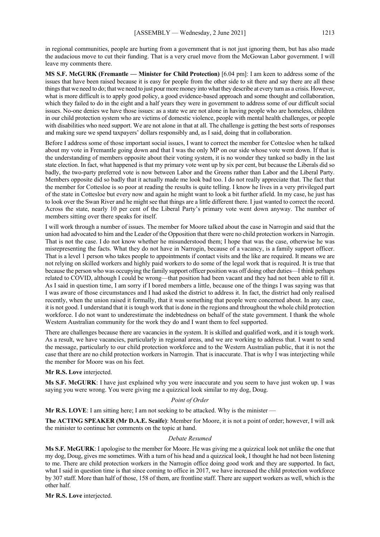in regional communities, people are hurting from a government that is not just ignoring them, but has also made the audacious move to cut their funding. That is a very cruel move from the McGowan Labor government. I will leave my comments there.

**MS S.F. McGURK (Fremantle — Minister for Child Protection)** [6.04 pm]: I am keen to address some of the issues that have been raised because it is easy for people from the other side to sit there and say there are all these things that we need to do; that we need to just pour more money into what they describe at every turn as a crisis. However, what is more difficult is to apply good policy, a good evidence-based approach and some thought and collaboration, which they failed to do in the eight and a half years they were in government to address some of our difficult social issues. No-one denies we have those issues: as a state we are not alone in having people who are homeless, children in our child protection system who are victims of domestic violence, people with mental health challenges, or people with disabilities who need support. We are not alone in that at all. The challenge is getting the best sorts of responses and making sure we spend taxpayers' dollars responsibly and, as I said, doing that in collaboration.

Before I address some of those important social issues, I want to correct the member for Cottesloe when he talked about my vote in Fremantle going down and that I was the only MP on our side whose vote went down. If that is the understanding of members opposite about their voting system, it is no wonder they tanked so badly in the last state election. In fact, what happened is that my primary vote went up by six per cent, but because the Liberals did so badly, the two-party preferred vote is now between Labor and the Greens rather than Labor and the Liberal Party. Members opposite did so badly that it actually made me look bad too. I do not really appreciate that. The fact that the member for Cottesloe is so poor at reading the results is quite telling. I know he lives in a very privileged part of the state in Cottesloe but every now and again he might want to look a bit further afield. In my case, he just has to look over the Swan River and he might see that things are a little different there. I just wanted to correct the record. Across the state, nearly 10 per cent of the Liberal Party's primary vote went down anyway. The number of members sitting over there speaks for itself.

I will work through a number of issues. The member for Moore talked about the case in Narrogin and said that the union had advocated to him and the Leader of the Opposition that there were no child protection workers in Narrogin. That is not the case. I do not know whether he misunderstood them; I hope that was the case, otherwise he was misrepresenting the facts. What they do not have in Narrogin, because of a vacancy, is a family support officer. That is a level 1 person who takes people to appointments if contact visits and the like are required. It means we are not relying on skilled workers and highly paid workers to do some of the legal work that is required. It is true that because the person who was occupying the family support officer position was off doing other duties—I think perhaps related to COVID, although I could be wrong—that position had been vacant and they had not been able to fill it. As I said in question time, I am sorry if I bored members a little, because one of the things I was saying was that I was aware of those circumstances and I had asked the district to address it. In fact, the district had only realised recently, when the union raised it formally, that it was something that people were concerned about. In any case, it is not good. I understand that it is tough work that is done in the regions and throughout the whole child protection workforce. I do not want to underestimate the indebtedness on behalf of the state government. I thank the whole Western Australian community for the work they do and I want them to feel supported.

There are challenges because there are vacancies in the system. It is skilled and qualified work, and it is tough work. As a result, we have vacancies, particularly in regional areas, and we are working to address that. I want to send the message, particularly to our child protection workforce and to the Western Australian public, that it is not the case that there are no child protection workers in Narrogin. That is inaccurate. That is why I was interjecting while the member for Moore was on his feet.

#### **Mr R.S. Love** interjected.

**Ms S.F. McGURK**: I have just explained why you were inaccurate and you seem to have just woken up. I was saying you were wrong. You were giving me a quizzical look similar to my dog, Doug.

#### *Point of Order*

**Mr R.S. LOVE**: I am sitting here; I am not seeking to be attacked. Why is the minister —

**The ACTING SPEAKER (Mr D.A.E. Scaife)**: Member for Moore, it is not a point of order; however, I will ask the minister to continue her comments on the topic at hand.

#### *Debate Resumed*

**Ms S.F. McGURK**: I apologise to the member for Moore. He was giving me a quizzical look not unlike the one that my dog, Doug, gives me sometimes. With a turn of his head and a quizzical look, I thought he had not been listening to me. There are child protection workers in the Narrogin office doing good work and they are supported. In fact, what I said in question time is that since coming to office in 2017, we have increased the child protection workforce by 307 staff. More than half of those, 158 of them, are frontline staff. There are support workers as well, which is the other half.

**Mr R.S. Love** interjected.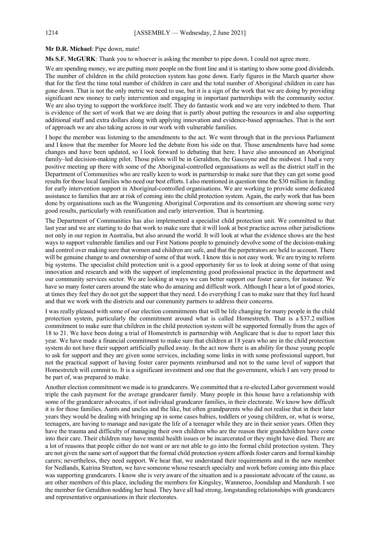#### **Mr D.R. Michael**: Pipe down, mate!

**Ms S.F. McGURK**: Thank you to whoever is asking the member to pipe down. I could not agree more.

We are spending money, we are putting more people on the front line and it is starting to show some good dividends. The number of children in the child protection system has gone down. Early figures in the March quarter show that for the first the time total number of children in care and the total number of Aboriginal children in care has gone down. That is not the only metric we need to use, but it is a sign of the work that we are doing by providing significant new money to early intervention and engaging in important partnerships with the community sector. We are also trying to support the workforce itself. They do fantastic work and we are very indebted to them. That is evidence of the sort of work that we are doing that is partly about putting the resources in and also supporting additional staff and extra dollars along with applying innovation and evidence-based approaches. That is the sort of approach we are also taking across in our work with vulnerable families.

I hope the member was listening to the amendments to the act. We went through that in the previous Parliament and I know that the member for Moore led the debate from his side on that. Those amendments have had some changes and have been updated, so I look forward to debating that here. I have also announced an Aboriginal family–led decision-making pilot. Those pilots will be in Geraldton, the Gascoyne and the midwest. I had a very positive meeting up there with some of the Aboriginal-controlled organisations as well as the district staff in the Department of Communities who are really keen to work in partnership to make sure that they can get some good results for those local families who need our best efforts. I also mentioned in question time the \$30 million in funding for early intervention support in Aboriginal-controlled organisations. We are working to provide some dedicated assistance to families that are at risk of coming into the child protection system. Again, the early work that has been done by organisations such as the Wungening Aboriginal Corporation and its consortium are showing some very good results, particularly with reunification and early intervention. That is heartening.

The Department of Communities has also implemented a specialist child protection unit. We committed to that last year and we are starting to do that work to make sure that it will look at best practice across other jurisdictions not only in our region in Australia, but also around the world. It will look at what the evidence shows are the best ways to support vulnerable families and our First Nations people to genuinely devolve some of the decision-making and control over making sure that women and children are safe, and that the perpetrators are held to account. There will be genuine change to and ownership of some of that work. I know this is not easy work. We are trying to reform big systems. The specialist child protection unit is a good opportunity for us to look at doing some of that using innovation and research and with the support of implementing good professional practice in the department and our community services sector. We are looking at ways we can better support our foster carers, for instance. We have so many foster carers around the state who do amazing and difficult work. Although I hear a lot of good stories, at times they feel they do not get the support that they need. I do everything I can to make sure that they feel heard and that we work with the districts and our community partners to address their concerns.

I was really pleased with some of our election commitments that will be life changing for many people in the child protection system, particularly the commitment around what is called Homestretch. That is a \$37.2 million commitment to make sure that children in the child protection system will be supported formally from the ages of 18 to 21. We have been doing a trial of Homestretch in partnership with Anglicare that is due to report later this year. We have made a financial commitment to make sure that children at 18 years who are in the child protection system do not have their support artificially pulled away. In the act now there is an ability for those young people to ask for support and they are given some services, including some links in with some professional support, but not the practical support of having foster carer payments reimbursed and not to the same level of support that Homestretch will commit to. It is a significant investment and one that the government, which I am very proud to be part of, was prepared to make.

Another election commitment we made is to grandcarers. We committed that a re-elected Labor government would triple the cash payment for the average grandcarer family. Many people in this house have a relationship with some of the grandcarer advocates, if not individual grandcarer families, in their electorate. We know how difficult it is for those families. Aunts and uncles and the like, but often grandparents who did not realise that in their later years they would be dealing with bringing up in some cases babies, toddlers or young children, or, what is worse, teenagers, are having to manage and navigate the life of a teenager while they are in their senior years. Often they have the trauma and difficulty of managing their own children who are the reason their grandchildren have come into their care. Their children may have mental health issues or be incarcerated or they might have died. There are a lot of reasons that people either do not want or are not able to go into the formal child protection system. They are not given the same sort of support that the formal child protection system affords foster carers and formal kinship carers; nevertheless, they need support. We hear that, we understand their requirements and in the new member for Nedlands, Katrina Stratton, we have someone whose research specialty and work before coming into this place was supporting grandcarers. I know she is very aware of the situation and is a passionate advocate of the cause, as are other members of this place, including the members for Kingsley, Wanneroo, Joondalup and Mandurah. I see the member for Geraldton nodding her head. They have all had strong, longstanding relationships with grandcarers and representative organisations in their electorates.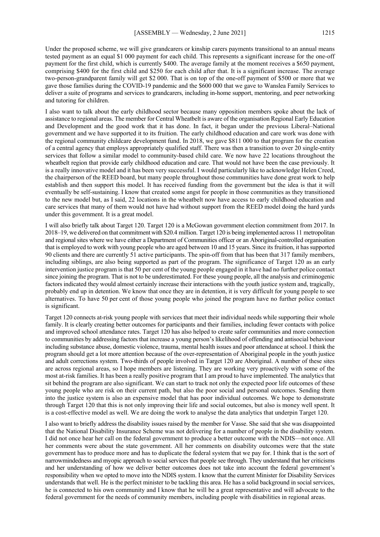Under the proposed scheme, we will give grandcarers or kinship carers payments transitional to an annual means tested payment as an equal \$1 000 payment for each child. This represents a significant increase for the one-off payment for the first child, which is currently \$400. The average family at the moment receives a \$650 payment, comprising \$400 for the first child and \$250 for each child after that. It is a significant increase. The average two-person-grandparent family will get \$2 000. That is on top of the one-off payment of \$500 or more that we gave those families during the COVID-19 pandemic and the \$600 000 that we gave to Wanslea Family Services to deliver a suite of programs and services to grandcarers, including in-home support, mentoring, and peer networking and tutoring for children.

I also want to talk about the early childhood sector because many opposition members spoke about the lack of assistance to regional areas. The member for Central Wheatbelt is aware of the organisation Regional Early Education and Development and the good work that it has done. In fact, it began under the previous Liberal–National government and we have supported it to its fruition. The early childhood education and care work was done with the regional community childcare development fund. In 2018, we gave \$811 000 to that program for the creation of a central agency that employs appropriately qualified staff. There was then a transition to over 20 single-entity services that follow a similar model to community-based child care. We now have 22 locations throughout the wheatbelt region that provide early childhood education and care. That would not have been the case previously. It is a really innovative model and it has been very successful. I would particularly like to acknowledge Helen Creed, the chairperson of the REED board, but many people throughout those communities have done great work to help establish and then support this model. It has received funding from the government but the idea is that it will eventually be self-sustaining. I know that created some angst for people in those communities as they transitioned to the new model but, as I said, 22 locations in the wheatbelt now have access to early childhood education and care services that many of them would not have had without support from the REED model doing the hard yards under this government. It is a great model.

I will also briefly talk about Target 120. Target 120 is a McGowan government election commitment from 2017. In 2018–19, we delivered on that commitment with \$20.4 million. Target 120 is being implemented across 11 metropolitan and regional sites where we have either a Department of Communities officer or an Aboriginal-controlled organisation that is employed to work with young people who are aged between 10 and 15 years. Since its fruition, it has supported 90 clients and there are currently 51 active participants. The spin-off from that has been that 317 family members, including siblings, are also being supported as part of the program. The significance of Target 120 as an early intervention justice program is that 50 per cent of the young people engaged in it have had no further police contact since joining the program. That is not to be underestimated. For these young people, all the analysis and criminogenic factors indicated they would almost certainly increase their interactions with the youth justice system and, tragically, probably end up in detention. We know that once they are in detention, it is very difficult for young people to see alternatives. To have 50 per cent of those young people who joined the program have no further police contact is significant.

Target 120 connects at-risk young people with services that meet their individual needs while supporting their whole family. It is clearly creating better outcomes for participants and their families, including fewer contacts with police and improved school attendance rates. Target 120 has also helped to create safer communities and more connection to communities by addressing factors that increase a young person's likelihood of offending and antisocial behaviour including substance abuse, domestic violence, trauma, mental health issues and poor attendance at school. I think the program should get a lot more attention because of the over-representation of Aboriginal people in the youth justice and adult corrections system. Two-thirds of people involved in Target 120 are Aboriginal. A number of these sites are across regional areas, so I hope members are listening. They are working very proactively with some of the most at-risk families. It has been a really positive program that I am proud to have implemented. The analytics that sit behind the program are also significant. We can start to track not only the expected poor life outcomes of these young people who are risk on their current path, but also the poor social and personal outcomes. Sending them into the justice system is also an expensive model that has poor individual outcomes. We hope to demonstrate through Target 120 that this is not only improving their life and social outcomes, but also is money well spent. It is a cost-effective model as well. We are doing the work to analyse the data analytics that underpin Target 120.

I also want to briefly address the disability issues raised by the member for Vasse. She said that she was disappointed that the National Disability Insurance Scheme was not delivering for a number of people in the disability system. I did not once hear her call on the federal government to produce a better outcome with the NDIS—not once. All her comments were about the state government. All her comments on disability outcomes were that the state government has to produce more and has to duplicate the federal system that we pay for. I think that is the sort of narrowmindedness and myopic approach to social services that people see through. They understand that her criticisms and her understanding of how we deliver better outcomes does not take into account the federal government's responsibility when we opted to move into the NDIS system. I know that the current Minister for Disability Services understands that well. He is the perfect minister to be tackling this area. He has a solid background in social services, he is connected to his own community and I know that he will be a great representative and will advocate to the federal government for the needs of community members, including people with disabilities in regional areas.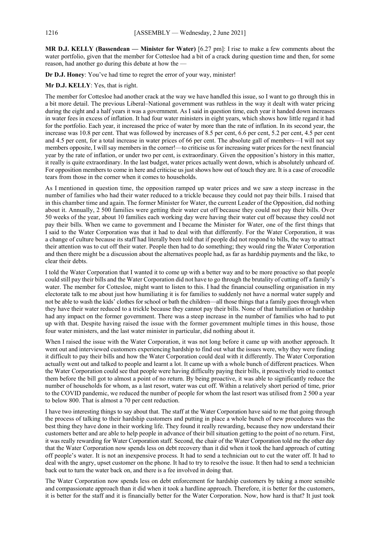**MR D.J. KELLY (Bassendean — Minister for Water)** [6.27 pm]: I rise to make a few comments about the water portfolio, given that the member for Cottesloe had a bit of a crack during question time and then, for some reason, had another go during this debate at how the —

**Dr D.J. Honey**: You've had time to regret the error of your way, minister!

**Mr D.J. KELLY**: Yes, that is right.

The member for Cottesloe had another crack at the way we have handled this issue, so I want to go through this in a bit more detail. The previous Liberal–National government was ruthless in the way it dealt with water pricing during the eight and a half years it was a government. As I said in question time, each year it handed down increases in water fees in excess of inflation. It had four water ministers in eight years, which shows how little regard it had for the portfolio. Each year, it increased the price of water by more than the rate of inflation. In its second year, the increase was 10.8 per cent. That was followed by increases of 8.5 per cent, 6.6 per cent, 5.2 per cent, 4.5 per cent and 4.5 per cent, for a total increase in water prices of 66 per cent. The absolute gall of members—I will not say members opposite, I will say members in the corner!—to criticise us for increasing water prices for the next financial year by the rate of inflation, or under two per cent, is extraordinary. Given the opposition's history in this matter, it really is quite extraordinary. In the last budget, water prices actually went down, which is absolutely unheard of. For opposition members to come in here and criticise us just shows how out of touch they are. It is a case of crocodile tears from those in the corner when it comes to households.

As I mentioned in question time, the opposition ramped up water prices and we saw a steep increase in the number of families who had their water reduced to a trickle because they could not pay their bills. I raised that in this chamber time and again. The former Minister for Water, the current Leader of the Opposition, did nothing about it. Annually, 2 500 families were getting their water cut off because they could not pay their bills. Over 50 weeks of the year, about 10 families each working day were having their water cut off because they could not pay their bills. When we came to government and I became the Minister for Water, one of the first things that I said to the Water Corporation was that it had to deal with that differently. For the Water Corporation, it was a change of culture because its staff had literally been told that if people did not respond to bills, the way to attract their attention was to cut off their water. People then had to do something; they would ring the Water Corporation and then there might be a discussion about the alternatives people had, as far as hardship payments and the like, to clear their debts.

I told the Water Corporation that I wanted it to come up with a better way and to be more proactive so that people could still pay their bills and the Water Corporation did not have to go through the brutality of cutting off a family's water. The member for Cottesloe, might want to listen to this. I had the financial counselling organisation in my electorate talk to me about just how humiliating it is for families to suddenly not have a normal water supply and not be able to wash the kids' clothes for school or bath the children—all those things that a family goes through when they have their water reduced to a trickle because they cannot pay their bills. None of that humiliation or hardship had any impact on the former government. There was a steep increase in the number of families who had to put up with that. Despite having raised the issue with the former government multiple times in this house, those four water ministers, and the last water minister in particular, did nothing about it.

When I raised the issue with the Water Corporation, it was not long before it came up with another approach. It went out and interviewed customers experiencing hardship to find out what the issues were, why they were finding it difficult to pay their bills and how the Water Corporation could deal with it differently. The Water Corporation actually went out and talked to people and learnt a lot. It came up with a whole bunch of different practices. When the Water Corporation could see that people were having difficulty paying their bills, it proactively tried to contact them before the bill got to almost a point of no return. By being proactive, it was able to significantly reduce the number of households for whom, as a last resort, water was cut off. Within a relatively short period of time, prior to the COVID pandemic, we reduced the number of people for whom the last resort was utilised from 2 500 a year to below 800. That is almost a 70 per cent reduction.

I have two interesting things to say about that. The staff at the Water Corporation have said to me that going through the process of talking to their hardship customers and putting in place a whole bunch of new procedures was the best thing they have done in their working life. They found it really rewarding, because they now understand their customers better and are able to help people in advance of their bill situation getting to the point of no return. First, it was really rewarding for Water Corporation staff. Second, the chair of the Water Corporation told me the other day that the Water Corporation now spends less on debt recovery than it did when it took the hard approach of cutting off people's water. It is not an inexpensive process. It had to send a technician out to cut the water off. It had to deal with the angry, upset customer on the phone. It had to try to resolve the issue. It then had to send a technician back out to turn the water back on, and there is a fee involved in doing that.

The Water Corporation now spends less on debt enforcement for hardship customers by taking a more sensible and compassionate approach than it did when it took a hardline approach. Therefore, it is better for the customers, it is better for the staff and it is financially better for the Water Corporation. Now, how hard is that? It just took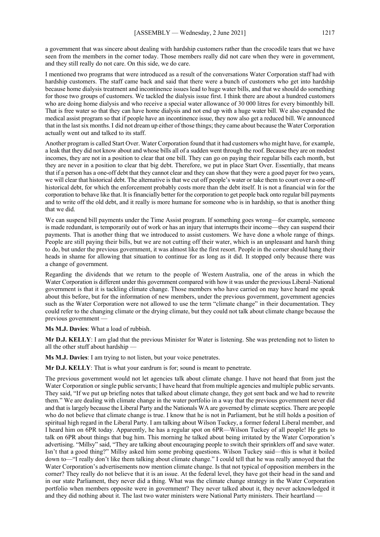a government that was sincere about dealing with hardship customers rather than the crocodile tears that we have seen from the members in the corner today. Those members really did not care when they were in government, and they still really do not care. On this side, we do care.

I mentioned two programs that were introduced as a result of the conversations Water Corporation staff had with hardship customers. The staff came back and said that there were a bunch of customers who get into hardship because home dialysis treatment and incontinence issues lead to huge water bills, and that we should do something for those two groups of customers. We tackled the dialysis issue first. I think there are about a hundred customers who are doing home dialysis and who receive a special water allowance of 30 000 litres for every bimonthly bill. That is free water so that they can have home dialysis and not end up with a huge water bill. We also expanded the medical assist program so that if people have an incontinence issue, they now also get a reduced bill. We announced that in the last six months. I did not dream up either of those things; they came about because the Water Corporation actually went out and talked to its staff.

Another program is called Start Over. Water Corporation found that it had customers who might have, for example, a leak that they did not know about and whose bills all of a sudden went through the roof. Because they are on modest incomes, they are not in a position to clear that one bill. They can go on paying their regular bills each month, but they are never in a position to clear that big debt. Therefore, we put in place Start Over. Essentially, that means that if a person has a one-off debt that they cannot clear and they can show that they were a good payer for two years, we will clear that historical debt. The alternative is that we cut off people's water or take them to court over a one-off historical debt, for which the enforcement probably costs more than the debt itself. It is not a financial win for the corporation to behave like that. It is financially better for the corporation to get people back onto regular bill payments and to write off the old debt, and it really is more humane for someone who is in hardship, so that is another thing that we did.

We can suspend bill payments under the Time Assist program. If something goes wrong—for example, someone is made redundant, is temporarily out of work or has an injury that interrupts their income—they can suspend their payments. That is another thing that we introduced to assist customers. We have done a whole range of things. People are still paying their bills, but we are not cutting off their water, which is an unpleasant and harsh thing to do, but under the previous government, it was almost like the first resort. People in the corner should hang their heads in shame for allowing that situation to continue for as long as it did. It stopped only because there was a change of government.

Regarding the dividends that we return to the people of Western Australia, one of the areas in which the Water Corporation is different under this government compared with how it was under the previous Liberal–National government is that it is tackling climate change. Those members who have carried on may have heard me speak about this before, but for the information of new members, under the previous government, government agencies such as the Water Corporation were not allowed to use the term "climate change" in their documentation. They could refer to the changing climate or the drying climate, but they could not talk about climate change because the previous government —

**Ms M.J. Davies**: What a load of rubbish.

**Mr D.J. KELLY**: I am glad that the previous Minister for Water is listening. She was pretending not to listen to all the other stuff about hardship —

**Ms M.J. Davies**: I am trying to not listen, but your voice penetrates.

**Mr D.J. KELLY**: That is what your eardrum is for; sound is meant to penetrate.

The previous government would not let agencies talk about climate change. I have not heard that from just the Water Corporation or single public servants; I have heard that from multiple agencies and multiple public servants. They said, "If we put up briefing notes that talked about climate change, they got sent back and we had to rewrite them." We are dealing with climate change in the water portfolio in a way that the previous government never did and that is largely because the Liberal Party and the Nationals WA are governed by climate sceptics. There are people who do not believe that climate change is true. I know that he is not in Parliament, but he still holds a position of spiritual high regard in the Liberal Party. I am talking about Wilson Tuckey, a former federal Liberal member, and I heard him on 6PR today. Apparently, he has a regular spot on 6PR—Wilson Tuckey of all people! He gets to talk on 6PR about things that bug him. This morning he talked about being irritated by the Water Corporation's advertising. "Millsy" said, "They are talking about encouraging people to switch their sprinklers off and save water. Isn't that a good thing?" Millsy asked him some probing questions. Wilson Tuckey said—this is what it boiled down to—"I really don't like them talking about climate change." I could tell that he was really annoyed that the Water Corporation's advertisements now mention climate change. Is that not typical of opposition members in the corner? They really do not believe that it is an issue. At the federal level, they have got their head in the sand and in our state Parliament, they never did a thing. What was the climate change strategy in the Water Corporation portfolio when members opposite were in government? They never talked about it, they never acknowledged it and they did nothing about it. The last two water ministers were National Party ministers. Their heartland -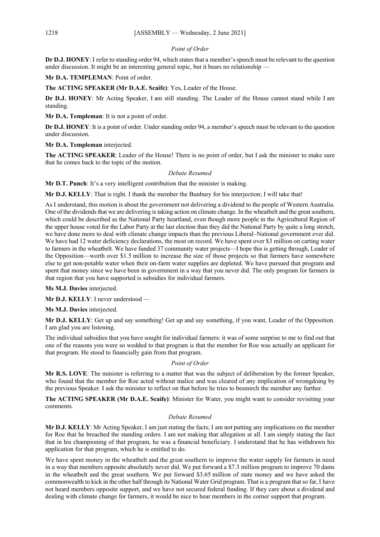## *Point of Order*

**Dr D.J. HONEY**: I refer to standing order 94, which states that a member's speech must be relevant to the question under discussion. It might be an interesting general topic, but it bears no relationship —

**Mr D.A. TEMPLEMAN**: Point of order.

**The ACTING SPEAKER (Mr D.A.E. Scaife)**: Yes, Leader of the House.

**Dr D.J. HONEY**: Mr Acting Speaker, I am still standing. The Leader of the House cannot stand while I am standing.

**Mr D.A. Templeman**: It is not a point of order.

**Dr D.J. HONEY**: It is a point of order. Under standing order 94, a member's speech must be relevant to the question under discussion.

**Mr D.A. Templeman** interjected.

**The ACTING SPEAKER:** Leader of the House! There is no point of order, but I ask the minister to make sure that he comes back to the topic of the motion.

#### *Debate Resumed*

**Mr D.T. Punch**: It's a very intelligent contribution that the minister is making.

**Mr D.J. KELLY**: That is right. I thank the member the Bunbury for his interjection; I will take that!

As I understand, this motion is about the government not delivering a dividend to the people of Western Australia. One of the dividends that we are delivering is taking action on climate change. In the wheatbelt and the great southern, which could be described as the National Party heartland, even though more people in the Agricultural Region of the upper house voted for the Labor Party at the last election than they did the National Party by quite a long stretch, we have done more to deal with climate change impacts than the previous Liberal–National government ever did. We have had 12 water deficiency declarations, the most on record. We have spent over \$3 million on carting water to farmers in the wheatbelt. We have funded 37 community water projects—I hope this is getting through, Leader of the Opposition—worth over \$1.5 million to increase the size of those projects so that farmers have somewhere else to get non-potable water when their on-farm water supplies are depleted. We have pursued that program and spent that money since we have been in government in a way that you never did. The only program for farmers in that region that you have supported is subsidies for individual farmers.

**Ms M.J. Davies** interjected.

**Mr D.J. KELLY**: I never understood —

**Ms M.J. Davies** interjected.

**Mr D.J. KELLY**: Get up and say something! Get up and say something, if you want, Leader of the Opposition. I am glad you are listening.

The individual subsidies that you have sought for individual farmers: it was of some surprise to me to find out that one of the reasons you were so wedded to that program is that the member for Roe was actually an applicant for that program. He stood to financially gain from that program.

#### *Point of Order*

**Mr R.S. LOVE**: The minister is referring to a matter that was the subject of deliberation by the former Speaker, who found that the member for Roe acted without malice and was cleared of any implication of wrongdoing by the previous Speaker. I ask the minister to reflect on that before he tries to besmirch the member any further.

**The ACTING SPEAKER (Mr D.A.E. Scaife)**: Minister for Water, you might want to consider revisiting your comments.

#### *Debate Resumed*

**Mr D.J. KELLY**: Mr Acting Speaker, I am just stating the facts; I am not putting any implications on the member for Roe that he breached the standing orders. I am not making that allegation at all. I am simply stating the fact that in his championing of that program, he was a financial beneficiary. I understand that he has withdrawn his application for that program, which he is entitled to do.

We have spent money in the wheatbelt and the great southern to improve the water supply for farmers in need in a way that members opposite absolutely never did. We put forward a \$7.3 million program to improve 70 dams in the wheatbelt and the great southern. We put forward \$3.65 million of state money and we have asked the commonwealth to kick in the other half through its National Water Grid program. That is a program that so far, I have not heard members opposite support, and we have not secured federal funding. If they care about a dividend and dealing with climate change for farmers, it would be nice to hear members in the corner support that program.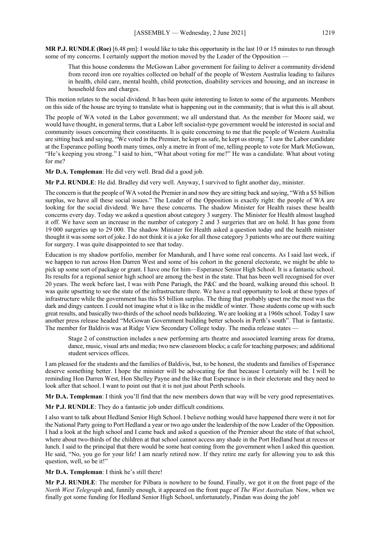**MR P.J. RUNDLE (Roe)** [6.48 pm]: I would like to take this opportunity in the last 10 or 15 minutes to run through some of my concerns. I certainly support the motion moved by the Leader of the Opposition

That this house condemns the McGowan Labor government for failing to deliver a community dividend from record iron ore royalties collected on behalf of the people of Western Australia leading to failures in health, child care, mental health, child protection, disability services and housing, and an increase in household fees and charges.

This motion relates to the social dividend. It has been quite interesting to listen to some of the arguments. Members on this side of the house are trying to translate what is happening out in the community; that is what this is all about.

The people of WA voted in the Labor government; we all understand that. As the member for Moore said, we would have thought, in general terms, that a Labor left socialist-type government would be interested in social and community issues concerning their constituents. It is quite concerning to me that the people of Western Australia are sitting back and saying, "We voted in the Premier, he kept us safe, he kept us strong." I saw the Labor candidate at the Esperance polling booth many times, only a metre in front of me, telling people to vote for Mark McGowan, "He's keeping you strong." I said to him, "What about voting for me?" He was a candidate. What about voting for me?

**Mr D.A. Templeman**: He did very well. Brad did a good job.

**Mr P.J. RUNDLE**: He did. Bradley did very well. Anyway, I survived to fight another day, minister.

The concern is that the people of WA voted the Premier in and now they are sitting back and saying, "With a \$5 billion surplus, we have all these social issues." The Leader of the Opposition is exactly right: the people of WA are looking for the social dividend. We have these concerns. The shadow Minister for Health raises these health concerns every day. Today we asked a question about category 3 surgery. The Minister for Health almost laughed it off. We have seen an increase in the number of category 2 and 3 surgeries that are on hold. It has gone from 19 000 surgeries up to 29 000. The shadow Minister for Health asked a question today and the health minister thought it was some sort of joke. I do not think it is a joke for all those category 3 patients who are out there waiting for surgery. I was quite disappointed to see that today.

Education is my shadow portfolio, member for Mandurah, and I have some real concerns. As I said last week, if we happen to run across Hon Darren West and some of his cohort in the general electorate, we might be able to pick up some sort of package or grant. I have one for him—Esperance Senior High School. It is a fantastic school. Its results for a regional senior high school are among the best in the state. That has been well recognised for over 20 years. The week before last, I was with Pene Pariagh, the P&C and the board, walking around this school. It was quite upsetting to see the state of the infrastructure there. We have a real opportunity to look at these types of infrastructure while the government has this \$5 billion surplus. The thing that probably upset me the most was the dark and dingy canteen. I could not imagine what it is like in the middle of winter. Those students come up with such great results, and basically two-thirds of the school needs bulldozing. We are looking at a 1960s school. Today I saw another press release headed "McGowan Government building better schools in Perth's south". That is fantastic. The member for Baldivis was at Ridge View Secondary College today. The media release states -

Stage 2 of construction includes a new performing arts theatre and associated learning areas for drama, dance, music, visual arts and media; two new classroom blocks; a cafe for teaching purposes; and additional student services offices.

I am pleased for the students and the families of Baldivis, but, to be honest, the students and families of Esperance deserve something better. I hope the minister will be advocating for that because I certainly will be. I will be reminding Hon Darren West, Hon Shelley Payne and the like that Esperance is in their electorate and they need to look after that school. I want to point out that it is not just about Perth schools.

**Mr D.A. Templeman**: I think you'll find that the new members down that way will be very good representatives.

**Mr P.J. RUNDLE**: They do a fantastic job under difficult conditions.

I also want to talk about Hedland Senior High School. I believe nothing would have happened there were it not for the National Party going to Port Hedland a year or two ago under the leadership of the now Leader of the Opposition. I had a look at the high school and I came back and asked a question of the Premier about the state of that school, where about two-thirds of the children at that school cannot access any shade in the Port Hedland heat at recess or lunch. I said to the principal that there would be some heat coming from the government when I asked this question. He said, "No, you go for your life! I am nearly retired now. If they retire me early for allowing you to ask this question, well, so be it!"

**Mr D.A. Templeman**: I think he's still there!

**Mr P.J. RUNDLE**: The member for Pilbara is nowhere to be found. Finally, we got it on the front page of the *North West Telegraph* and, funnily enough, it appeared on the front page of *The West Australian.* Now, when we finally got some funding for Hedland Senior High School, unfortunately, Pindan was doing the job!